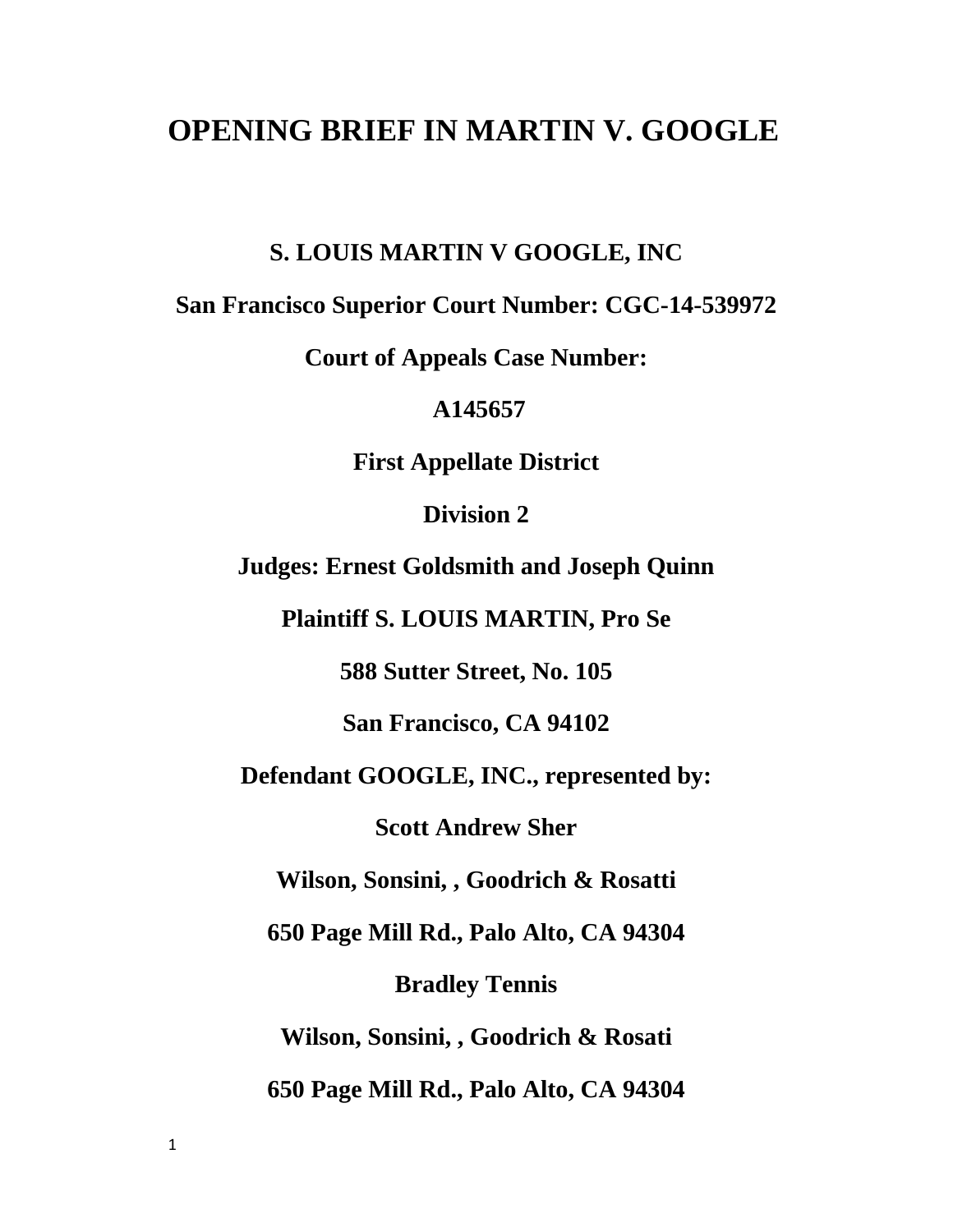# **OPENING BRIEF IN MARTIN V. GOOGLE**

**S. LOUIS MARTIN V GOOGLE, INC**

**San Francisco Superior Court Number: CGC-14-539972**

**Court of Appeals Case Number:**

**A145657**

**First Appellate District**

**Division 2**

**Judges: Ernest Goldsmith and Joseph Quinn**

**Plaintiff S. LOUIS MARTIN, Pro Se**

**588 Sutter Street, No. 105**

**San Francisco, CA 94102**

**Defendant GOOGLE, INC., represented by:**

**Scott Andrew Sher**

**Wilson, Sonsini, , Goodrich & Rosatti**

**650 Page Mill Rd., Palo Alto, CA 94304**

**Bradley Tennis**

**Wilson, Sonsini, , Goodrich & Rosati**

**650 Page Mill Rd., Palo Alto, CA 94304**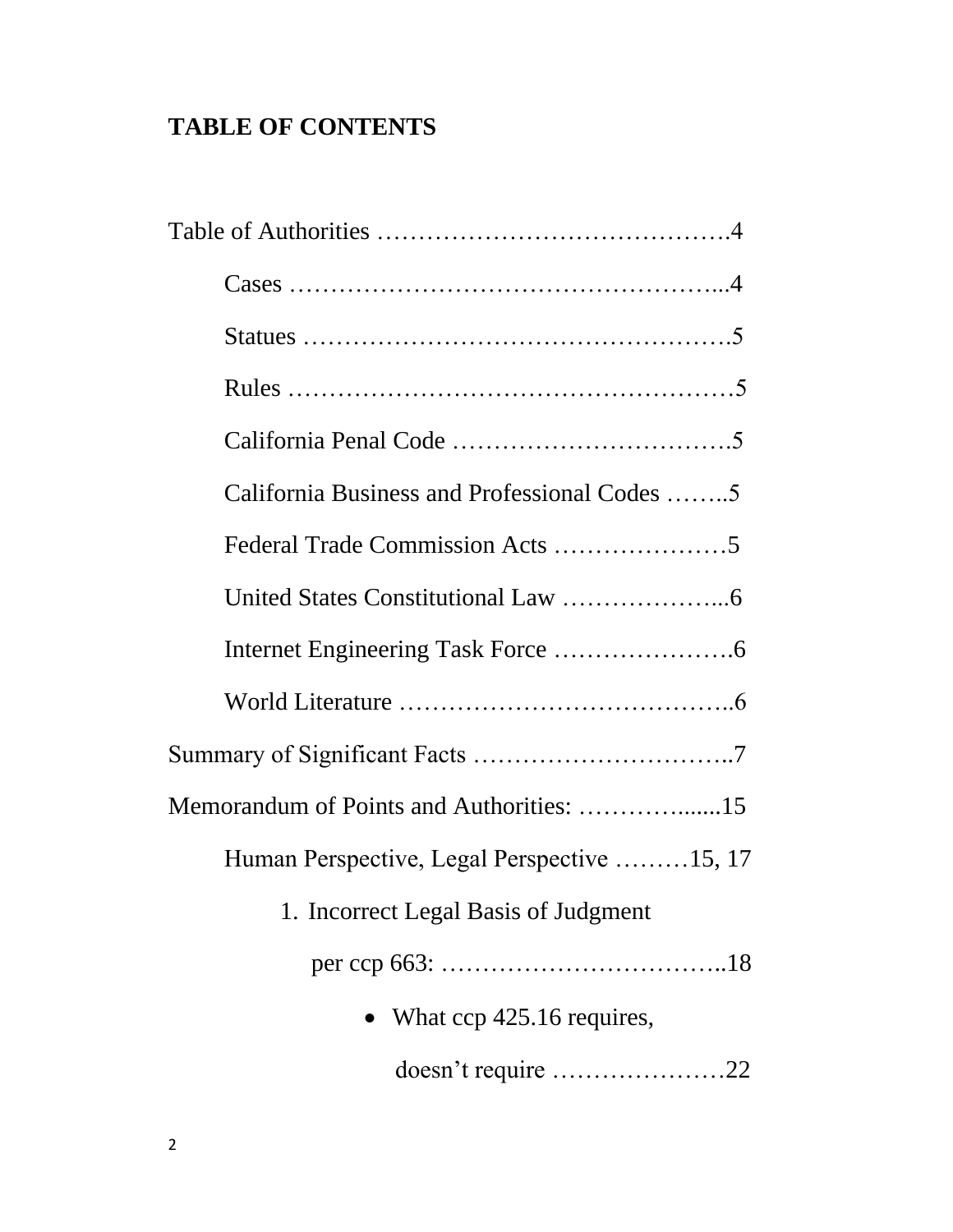# **TABLE OF CONTENTS**

| California Business and Professional Codes 5 |  |
|----------------------------------------------|--|
|                                              |  |
|                                              |  |
|                                              |  |
|                                              |  |
|                                              |  |
|                                              |  |
| Human Perspective, Legal Perspective 15, 17  |  |
| 1. Incorrect Legal Basis of Judgment         |  |
|                                              |  |
| • What $\text{cep } 425.16$ requires,        |  |
| doesn't require 22                           |  |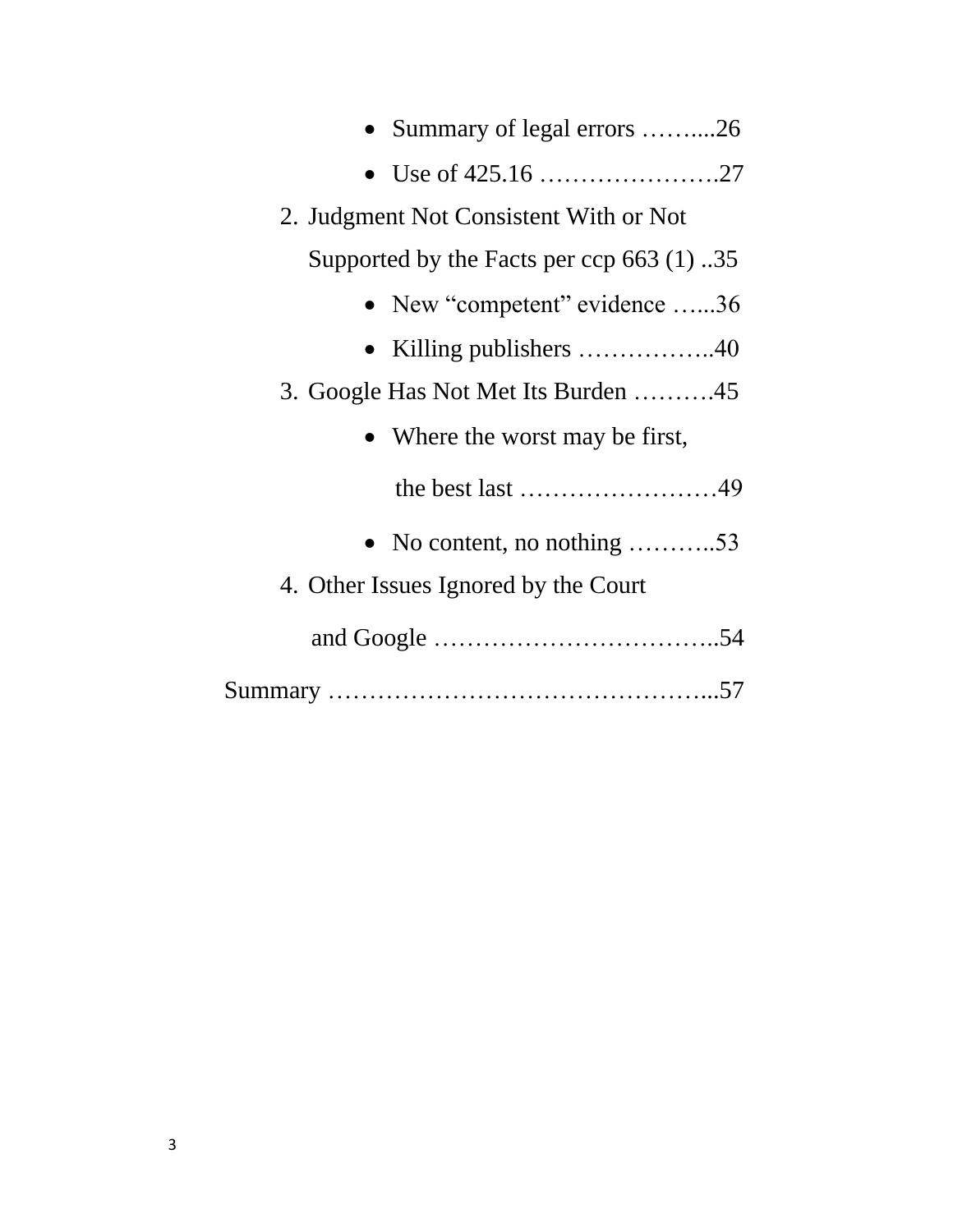| Summary of legal errors 26                              |
|---------------------------------------------------------|
|                                                         |
| 2. Judgment Not Consistent With or Not                  |
| Supported by the Facts per ccp 663 $(1)$ 35             |
| • New "competent" evidence $\dots 36$                   |
| • Killing publishers $\dots \dots \dots \dots \dots 40$ |
| 3. Google Has Not Met Its Burden 45                     |
| • Where the worst may be first,                         |
| the best last $\dots\dots\dots\dots\dots\dots\dots$     |
| • No content, no nothing $\dots \dots \dots 53$         |
| 4. Other Issues Ignored by the Court                    |
|                                                         |
|                                                         |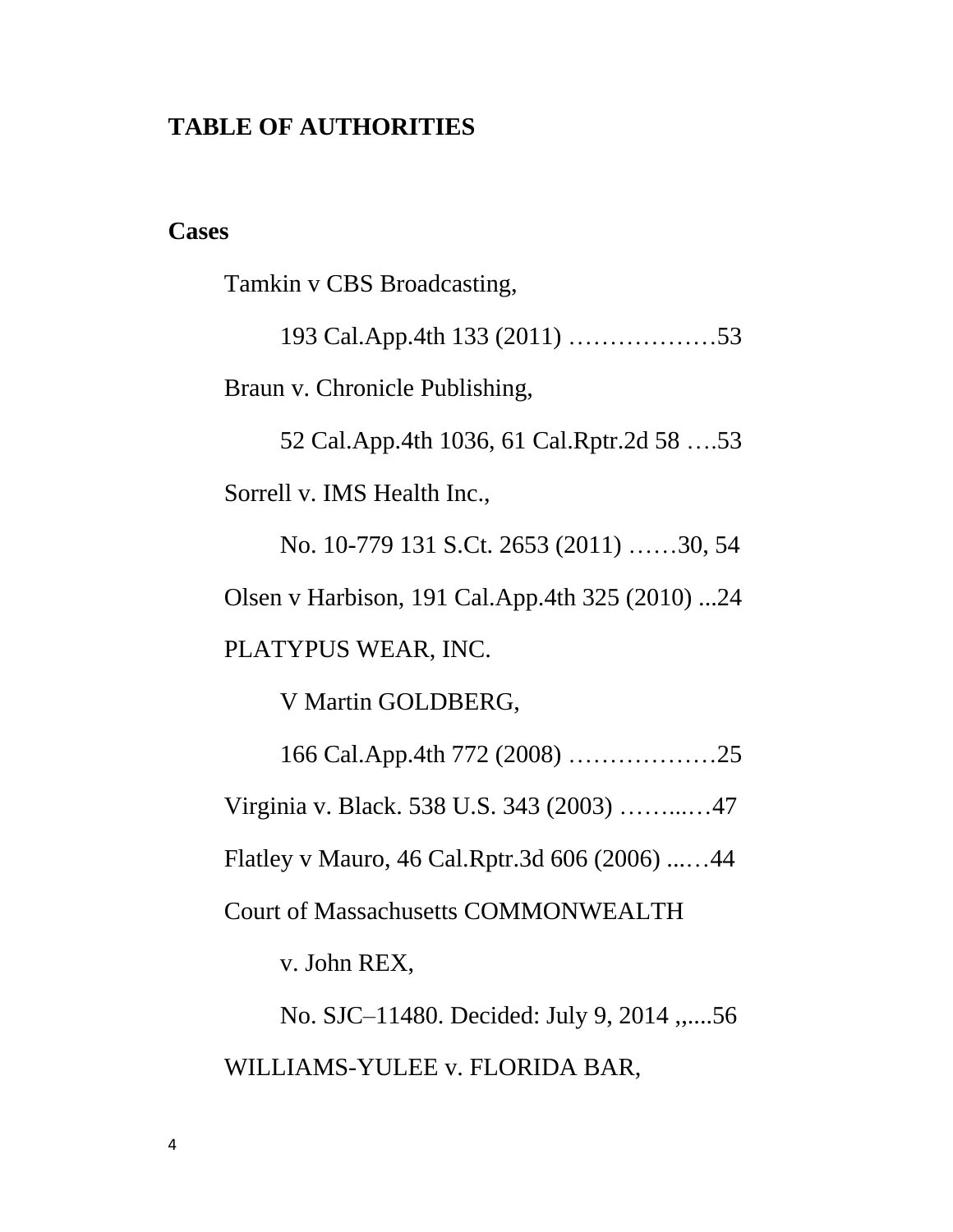#### **TABLE OF AUTHORITIES**

#### **Cases**

Tamkin v CBS Broadcasting,

193 Cal.App.4th 133 (2011) ………………53 Braun v. Chronicle Publishing,

52 Cal.App.4th 1036, 61 Cal.Rptr.2d 58 ….53 Sorrell v. IMS Health Inc.,

No. 10-779 131 S.Ct. 2653 (2011) ……30, 54 Olsen v Harbison, 191 Cal.App.4th 325 (2010) ...24 PLATYPUS WEAR, INC.

V Martin GOLDBERG,

166 Cal.App.4th 772 (2008) ………………25 Virginia v. Black. 538 U.S. 343 (2003) ……...…47 Flatley v Mauro, 46 Cal.Rptr.3d 606 (2006) ...…44 Court of Massachusetts COMMONWEALTH v. John REX,

No. SJC–11480. Decided: July 9, 2014 ,,....56 WILLIAMS-YULEE v. FLORIDA BAR,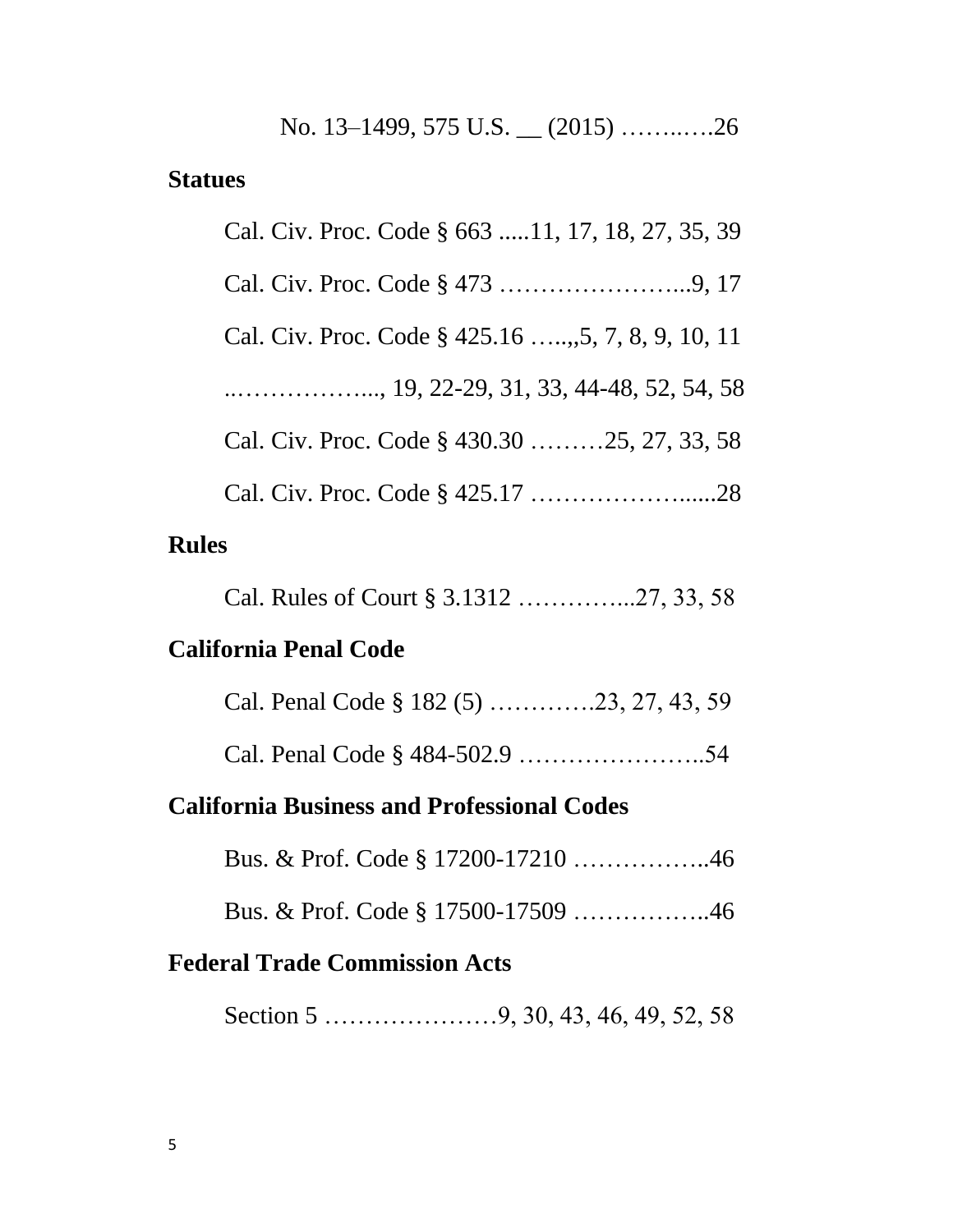No. 13–1499, 575 U.S. \_\_ (2015) ……..….26

#### **Statues**

| Cal. Civ. Proc. Code § 663 11, 17, 18, 27, 35, 39  |
|----------------------------------------------------|
|                                                    |
| Cal. Civ. Proc. Code § 425.16 , 5, 7, 8, 9, 10, 11 |
|                                                    |
| Cal. Civ. Proc. Code § 430.30 25, 27, 33, 58       |
|                                                    |
|                                                    |

# **Rules**

Cal. Rules of Court § 3.1312 …………...27, 33, 58

# **California Penal Code**

|  | Cal. Penal Code § 182 (5) 23, 27, 43, 59 |
|--|------------------------------------------|
|--|------------------------------------------|

Cal. Penal Code § 484-502.9 …………………..54

## **California Business and Professional Codes**

Bus. & Prof. Code § 17200-17210 ……………..46

Bus. & Prof. Code § 17500-17509 ……………..46

## **Federal Trade Commission Acts**

Section 5 …………………9, 30, 43, 46, 49, 52, 58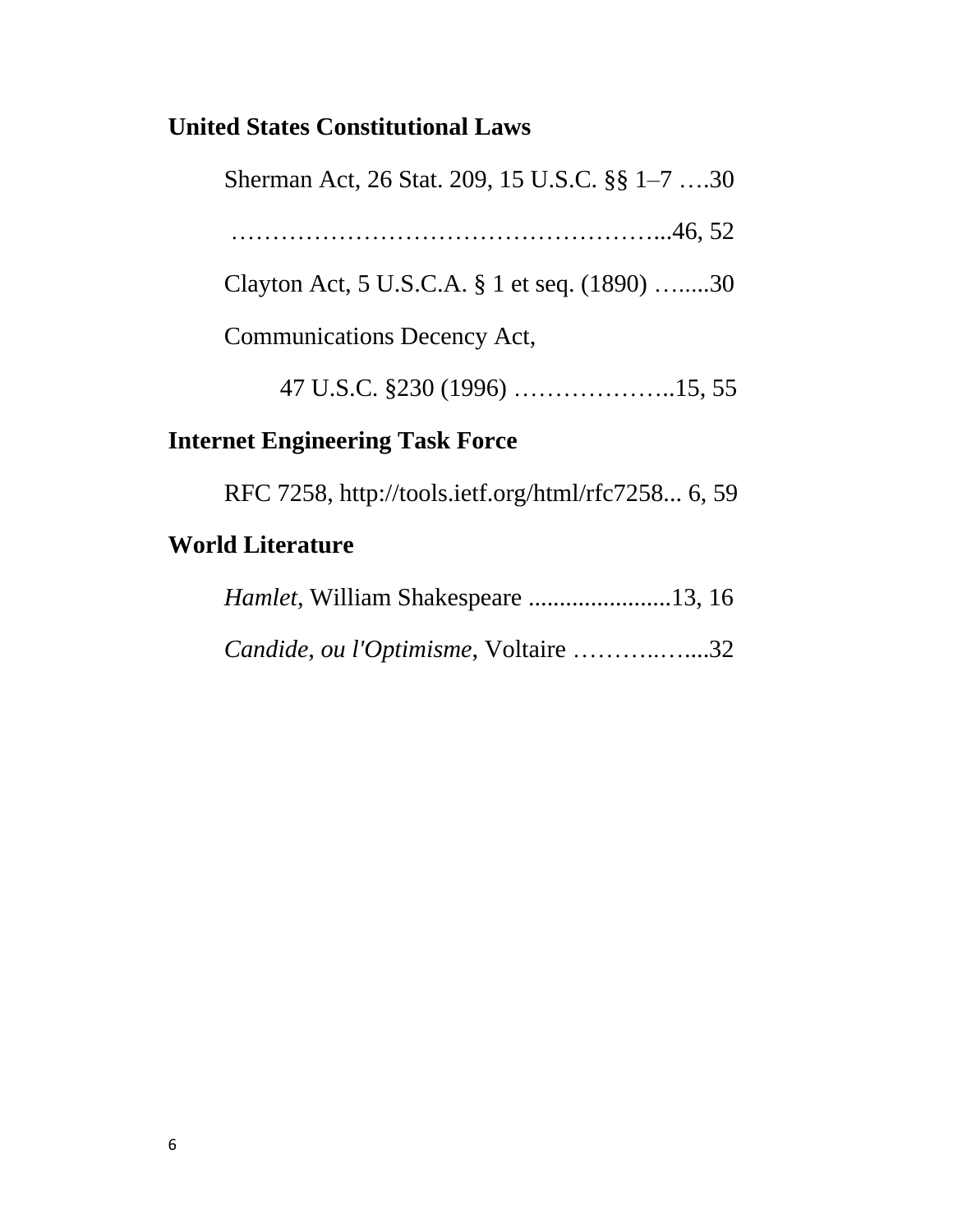# **United States Constitutional Laws**

| Sherman Act, 26 Stat. 209, 15 U.S.C. §§ 1–7 30 |
|------------------------------------------------|
|                                                |
| Clayton Act, 5 U.S.C.A. § 1 et seq. (1890) 30  |
| <b>Communications Decency Act,</b>             |
|                                                |
| . 4 17 . <sup>9</sup> The all <b>Therman</b>   |

# **Internet Engineering Task Force**

RFC 7258, http://tools.ietf.org/html/rfc7258... 6, 59

# **World Literature**

| Candide, ou l'Optimisme, Voltaire 32 |  |
|--------------------------------------|--|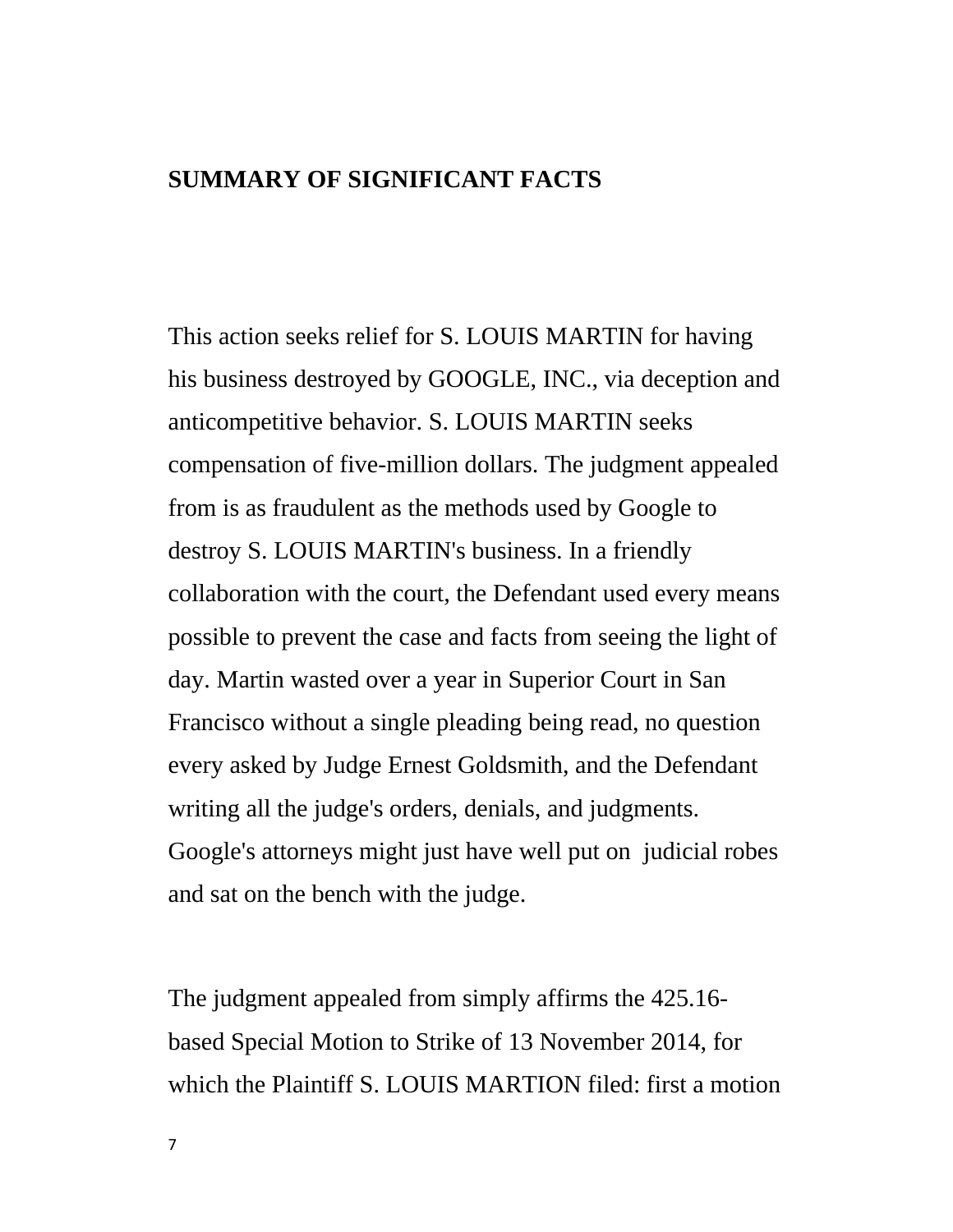#### **SUMMARY OF SIGNIFICANT FACTS**

This action seeks relief for S. LOUIS MARTIN for having his business destroyed by GOOGLE, INC., via deception and anticompetitive behavior. S. LOUIS MARTIN seeks compensation of five-million dollars. The judgment appealed from is as fraudulent as the methods used by Google to destroy S. LOUIS MARTIN's business. In a friendly collaboration with the court, the Defendant used every means possible to prevent the case and facts from seeing the light of day. Martin wasted over a year in Superior Court in San Francisco without a single pleading being read, no question every asked by Judge Ernest Goldsmith, and the Defendant writing all the judge's orders, denials, and judgments. Google's attorneys might just have well put on judicial robes and sat on the bench with the judge.

The judgment appealed from simply affirms the 425.16 based Special Motion to Strike of 13 November 2014, for which the Plaintiff S. LOUIS MARTION filed: first a motion

7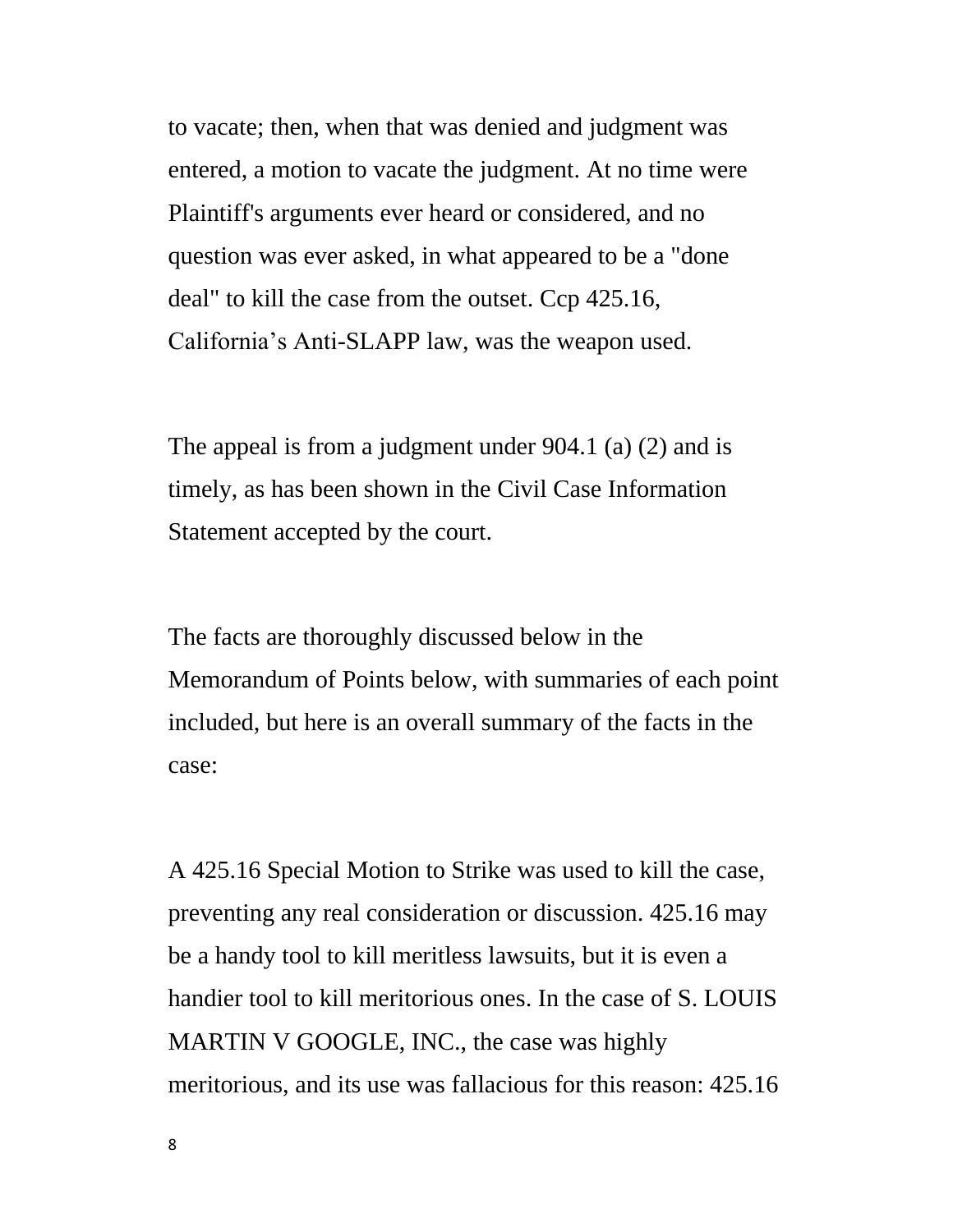to vacate; then, when that was denied and judgment was entered, a motion to vacate the judgment. At no time were Plaintiff's arguments ever heard or considered, and no question was ever asked, in what appeared to be a "done deal" to kill the case from the outset. Ccp 425.16, California's Anti-SLAPP law, was the weapon used.

The appeal is from a judgment under 904.1 (a) (2) and is timely, as has been shown in the Civil Case Information Statement accepted by the court.

The facts are thoroughly discussed below in the Memorandum of Points below, with summaries of each point included, but here is an overall summary of the facts in the case:

A 425.16 Special Motion to Strike was used to kill the case, preventing any real consideration or discussion. 425.16 may be a handy tool to kill meritless lawsuits, but it is even a handier tool to kill meritorious ones. In the case of S. LOUIS MARTIN V GOOGLE, INC., the case was highly meritorious, and its use was fallacious for this reason: 425.16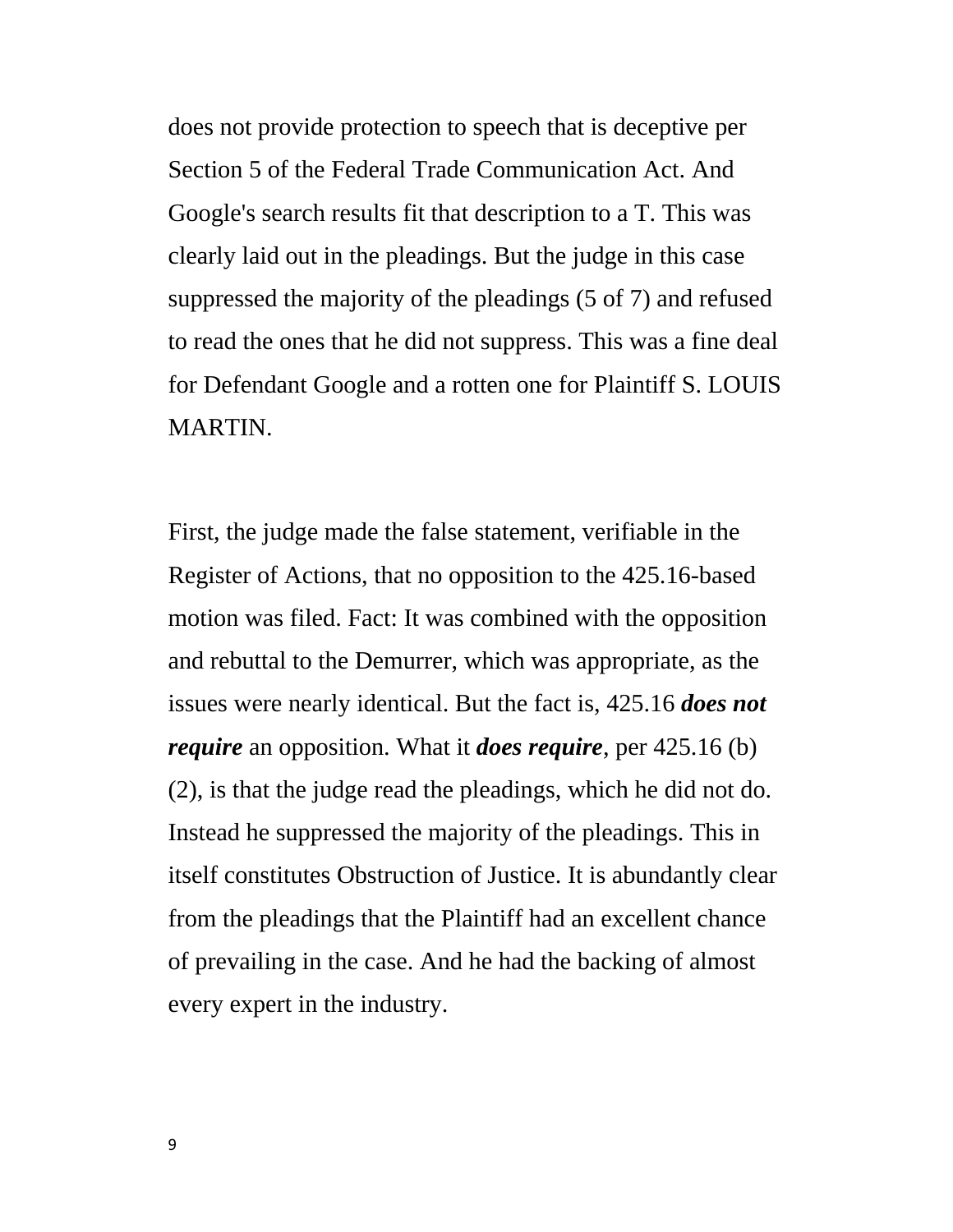does not provide protection to speech that is deceptive per Section 5 of the Federal Trade Communication Act. And Google's search results fit that description to a T. This was clearly laid out in the pleadings. But the judge in this case suppressed the majority of the pleadings (5 of 7) and refused to read the ones that he did not suppress. This was a fine deal for Defendant Google and a rotten one for Plaintiff S. LOUIS MARTIN.

First, the judge made the false statement, verifiable in the Register of Actions, that no opposition to the 425.16-based motion was filed. Fact: It was combined with the opposition and rebuttal to the Demurrer, which was appropriate, as the issues were nearly identical. But the fact is, 425.16 *does not require* an opposition. What it *does require*, per 425.16 (b) (2), is that the judge read the pleadings, which he did not do. Instead he suppressed the majority of the pleadings. This in itself constitutes Obstruction of Justice. It is abundantly clear from the pleadings that the Plaintiff had an excellent chance of prevailing in the case. And he had the backing of almost every expert in the industry.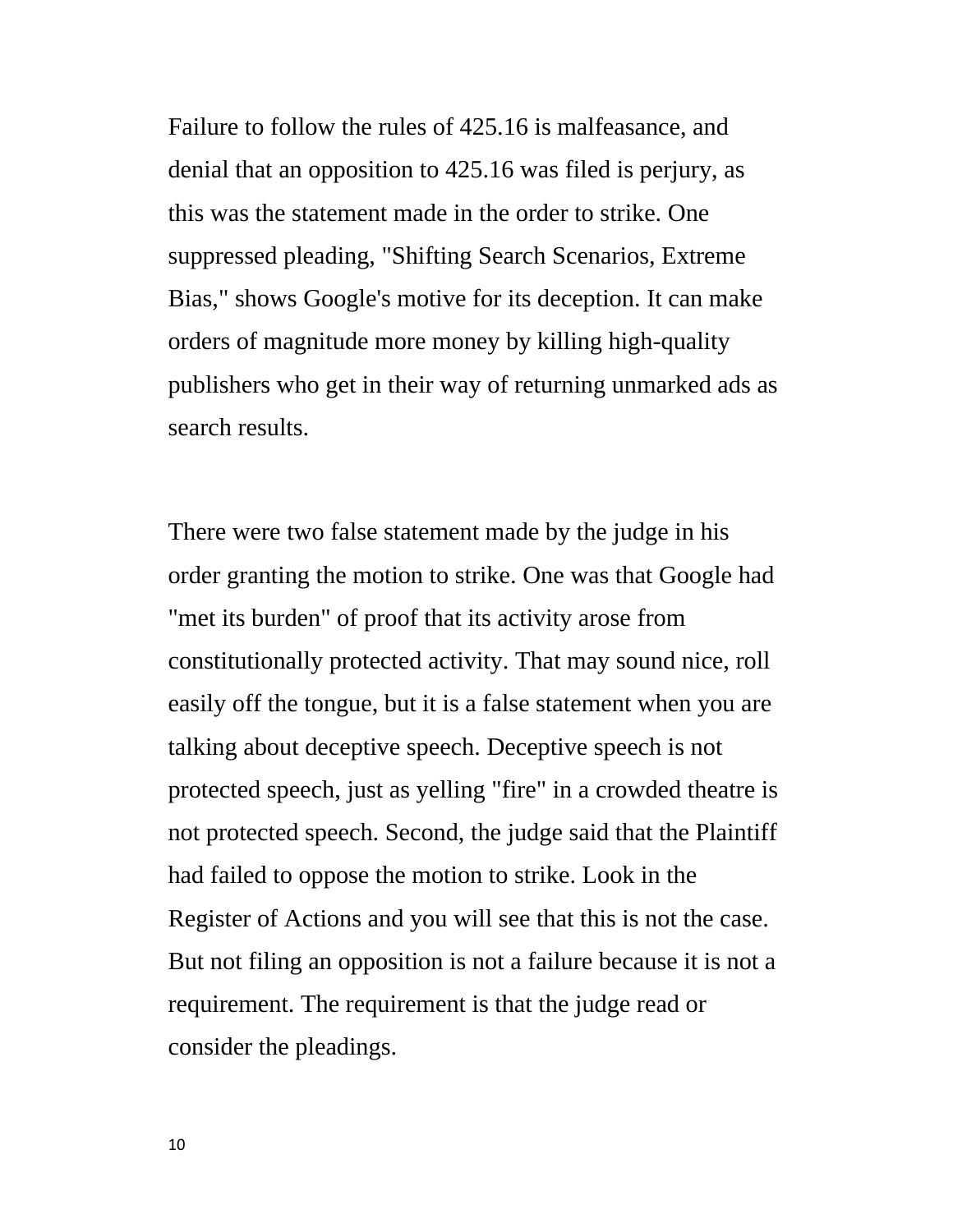Failure to follow the rules of 425.16 is malfeasance, and denial that an opposition to 425.16 was filed is perjury, as this was the statement made in the order to strike. One suppressed pleading, "Shifting Search Scenarios, Extreme Bias," shows Google's motive for its deception. It can make orders of magnitude more money by killing high-quality publishers who get in their way of returning unmarked ads as search results.

There were two false statement made by the judge in his order granting the motion to strike. One was that Google had "met its burden" of proof that its activity arose from constitutionally protected activity. That may sound nice, roll easily off the tongue, but it is a false statement when you are talking about deceptive speech. Deceptive speech is not protected speech, just as yelling "fire" in a crowded theatre is not protected speech. Second, the judge said that the Plaintiff had failed to oppose the motion to strike. Look in the Register of Actions and you will see that this is not the case. But not filing an opposition is not a failure because it is not a requirement. The requirement is that the judge read or consider the pleadings.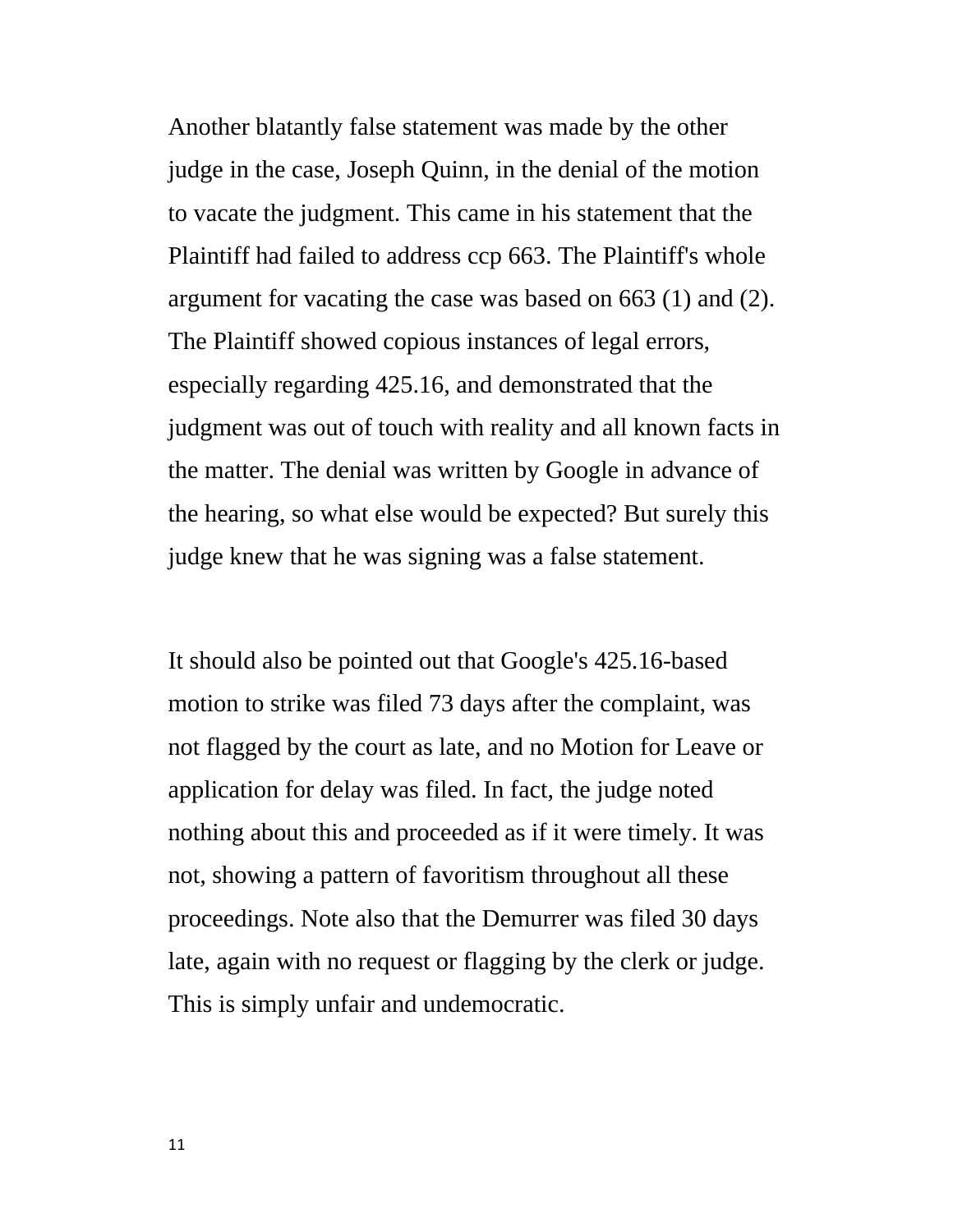Another blatantly false statement was made by the other judge in the case, Joseph Quinn, in the denial of the motion to vacate the judgment. This came in his statement that the Plaintiff had failed to address ccp 663. The Plaintiff's whole argument for vacating the case was based on 663 (1) and (2). The Plaintiff showed copious instances of legal errors, especially regarding 425.16, and demonstrated that the judgment was out of touch with reality and all known facts in the matter. The denial was written by Google in advance of the hearing, so what else would be expected? But surely this judge knew that he was signing was a false statement.

It should also be pointed out that Google's 425.16-based motion to strike was filed 73 days after the complaint, was not flagged by the court as late, and no Motion for Leave or application for delay was filed. In fact, the judge noted nothing about this and proceeded as if it were timely. It was not, showing a pattern of favoritism throughout all these proceedings. Note also that the Demurrer was filed 30 days late, again with no request or flagging by the clerk or judge. This is simply unfair and undemocratic.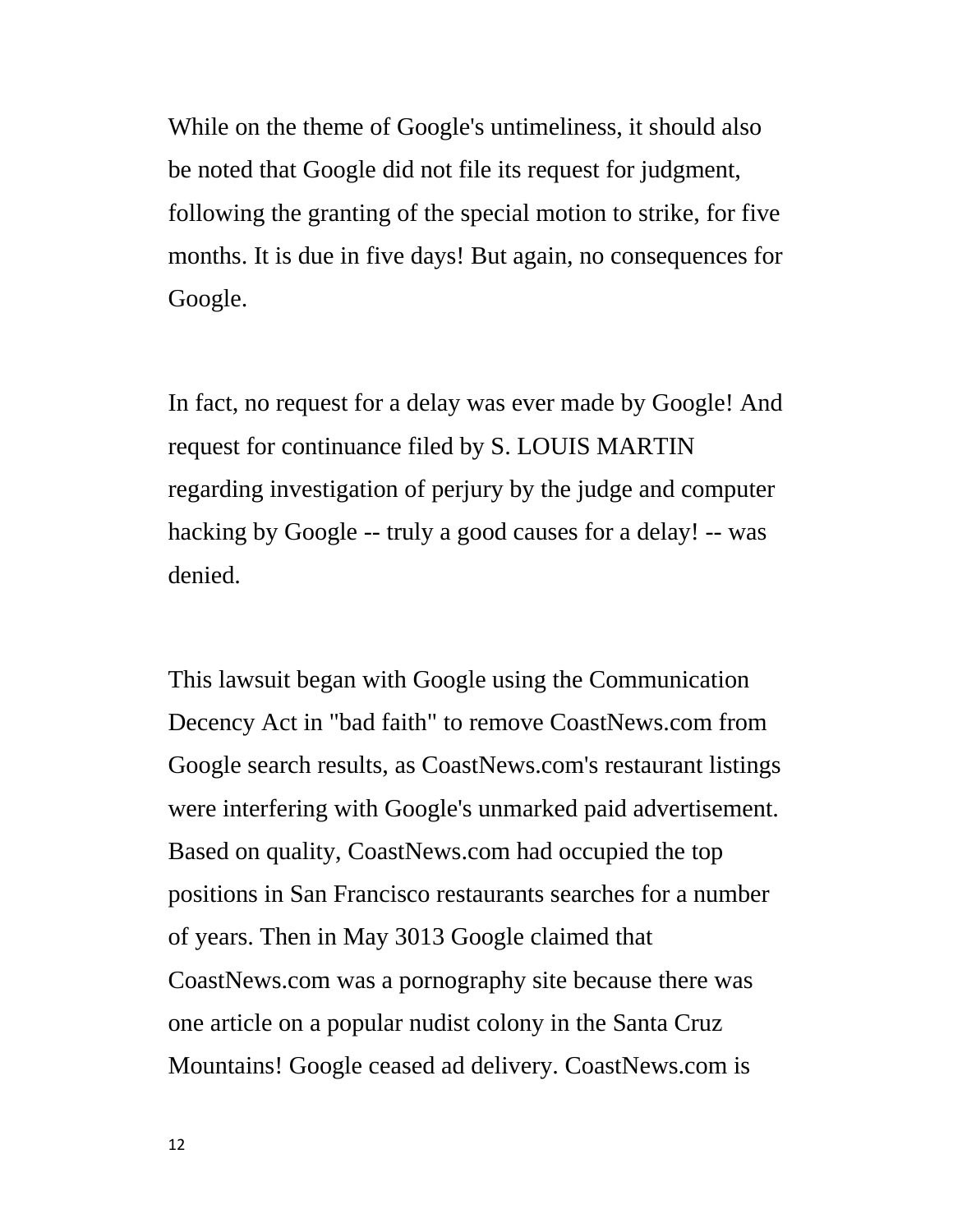While on the theme of Google's untimeliness, it should also be noted that Google did not file its request for judgment, following the granting of the special motion to strike, for five months. It is due in five days! But again, no consequences for Google.

In fact, no request for a delay was ever made by Google! And request for continuance filed by S. LOUIS MARTIN regarding investigation of perjury by the judge and computer hacking by Google -- truly a good causes for a delay! -- was denied.

This lawsuit began with Google using the Communication Decency Act in "bad faith" to remove CoastNews.com from Google search results, as CoastNews.com's restaurant listings were interfering with Google's unmarked paid advertisement. Based on quality, CoastNews.com had occupied the top positions in San Francisco restaurants searches for a number of years. Then in May 3013 Google claimed that CoastNews.com was a pornography site because there was one article on a popular nudist colony in the Santa Cruz Mountains! Google ceased ad delivery. CoastNews.com is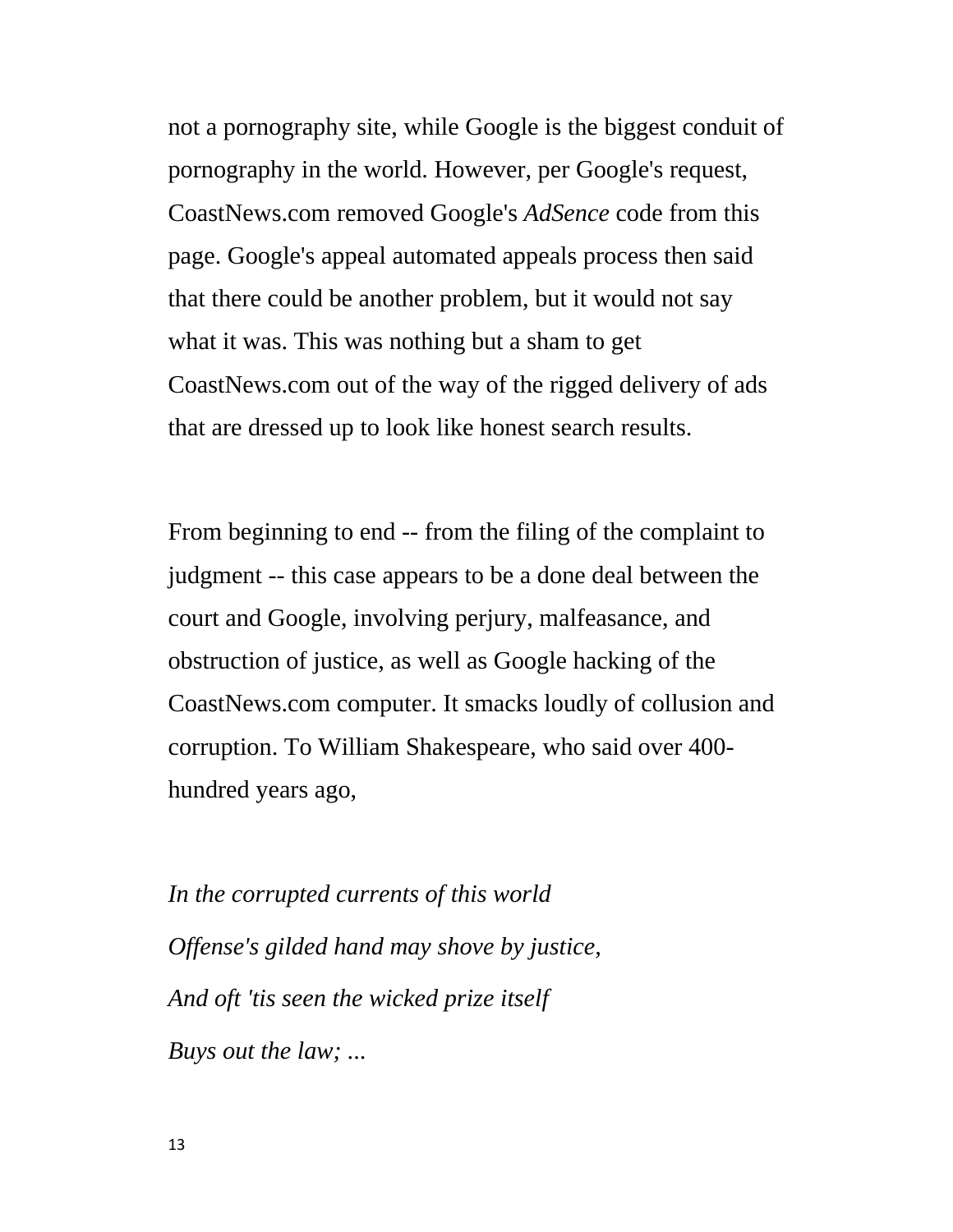not a pornography site, while Google is the biggest conduit of pornography in the world. However, per Google's request, CoastNews.com removed Google's *AdSence* code from this page. Google's appeal automated appeals process then said that there could be another problem, but it would not say what it was. This was nothing but a sham to get CoastNews.com out of the way of the rigged delivery of ads that are dressed up to look like honest search results.

From beginning to end -- from the filing of the complaint to judgment -- this case appears to be a done deal between the court and Google, involving perjury, malfeasance, and obstruction of justice, as well as Google hacking of the CoastNews.com computer. It smacks loudly of collusion and corruption. To William Shakespeare, who said over 400 hundred years ago,

*In the corrupted currents of this world Offense's gilded hand may shove by justice, And oft 'tis seen the wicked prize itself Buys out the law; ...*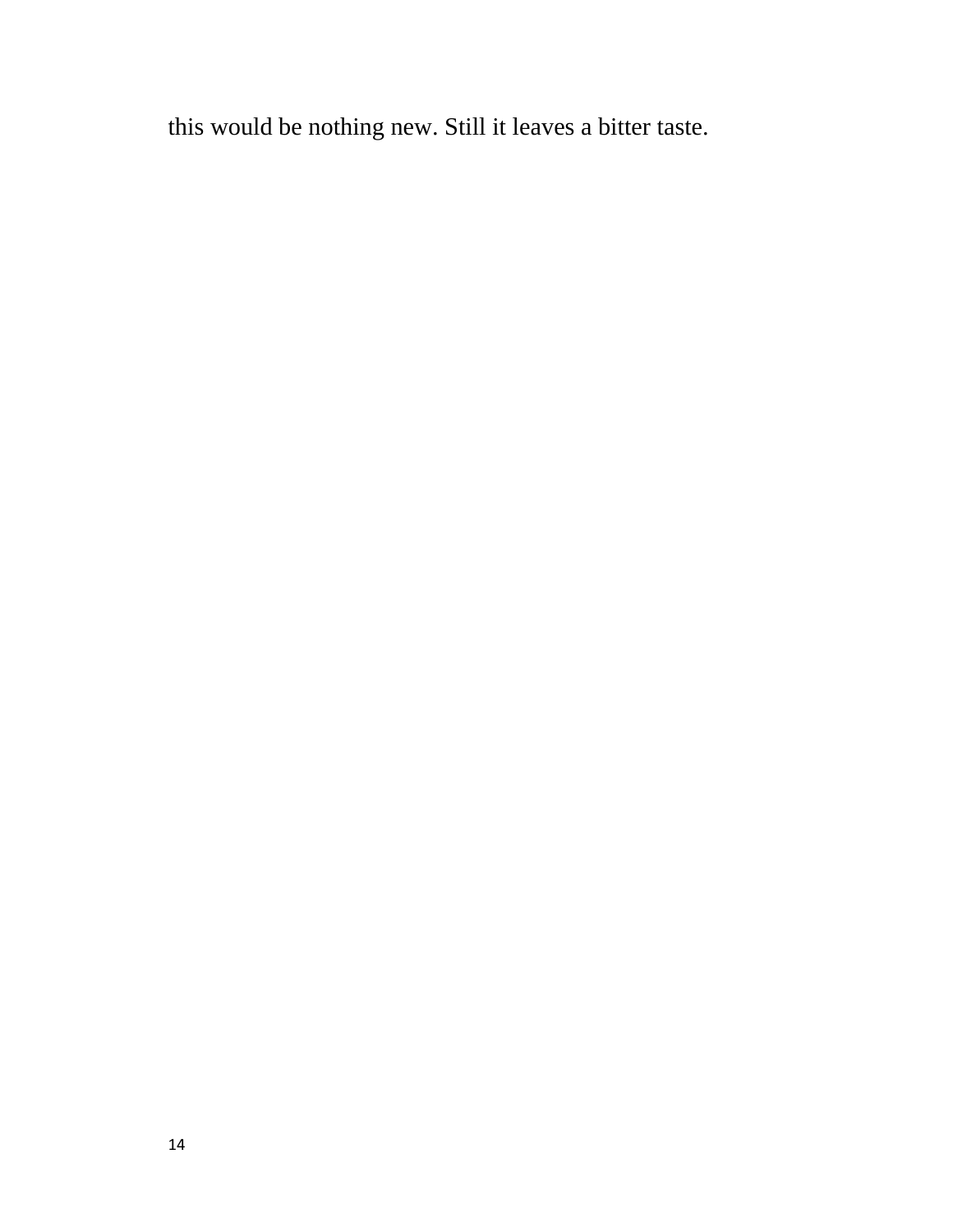this would be nothing new. Still it leaves a bitter taste.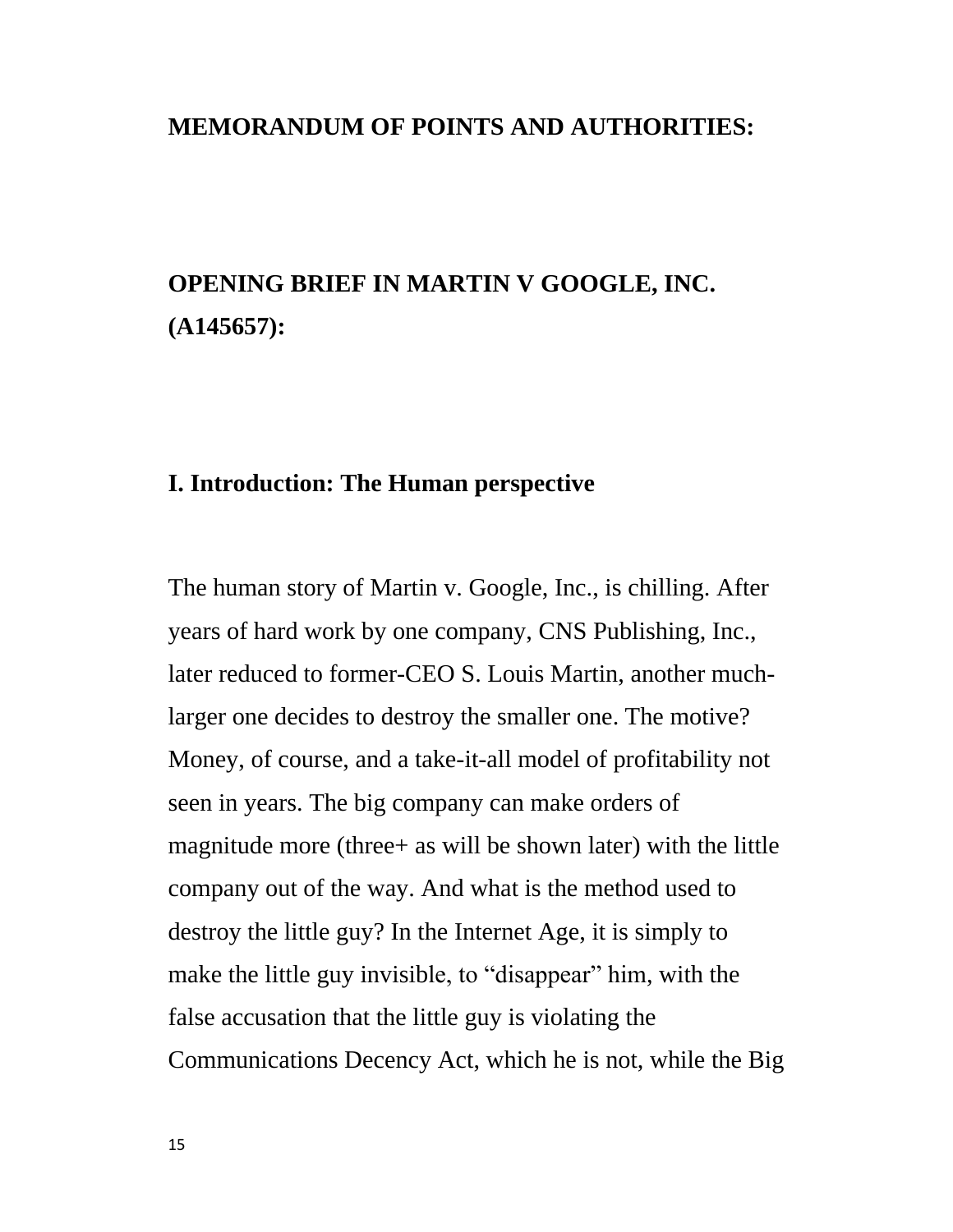#### **MEMORANDUM OF POINTS AND AUTHORITIES:**

# **OPENING BRIEF IN MARTIN V GOOGLE, INC. (A145657):**

#### **I. Introduction: The Human perspective**

The human story of Martin v. Google, Inc., is chilling. After years of hard work by one company, CNS Publishing, Inc., later reduced to former-CEO S. Louis Martin, another muchlarger one decides to destroy the smaller one. The motive? Money, of course, and a take-it-all model of profitability not seen in years. The big company can make orders of magnitude more (three+ as will be shown later) with the little company out of the way. And what is the method used to destroy the little guy? In the Internet Age, it is simply to make the little guy invisible, to "disappear" him, with the false accusation that the little guy is violating the Communications Decency Act, which he is not, while the Big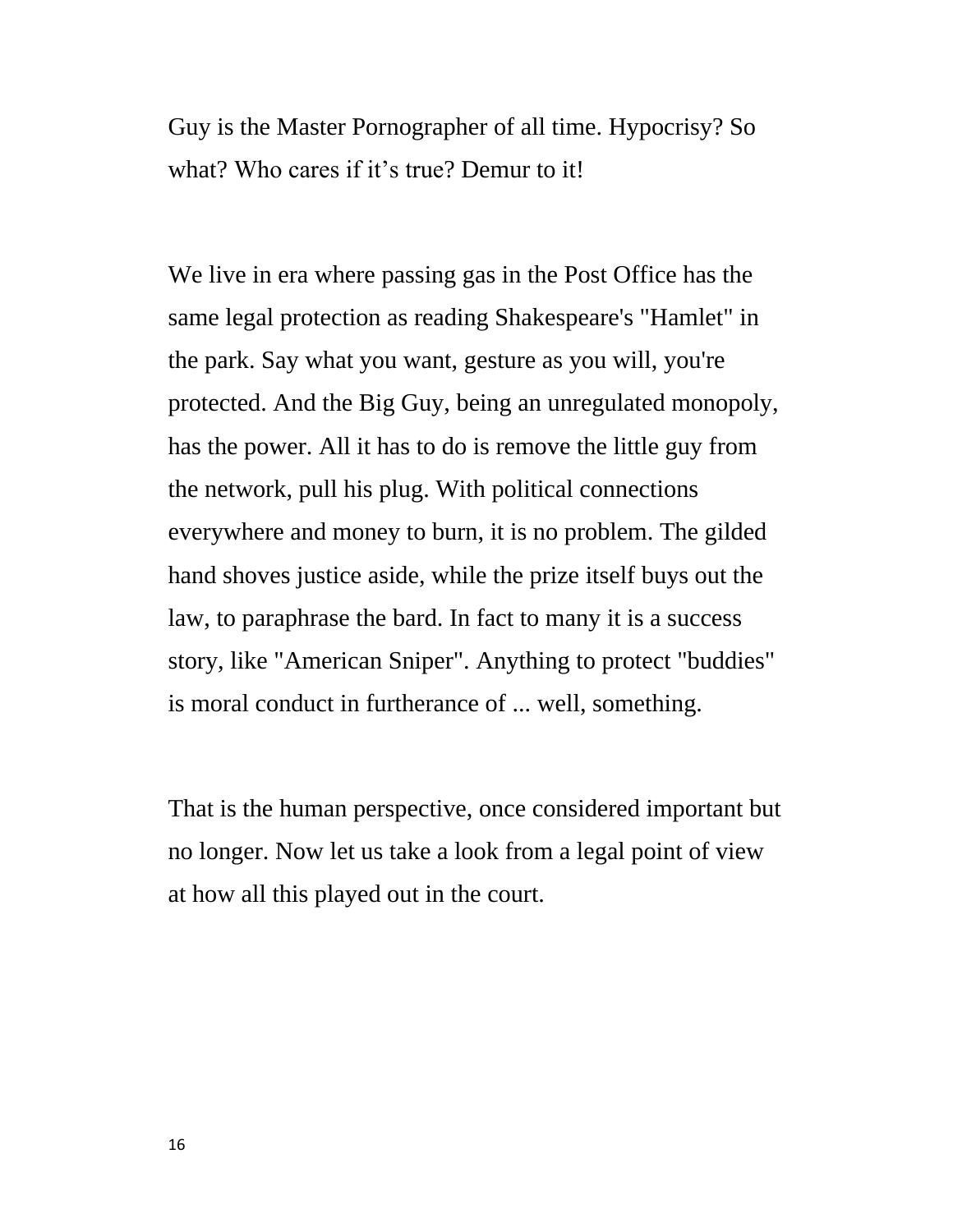Guy is the Master Pornographer of all time. Hypocrisy? So what? Who cares if it's true? Demur to it!

We live in era where passing gas in the Post Office has the same legal protection as reading Shakespeare's "Hamlet" in the park. Say what you want, gesture as you will, you're protected. And the Big Guy, being an unregulated monopoly, has the power. All it has to do is remove the little guy from the network, pull his plug. With political connections everywhere and money to burn, it is no problem. The gilded hand shoves justice aside, while the prize itself buys out the law, to paraphrase the bard. In fact to many it is a success story, like "American Sniper". Anything to protect "buddies" is moral conduct in furtherance of ... well, something.

That is the human perspective, once considered important but no longer. Now let us take a look from a legal point of view at how all this played out in the court.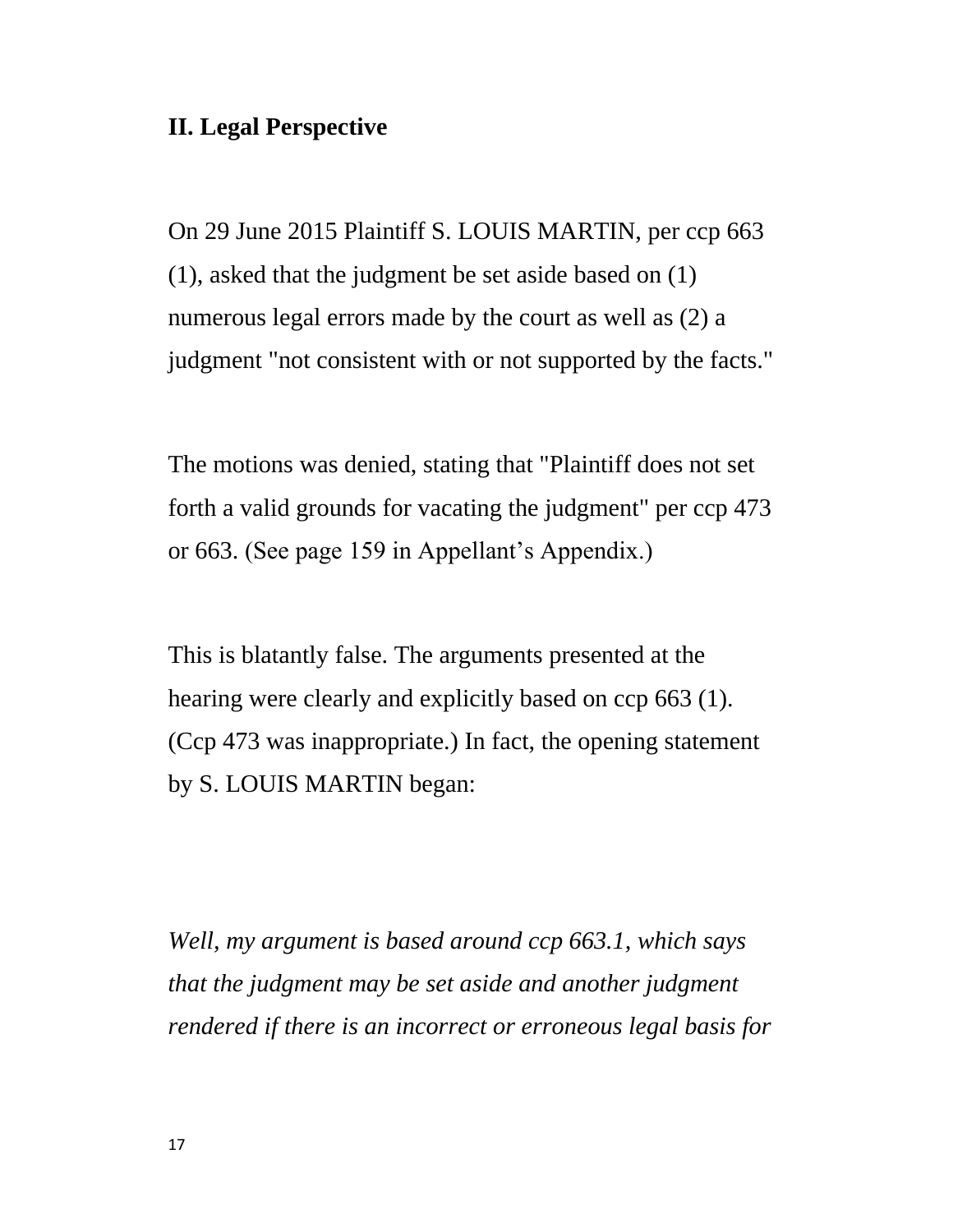## **II. Legal Perspective**

On 29 June 2015 Plaintiff S. LOUIS MARTIN, per ccp 663 (1), asked that the judgment be set aside based on (1) numerous legal errors made by the court as well as  $(2)$  a judgment "not consistent with or not supported by the facts."

The motions was denied, stating that "Plaintiff does not set forth a valid grounds for vacating the judgment" per ccp 473 or 663. (See page 159 in Appellant's Appendix.)

This is blatantly false. The arguments presented at the hearing were clearly and explicitly based on ccp 663 (1). (Ccp 473 was inappropriate.) In fact, the opening statement by S. LOUIS MARTIN began:

*Well, my argument is based around ccp 663.1, which says that the judgment may be set aside and another judgment rendered if there is an incorrect or erroneous legal basis for*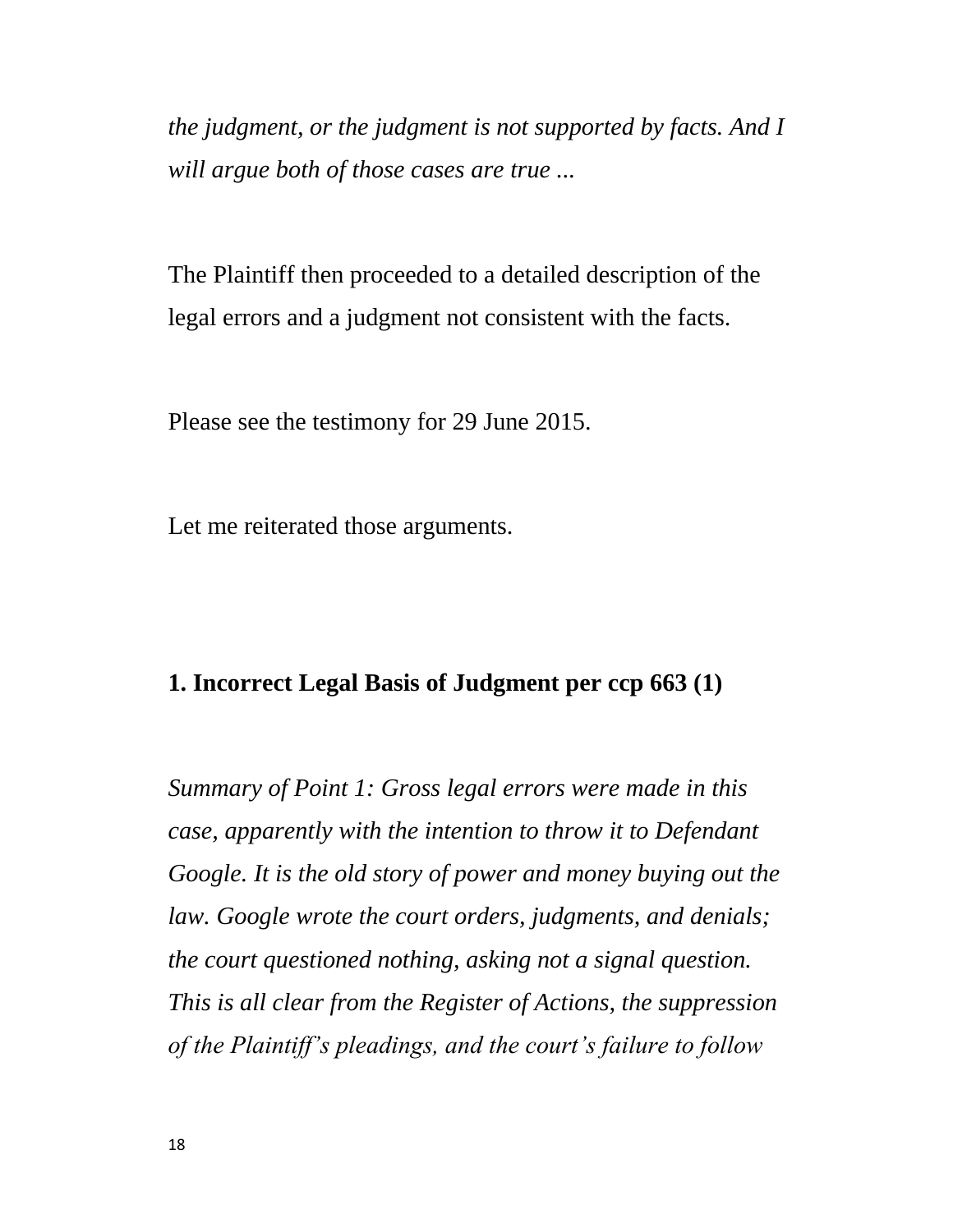*the judgment, or the judgment is not supported by facts. And I will argue both of those cases are true ...*

The Plaintiff then proceeded to a detailed description of the legal errors and a judgment not consistent with the facts.

Please see the testimony for 29 June 2015.

Let me reiterated those arguments.

#### **1. Incorrect Legal Basis of Judgment per ccp 663 (1)**

*Summary of Point 1: Gross legal errors were made in this case, apparently with the intention to throw it to Defendant Google. It is the old story of power and money buying out the law. Google wrote the court orders, judgments, and denials; the court questioned nothing, asking not a signal question. This is all clear from the Register of Actions, the suppression of the Plaintiff's pleadings, and the court's failure to follow*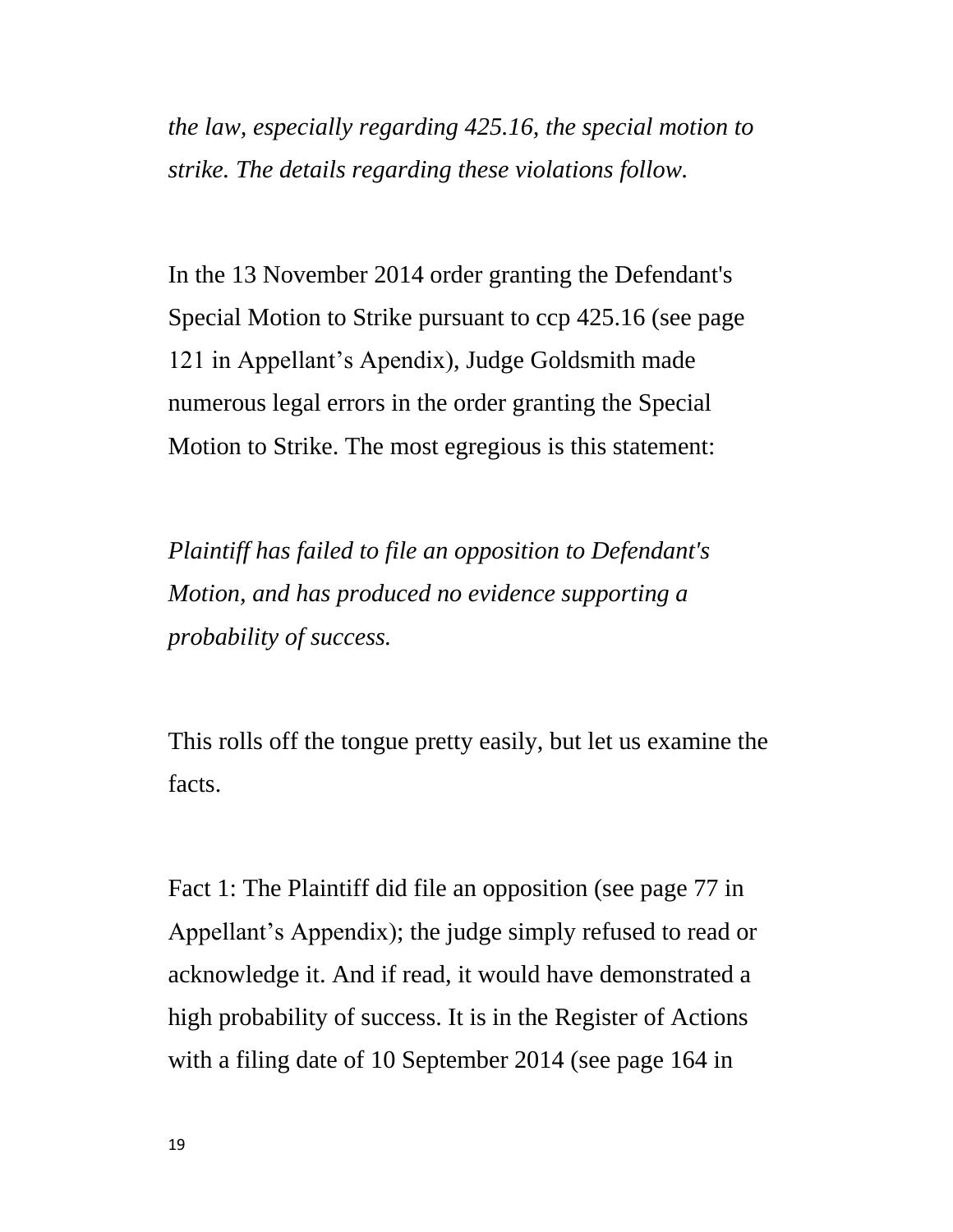*the law, especially regarding 425.16, the special motion to strike. The details regarding these violations follow.*

In the 13 November 2014 order granting the Defendant's Special Motion to Strike pursuant to ccp 425.16 (see page 121 in Appellant's Apendix), Judge Goldsmith made numerous legal errors in the order granting the Special Motion to Strike. The most egregious is this statement:

*Plaintiff has failed to file an opposition to Defendant's Motion, and has produced no evidence supporting a probability of success.*

This rolls off the tongue pretty easily, but let us examine the facts.

Fact 1: The Plaintiff did file an opposition (see page 77 in Appellant's Appendix); the judge simply refused to read or acknowledge it. And if read, it would have demonstrated a high probability of success. It is in the Register of Actions with a filing date of 10 September 2014 (see page 164 in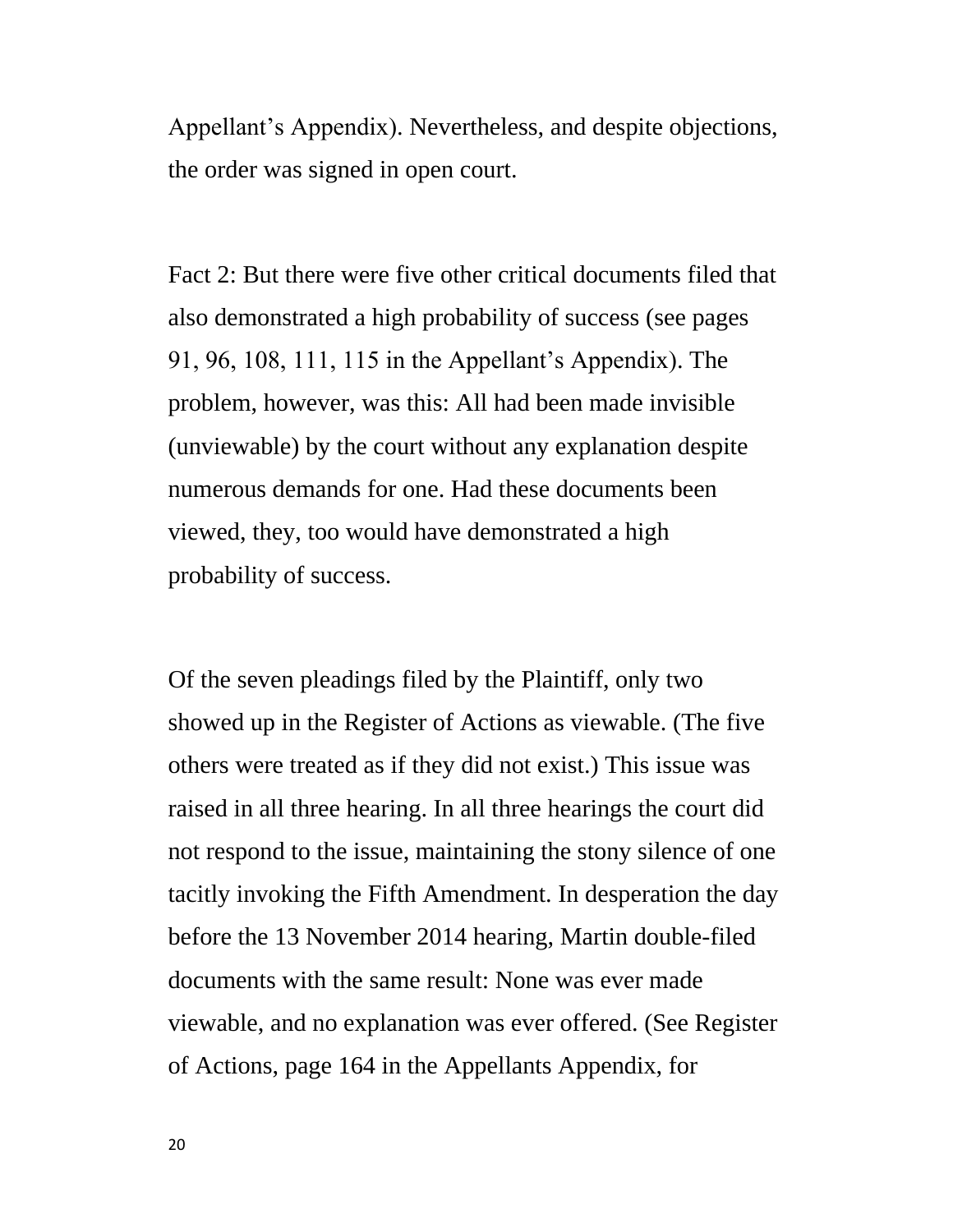Appellant's Appendix). Nevertheless, and despite objections, the order was signed in open court.

Fact 2: But there were five other critical documents filed that also demonstrated a high probability of success (see pages 91, 96, 108, 111, 115 in the Appellant's Appendix). The problem, however, was this: All had been made invisible (unviewable) by the court without any explanation despite numerous demands for one. Had these documents been viewed, they, too would have demonstrated a high probability of success.

Of the seven pleadings filed by the Plaintiff, only two showed up in the Register of Actions as viewable. (The five others were treated as if they did not exist.) This issue was raised in all three hearing. In all three hearings the court did not respond to the issue, maintaining the stony silence of one tacitly invoking the Fifth Amendment. In desperation the day before the 13 November 2014 hearing, Martin double-filed documents with the same result: None was ever made viewable, and no explanation was ever offered. (See Register of Actions, page 164 in the Appellants Appendix, for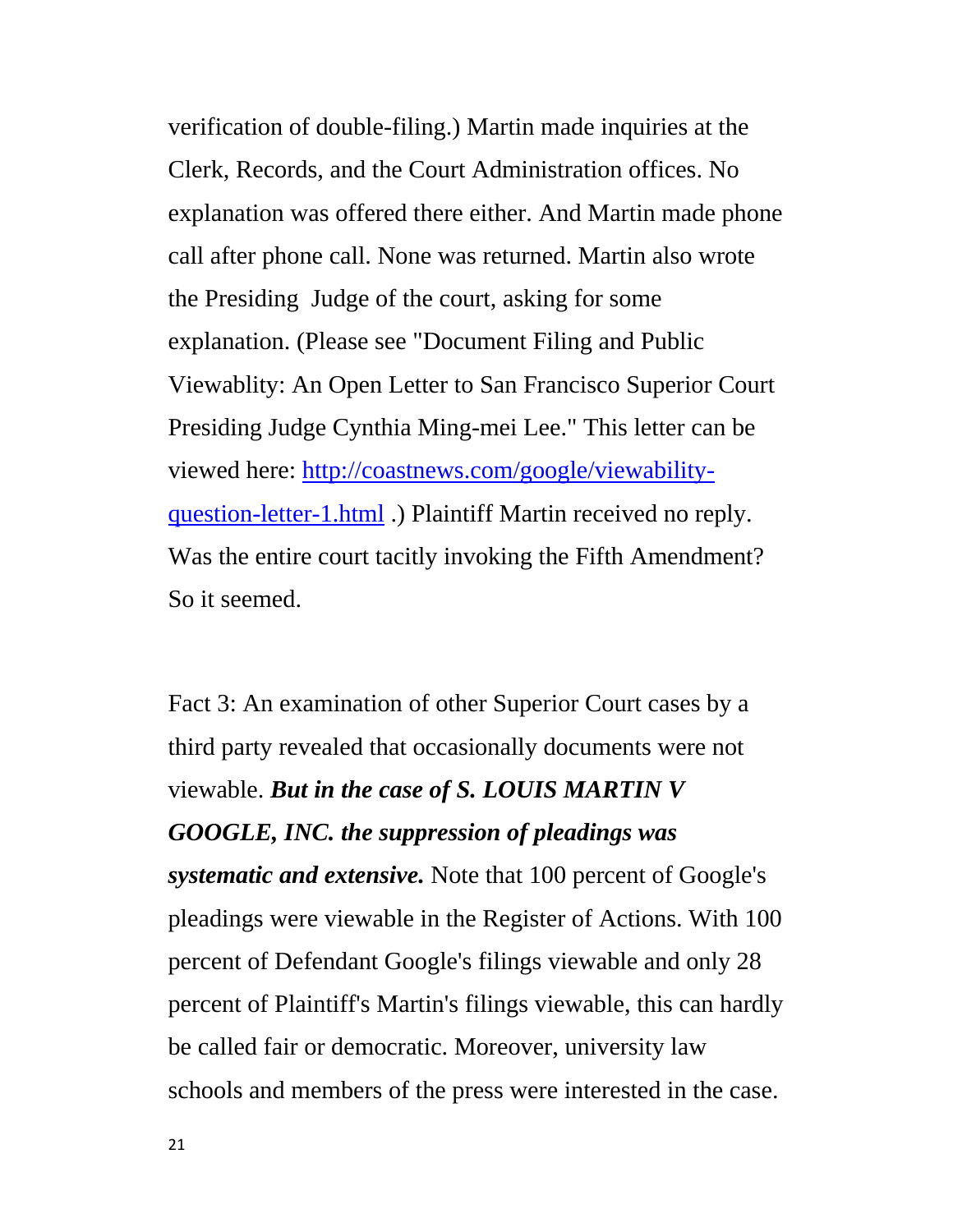verification of double-filing.) Martin made inquiries at the Clerk, Records, and the Court Administration offices. No explanation was offered there either. And Martin made phone call after phone call. None was returned. Martin also wrote the Presiding Judge of the court, asking for some explanation. (Please see "Document Filing and Public Viewablity: An Open Letter to San Francisco Superior Court Presiding Judge Cynthia Ming-mei Lee." This letter can be viewed here: [http://coastnews.com/google/viewability](http://coastnews.com/google/viewability-question-letter-1.html)[question-letter-1.html](http://coastnews.com/google/viewability-question-letter-1.html) .) Plaintiff Martin received no reply. Was the entire court tacitly invoking the Fifth Amendment? So it seemed.

Fact 3: An examination of other Superior Court cases by a third party revealed that occasionally documents were not viewable. *But in the case of S. LOUIS MARTIN V GOOGLE, INC. the suppression of pleadings was systematic and extensive.* Note that 100 percent of Google's pleadings were viewable in the Register of Actions. With 100 percent of Defendant Google's filings viewable and only 28 percent of Plaintiff's Martin's filings viewable, this can hardly be called fair or democratic. Moreover, university law schools and members of the press were interested in the case.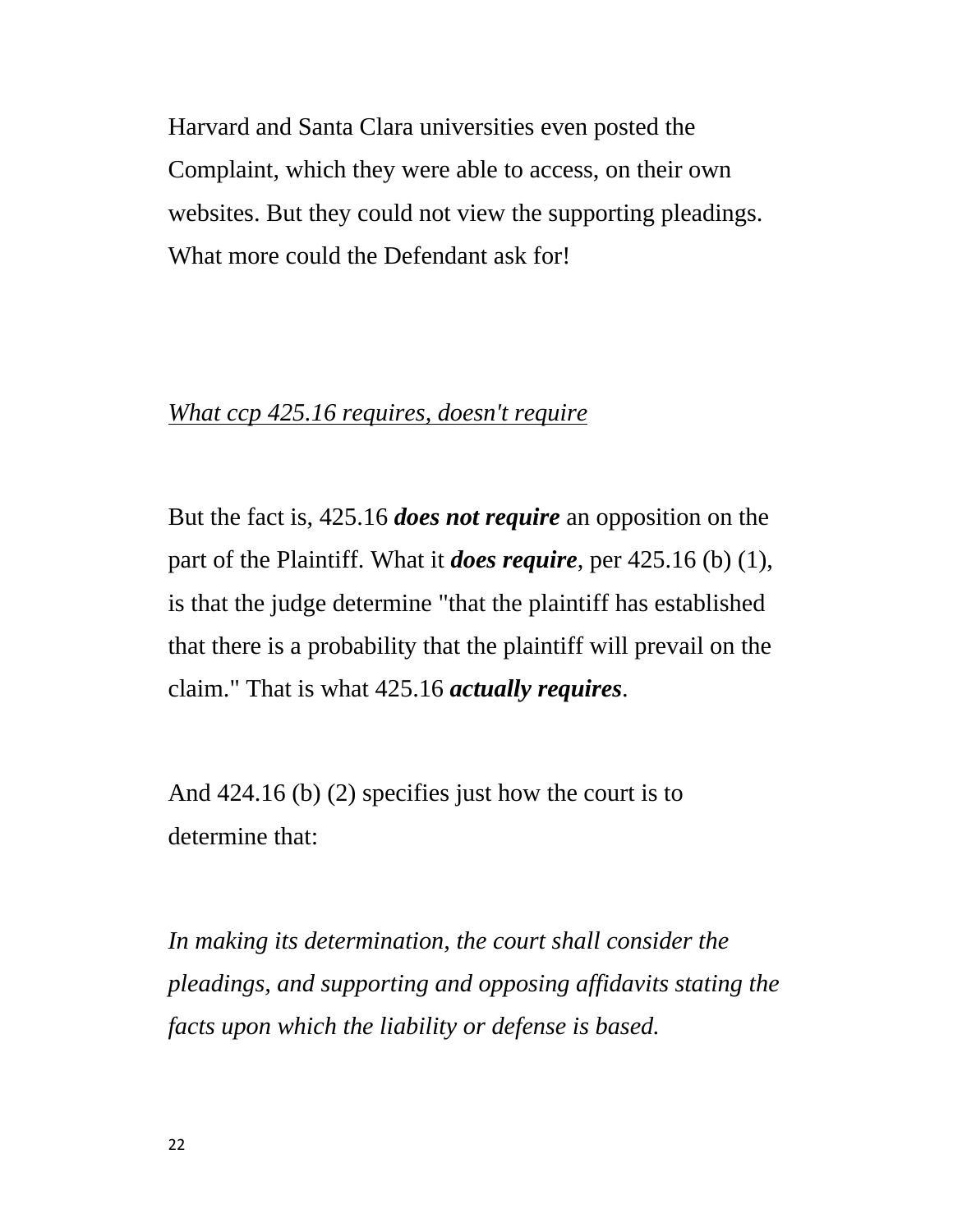Harvard and Santa Clara universities even posted the Complaint, which they were able to access, on their own websites. But they could not view the supporting pleadings. What more could the Defendant ask for!

## *What ccp 425.16 requires, doesn't require*

But the fact is, 425.16 *does not require* an opposition on the part of the Plaintiff. What it *does require*, per 425.16 (b) (1), is that the judge determine "that the plaintiff has established that there is a probability that the plaintiff will prevail on the claim." That is what 425.16 *actually requires*.

And 424.16 (b) (2) specifies just how the court is to determine that:

*In making its determination, the court shall consider the pleadings, and supporting and opposing affidavits stating the facts upon which the liability or defense is based.*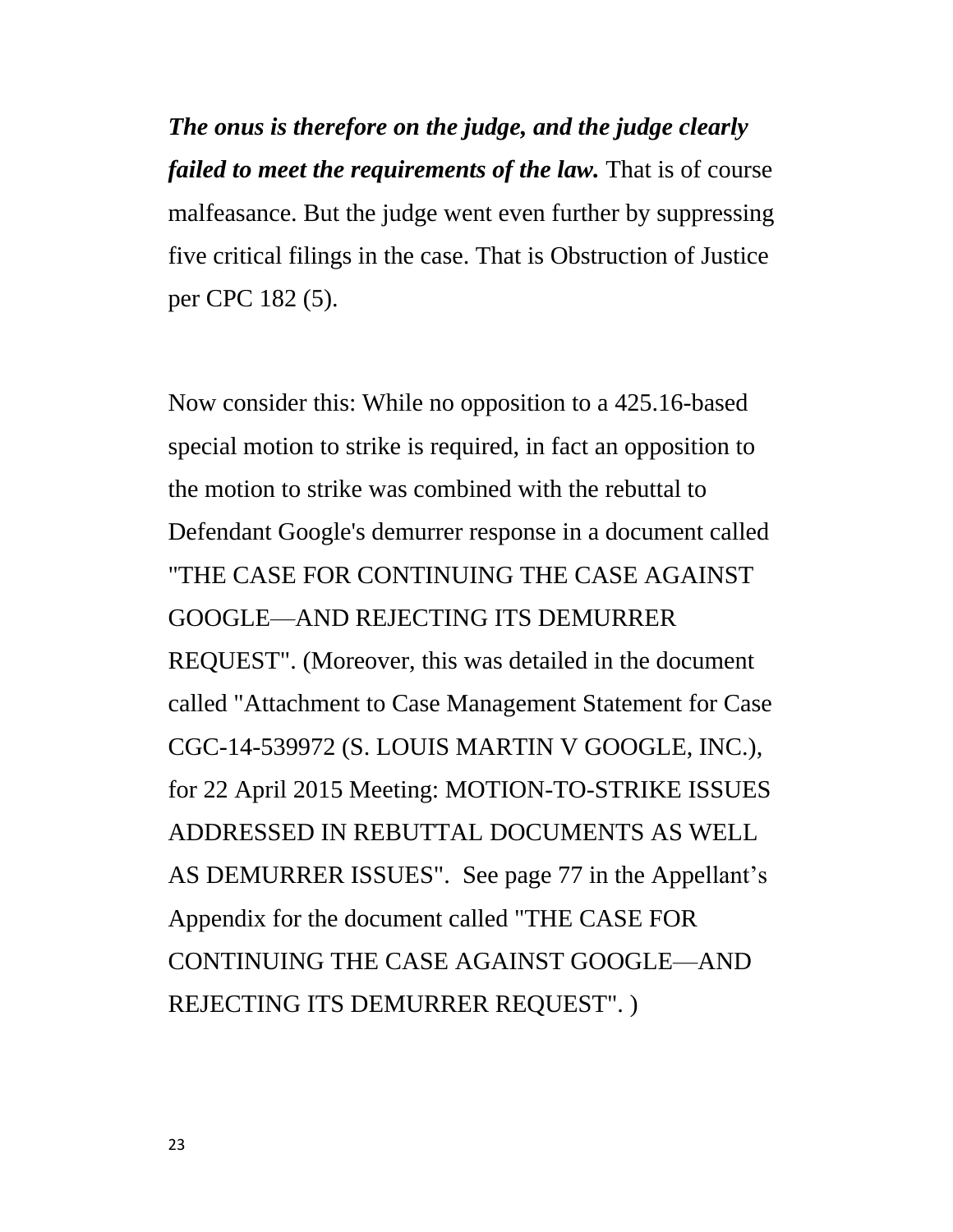*The onus is therefore on the judge, and the judge clearly failed to meet the requirements of the law.* That is of course malfeasance. But the judge went even further by suppressing five critical filings in the case. That is Obstruction of Justice per CPC 182 (5).

Now consider this: While no opposition to a 425.16-based special motion to strike is required, in fact an opposition to the motion to strike was combined with the rebuttal to Defendant Google's demurrer response in a document called "THE CASE FOR CONTINUING THE CASE AGAINST GOOGLE—AND REJECTING ITS DEMURRER REQUEST". (Moreover, this was detailed in the document called "Attachment to Case Management Statement for Case CGC-14-539972 (S. LOUIS MARTIN V GOOGLE, INC.), for 22 April 2015 Meeting: MOTION-TO-STRIKE ISSUES ADDRESSED IN REBUTTAL DOCUMENTS AS WELL AS DEMURRER ISSUES". See page 77 in the Appellant's Appendix for the document called "THE CASE FOR CONTINUING THE CASE AGAINST GOOGLE—AND REJECTING ITS DEMURRER REQUEST". )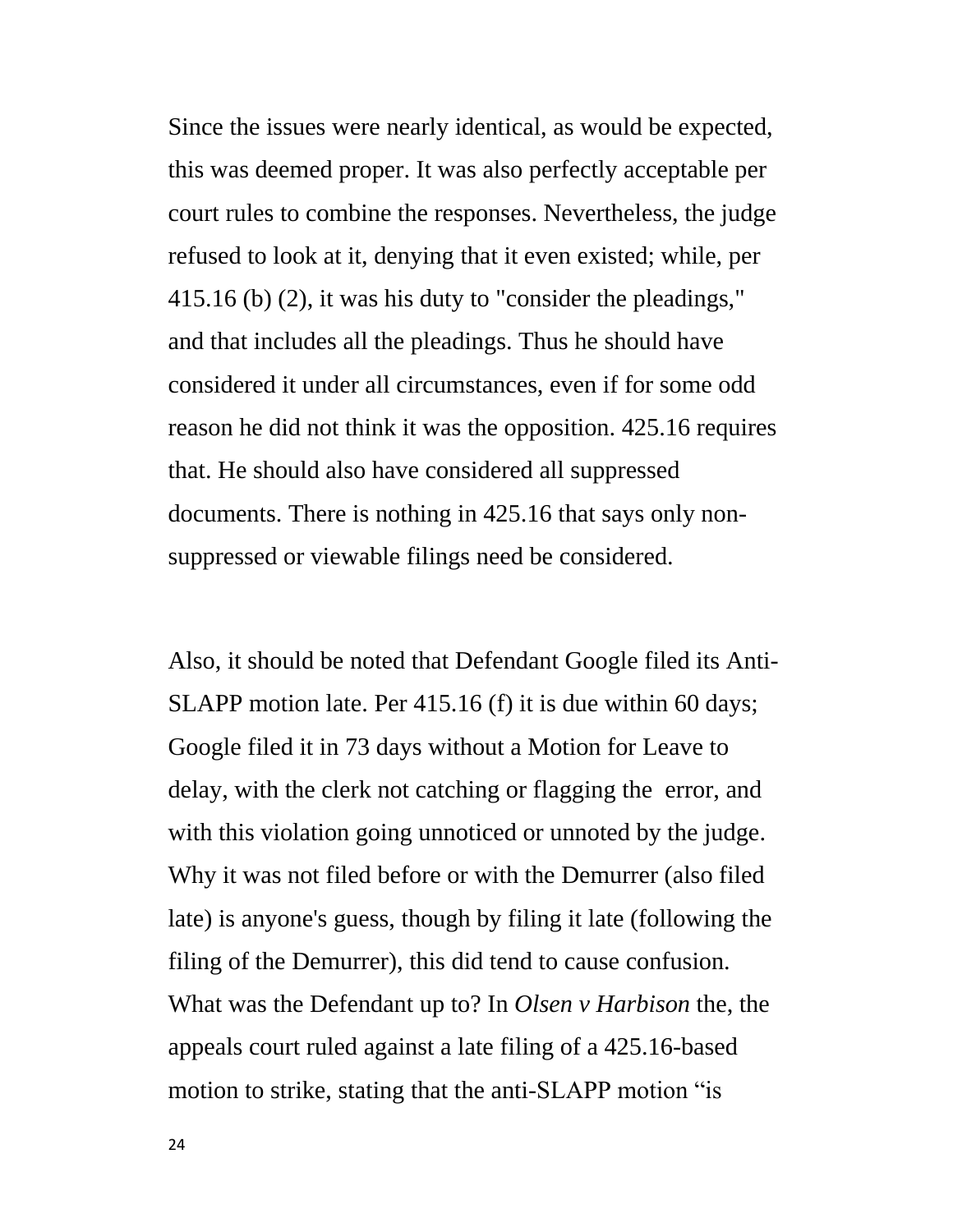Since the issues were nearly identical, as would be expected, this was deemed proper. It was also perfectly acceptable per court rules to combine the responses. Nevertheless, the judge refused to look at it, denying that it even existed; while, per 415.16 (b) (2), it was his duty to "consider the pleadings," and that includes all the pleadings. Thus he should have considered it under all circumstances, even if for some odd reason he did not think it was the opposition. 425.16 requires that. He should also have considered all suppressed documents. There is nothing in 425.16 that says only nonsuppressed or viewable filings need be considered.

Also, it should be noted that Defendant Google filed its Anti-SLAPP motion late. Per 415.16 (f) it is due within 60 days; Google filed it in 73 days without a Motion for Leave to delay, with the clerk not catching or flagging the error, and with this violation going unnoticed or unnoted by the judge. Why it was not filed before or with the Demurrer (also filed late) is anyone's guess, though by filing it late (following the filing of the Demurrer), this did tend to cause confusion. What was the Defendant up to? In *Olsen v Harbison* the, the appeals court ruled against a late filing of a 425.16-based motion to strike, stating that the anti-SLAPP motion "is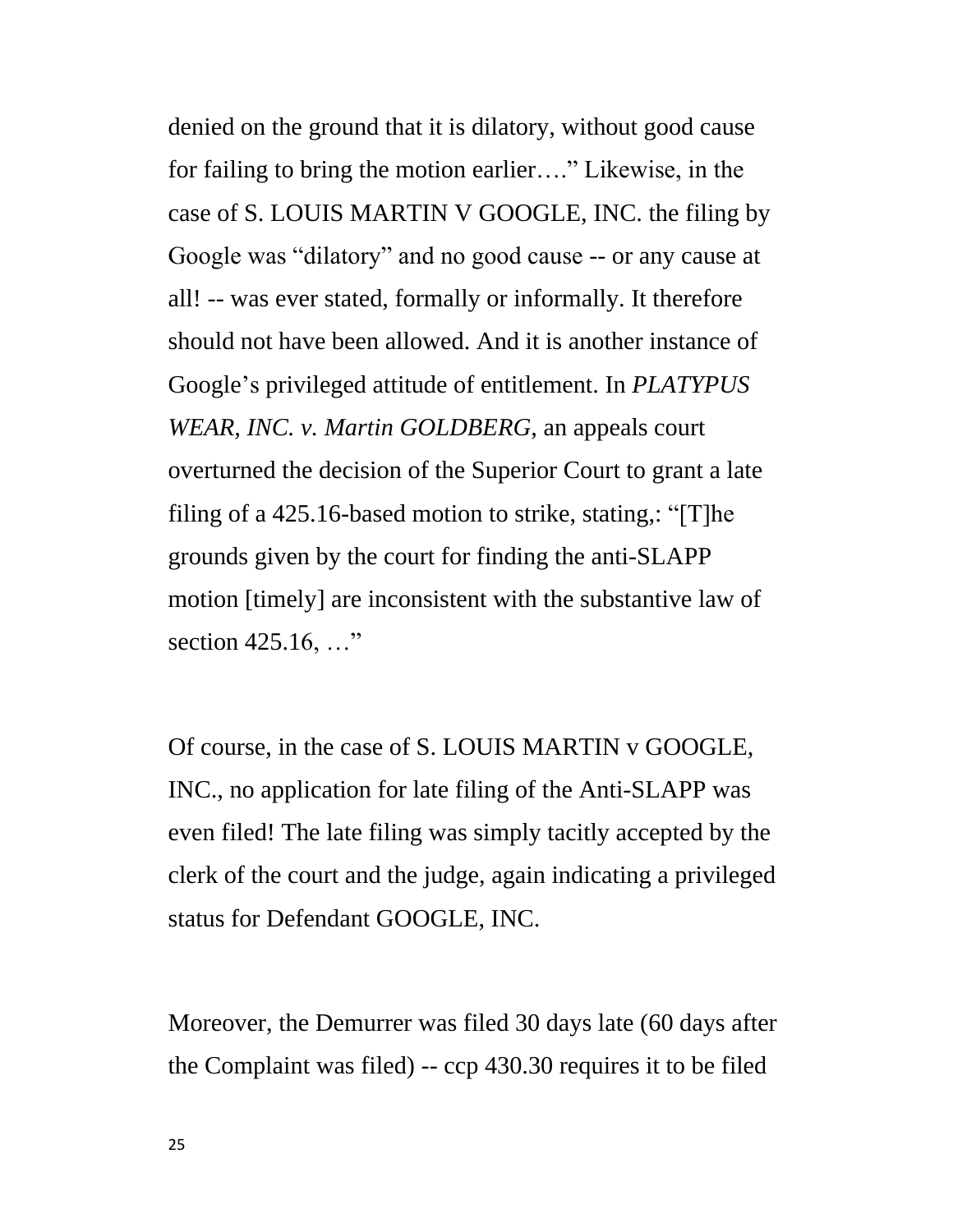denied on the ground that it is dilatory, without good cause for failing to bring the motion earlier...." Likewise, in the case of S. LOUIS MARTIN V GOOGLE, INC. the filing by Google was "dilatory" and no good cause -- or any cause at all! -- was ever stated, formally or informally. It therefore should not have been allowed. And it is another instance of Google's privileged attitude of entitlement. In *PLATYPUS WEAR, INC. v. Martin GOLDBERG*, an appeals court overturned the decision of the Superior Court to grant a late filing of a 425.16-based motion to strike, stating,: "[T]he grounds given by the court for finding the anti-SLAPP motion [timely] are inconsistent with the substantive law of section  $425.16, ...$ "

Of course, in the case of S. LOUIS MARTIN v GOOGLE, INC., no application for late filing of the Anti-SLAPP was even filed! The late filing was simply tacitly accepted by the clerk of the court and the judge, again indicating a privileged status for Defendant GOOGLE, INC.

Moreover, the Demurrer was filed 30 days late (60 days after the Complaint was filed) -- ccp 430.30 requires it to be filed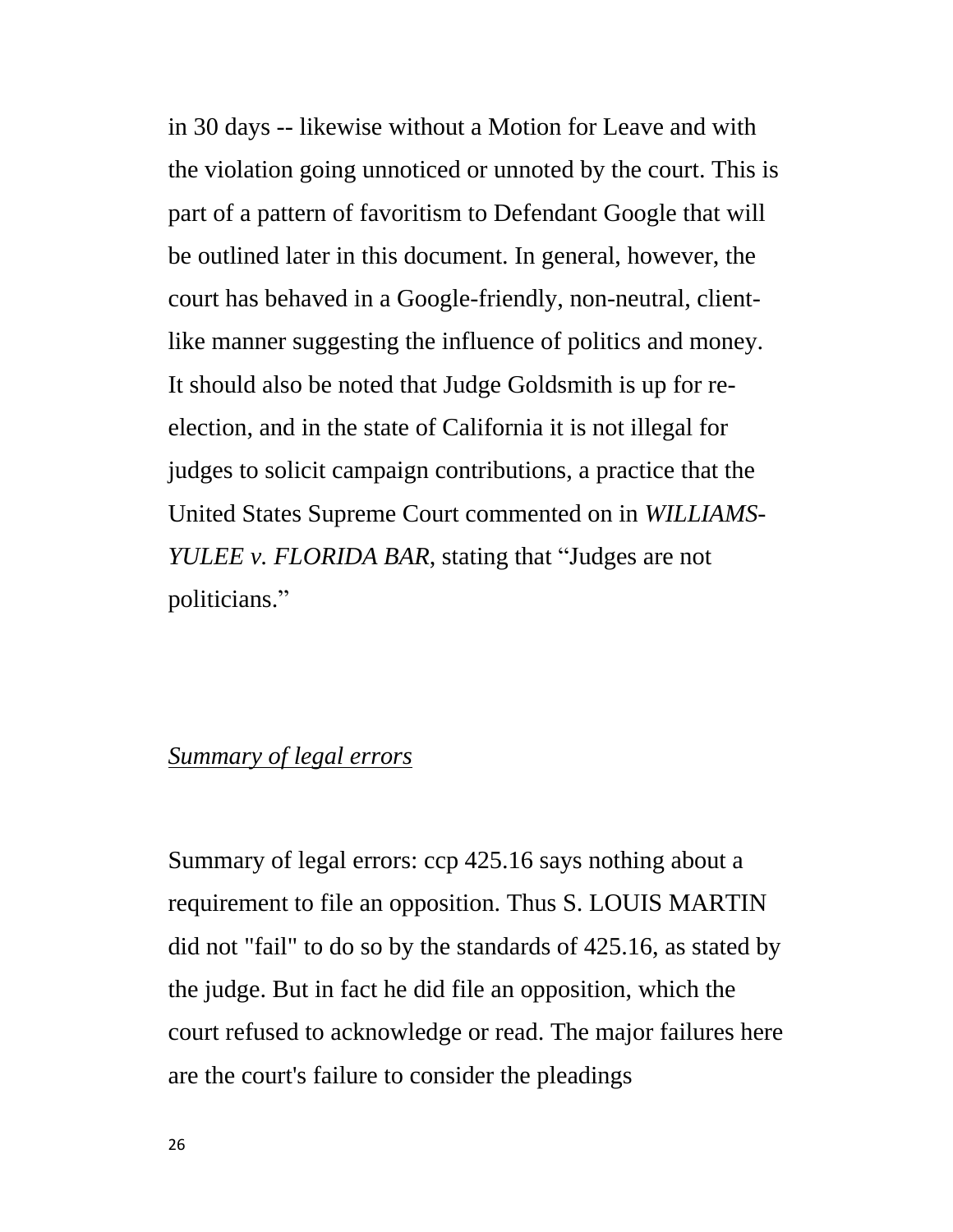in 30 days -- likewise without a Motion for Leave and with the violation going unnoticed or unnoted by the court. This is part of a pattern of favoritism to Defendant Google that will be outlined later in this document. In general, however, the court has behaved in a Google-friendly, non-neutral, clientlike manner suggesting the influence of politics and money. It should also be noted that Judge Goldsmith is up for reelection, and in the state of California it is not illegal for judges to solicit campaign contributions, a practice that the United States Supreme Court commented on in *WILLIAMS-YULEE v. FLORIDA BAR*, stating that "Judges are not politicians."

# *Summary of legal errors*

Summary of legal errors: ccp 425.16 says nothing about a requirement to file an opposition. Thus S. LOUIS MARTIN did not "fail" to do so by the standards of 425.16, as stated by the judge. But in fact he did file an opposition, which the court refused to acknowledge or read. The major failures here are the court's failure to consider the pleadings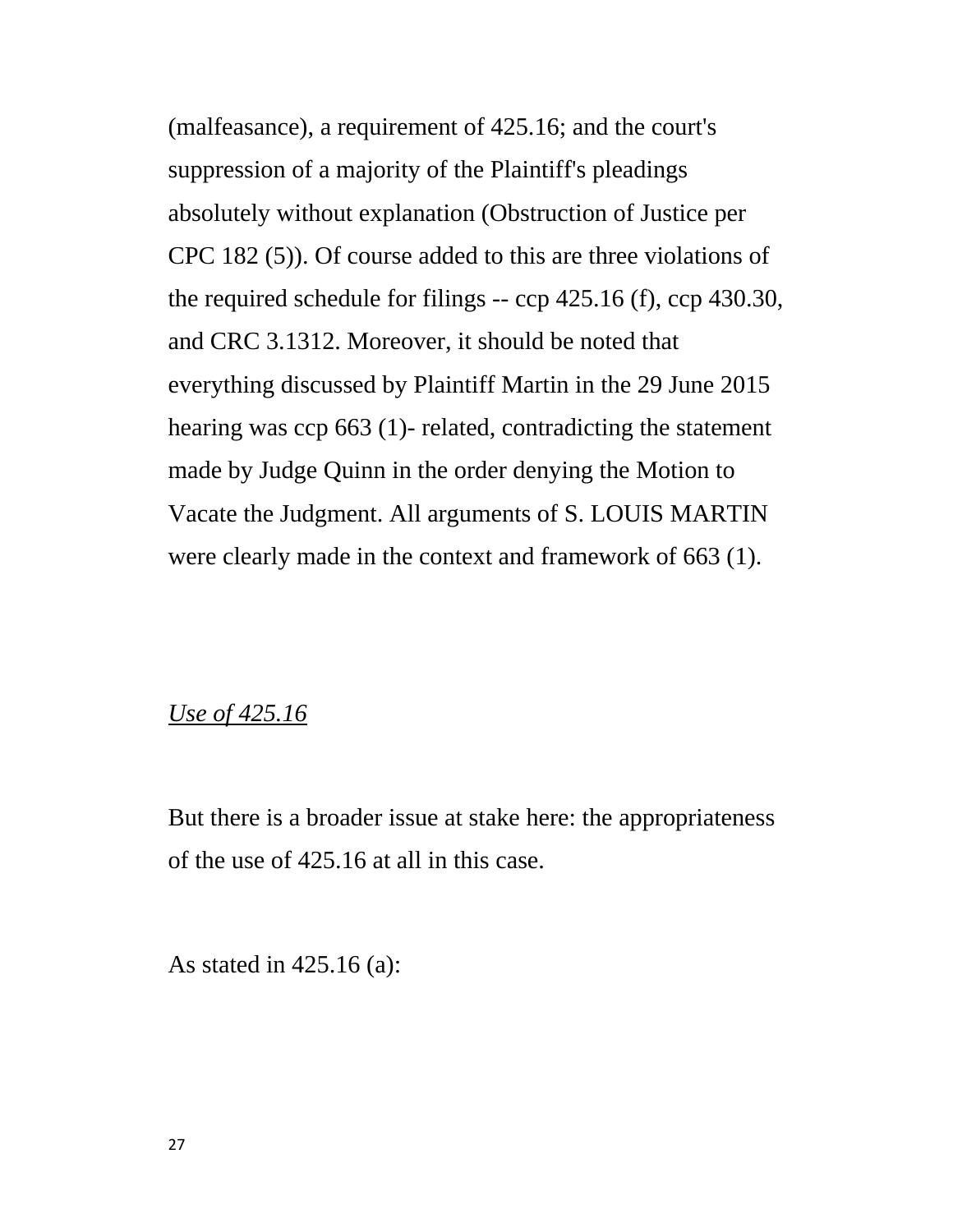(malfeasance), a requirement of 425.16; and the court's suppression of a majority of the Plaintiff's pleadings absolutely without explanation (Obstruction of Justice per CPC 182 (5)). Of course added to this are three violations of the required schedule for filings -- ccp 425.16 (f), ccp 430.30, and CRC 3.1312. Moreover, it should be noted that everything discussed by Plaintiff Martin in the 29 June 2015 hearing was ccp 663 (1)- related, contradicting the statement made by Judge Quinn in the order denying the Motion to Vacate the Judgment. All arguments of S. LOUIS MARTIN were clearly made in the context and framework of 663 (1).

#### *Use of 425.16*

But there is a broader issue at stake here: the appropriateness of the use of 425.16 at all in this case.

As stated in 425.16 (a):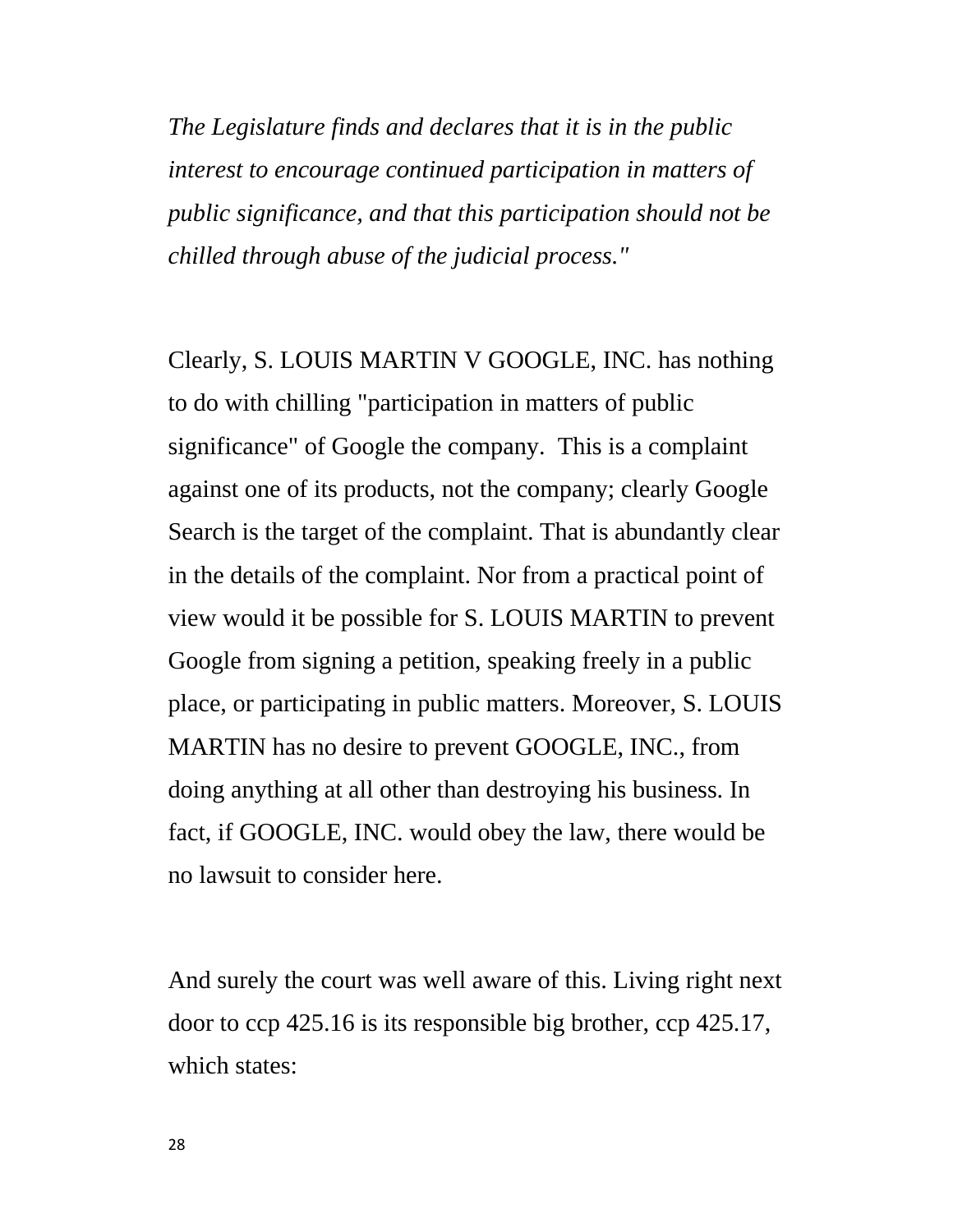*The Legislature finds and declares that it is in the public interest to encourage continued participation in matters of public significance, and that this participation should not be chilled through abuse of the judicial process."*

Clearly, S. LOUIS MARTIN V GOOGLE, INC. has nothing to do with chilling "participation in matters of public significance" of Google the company. This is a complaint against one of its products, not the company; clearly Google Search is the target of the complaint. That is abundantly clear in the details of the complaint. Nor from a practical point of view would it be possible for S. LOUIS MARTIN to prevent Google from signing a petition, speaking freely in a public place, or participating in public matters. Moreover, S. LOUIS MARTIN has no desire to prevent GOOGLE, INC., from doing anything at all other than destroying his business. In fact, if GOOGLE, INC. would obey the law, there would be no lawsuit to consider here.

And surely the court was well aware of this. Living right next door to ccp 425.16 is its responsible big brother, ccp 425.17, which states: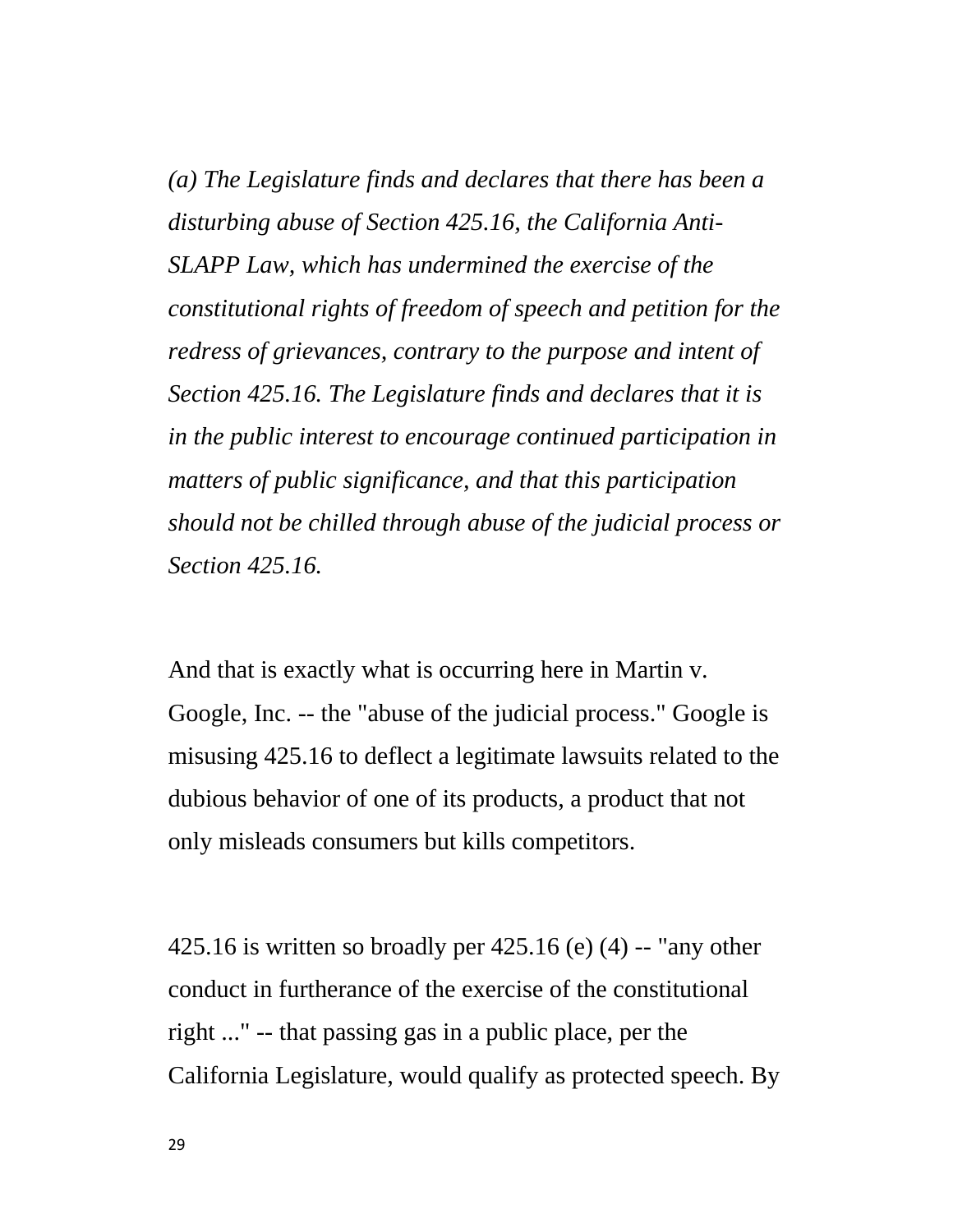*(a) The Legislature finds and declares that there has been a disturbing abuse of Section 425.16, the California Anti-SLAPP Law, which has undermined the exercise of the constitutional rights of freedom of speech and petition for the redress of grievances, contrary to the purpose and intent of Section 425.16. The Legislature finds and declares that it is in the public interest to encourage continued participation in matters of public significance, and that this participation should not be chilled through abuse of the judicial process or Section 425.16.*

And that is exactly what is occurring here in Martin v. Google, Inc. -- the "abuse of the judicial process." Google is misusing 425.16 to deflect a legitimate lawsuits related to the dubious behavior of one of its products, a product that not only misleads consumers but kills competitors.

425.16 is written so broadly per  $425.16$  (e) (4) -- "any other conduct in furtherance of the exercise of the constitutional right ..." -- that passing gas in a public place, per the California Legislature, would qualify as protected speech. By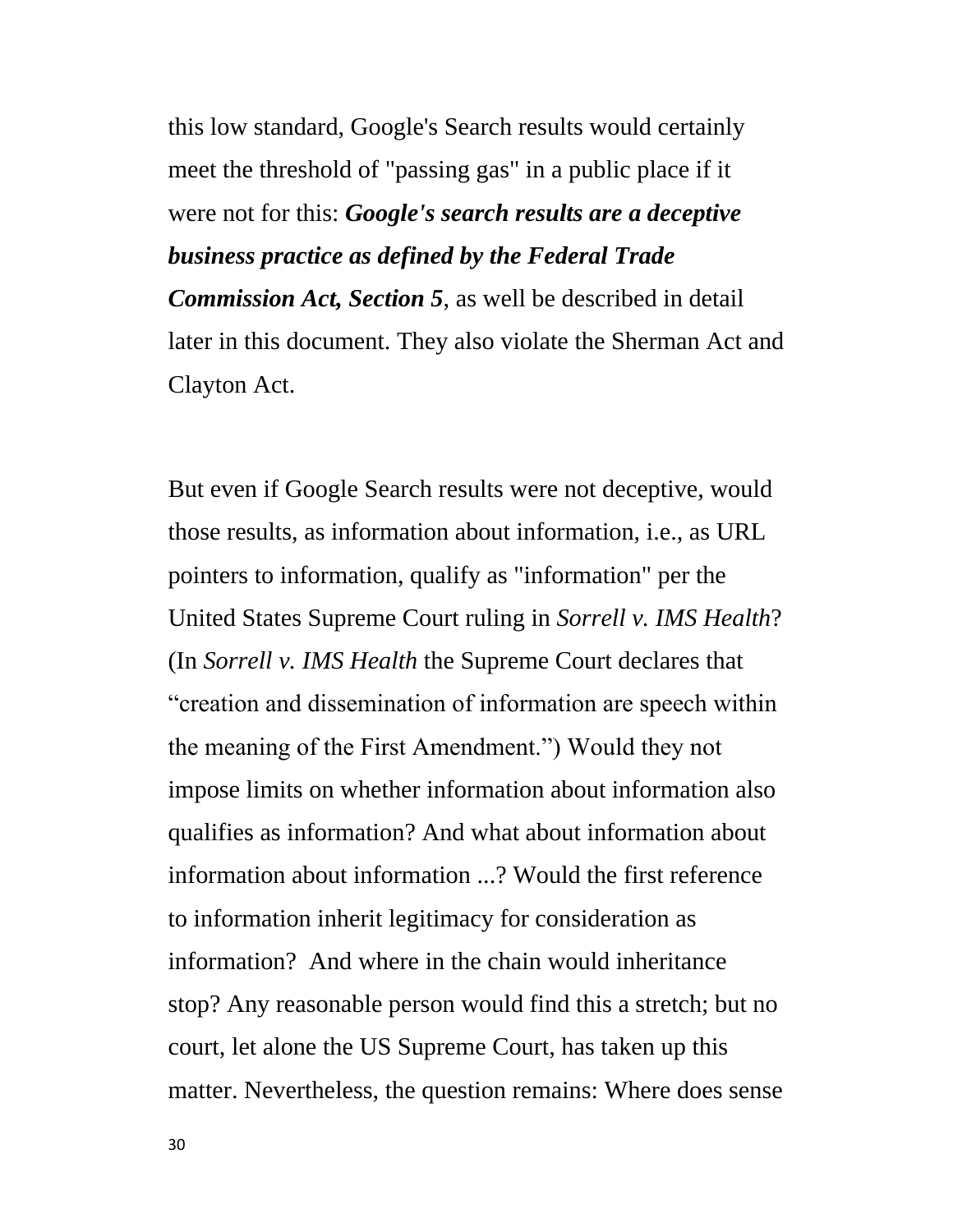this low standard, Google's Search results would certainly meet the threshold of "passing gas" in a public place if it were not for this: *Google's search results are a deceptive business practice as defined by the Federal Trade Commission Act, Section 5*, as well be described in detail later in this document. They also violate the Sherman Act and Clayton Act.

But even if Google Search results were not deceptive, would those results, as information about information, i.e., as URL pointers to information, qualify as "information" per the United States Supreme Court ruling in *Sorrell v. IMS Health*? (In *Sorrell v. IMS Health* the Supreme Court declares that ―creation and dissemination of information are speech within the meaning of the First Amendment.") Would they not impose limits on whether information about information also qualifies as information? And what about information about information about information ...? Would the first reference to information inherit legitimacy for consideration as information? And where in the chain would inheritance stop? Any reasonable person would find this a stretch; but no court, let alone the US Supreme Court, has taken up this matter. Nevertheless, the question remains: Where does sense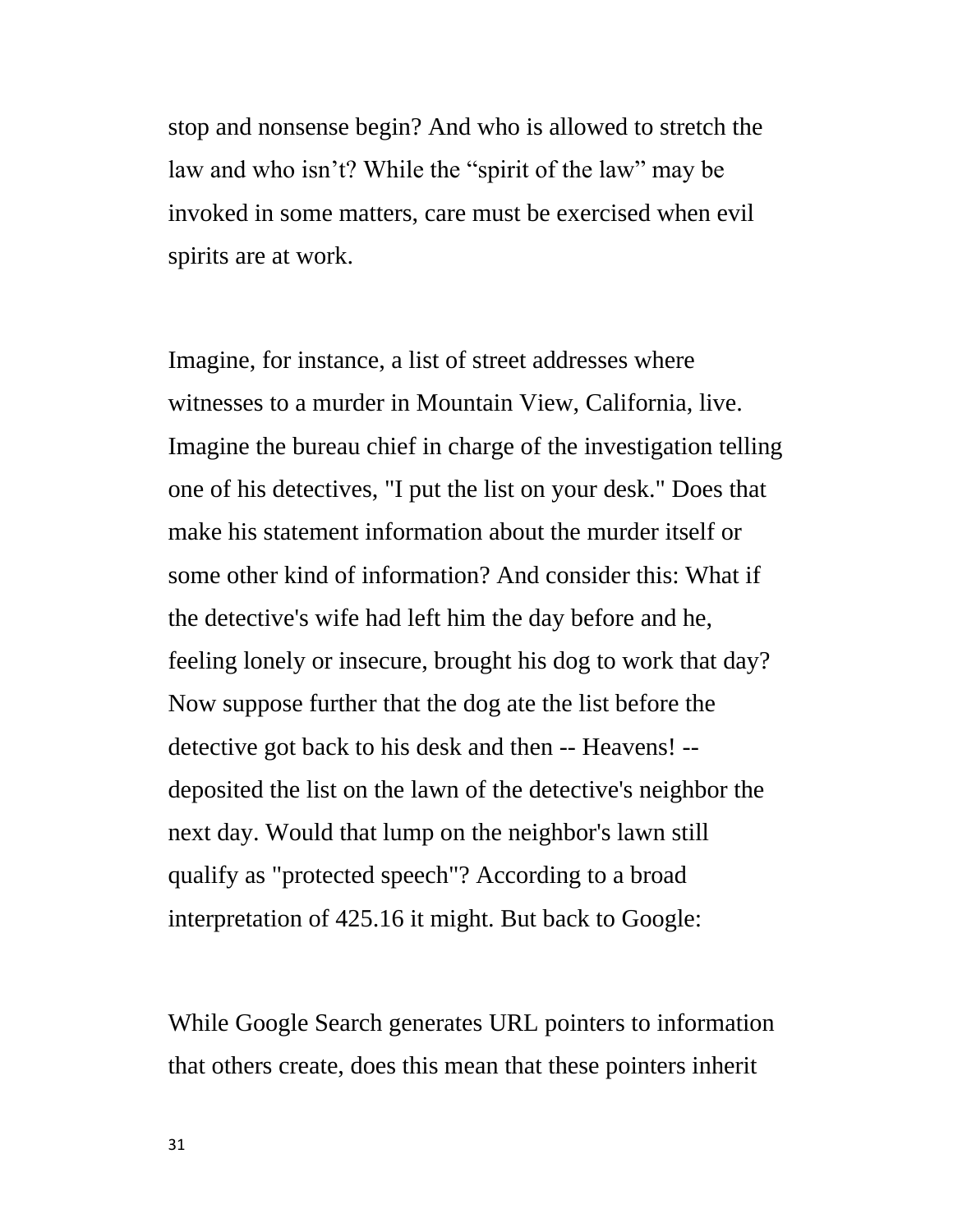stop and nonsense begin? And who is allowed to stretch the law and who isn't? While the "spirit of the law" may be invoked in some matters, care must be exercised when evil spirits are at work.

Imagine, for instance, a list of street addresses where witnesses to a murder in Mountain View, California, live. Imagine the bureau chief in charge of the investigation telling one of his detectives, "I put the list on your desk." Does that make his statement information about the murder itself or some other kind of information? And consider this: What if the detective's wife had left him the day before and he, feeling lonely or insecure, brought his dog to work that day? Now suppose further that the dog ate the list before the detective got back to his desk and then -- Heavens! - deposited the list on the lawn of the detective's neighbor the next day. Would that lump on the neighbor's lawn still qualify as "protected speech"? According to a broad interpretation of 425.16 it might. But back to Google:

While Google Search generates URL pointers to information that others create, does this mean that these pointers inherit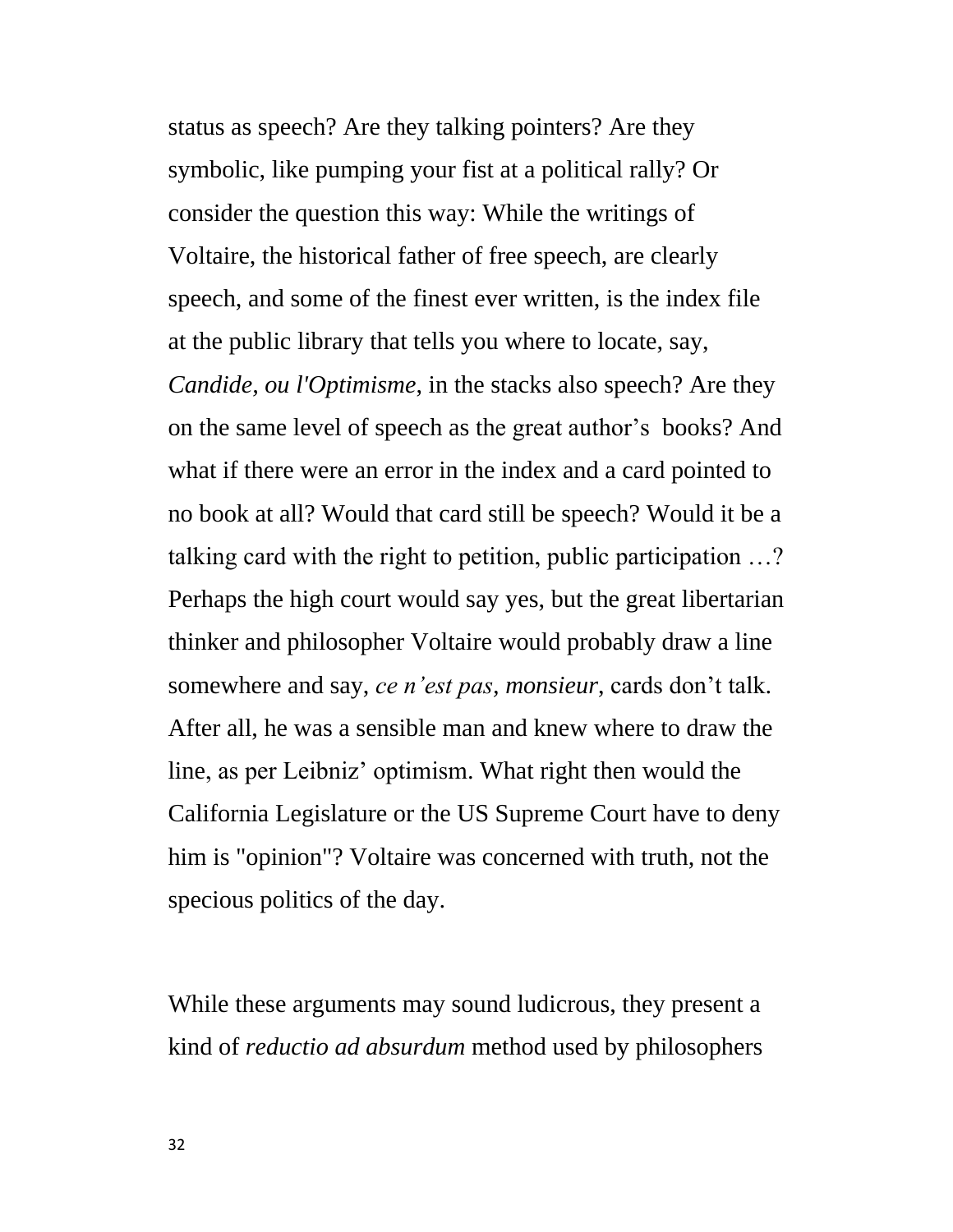status as speech? Are they talking pointers? Are they symbolic, like pumping your fist at a political rally? Or consider the question this way: While the writings of Voltaire, the historical father of free speech, are clearly speech, and some of the finest ever written, is the index file at the public library that tells you where to locate, say, *Candide, ou l'Optimisme*, in the stacks also speech? Are they on the same level of speech as the great author's books? And what if there were an error in the index and a card pointed to no book at all? Would that card still be speech? Would it be a talking card with the right to petition, public participation …? Perhaps the high court would say yes, but the great libertarian thinker and philosopher Voltaire would probably draw a line somewhere and say, *ce n'est pas, monsieur*, cards don't talk. After all, he was a sensible man and knew where to draw the line, as per Leibniz' optimism. What right then would the California Legislature or the US Supreme Court have to deny him is "opinion"? Voltaire was concerned with truth, not the specious politics of the day.

While these arguments may sound ludicrous, they present a kind of *reductio ad absurdum* method used by philosophers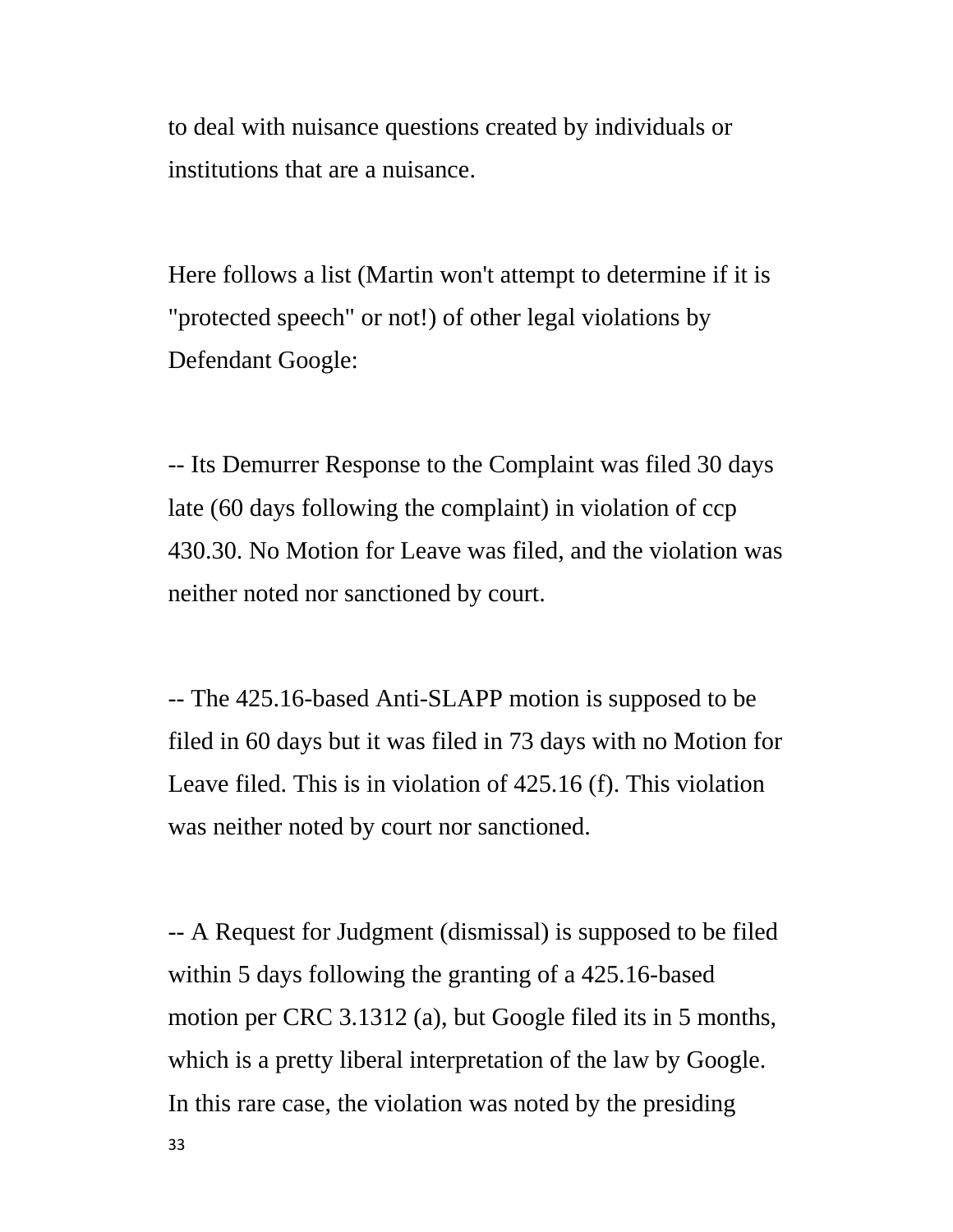to deal with nuisance questions created by individuals or institutions that are a nuisance.

Here follows a list (Martin won't attempt to determine if it is "protected speech" or not!) of other legal violations by Defendant Google:

-- Its Demurrer Response to the Complaint was filed 30 days late (60 days following the complaint) in violation of ccp 430.30. No Motion for Leave was filed, and the violation was neither noted nor sanctioned by court.

-- The 425.16-based Anti-SLAPP motion is supposed to be filed in 60 days but it was filed in 73 days with no Motion for Leave filed. This is in violation of 425.16 (f). This violation was neither noted by court nor sanctioned.

-- A Request for Judgment (dismissal) is supposed to be filed within 5 days following the granting of a 425.16-based motion per CRC 3.1312 (a), but Google filed its in 5 months, which is a pretty liberal interpretation of the law by Google. In this rare case, the violation was noted by the presiding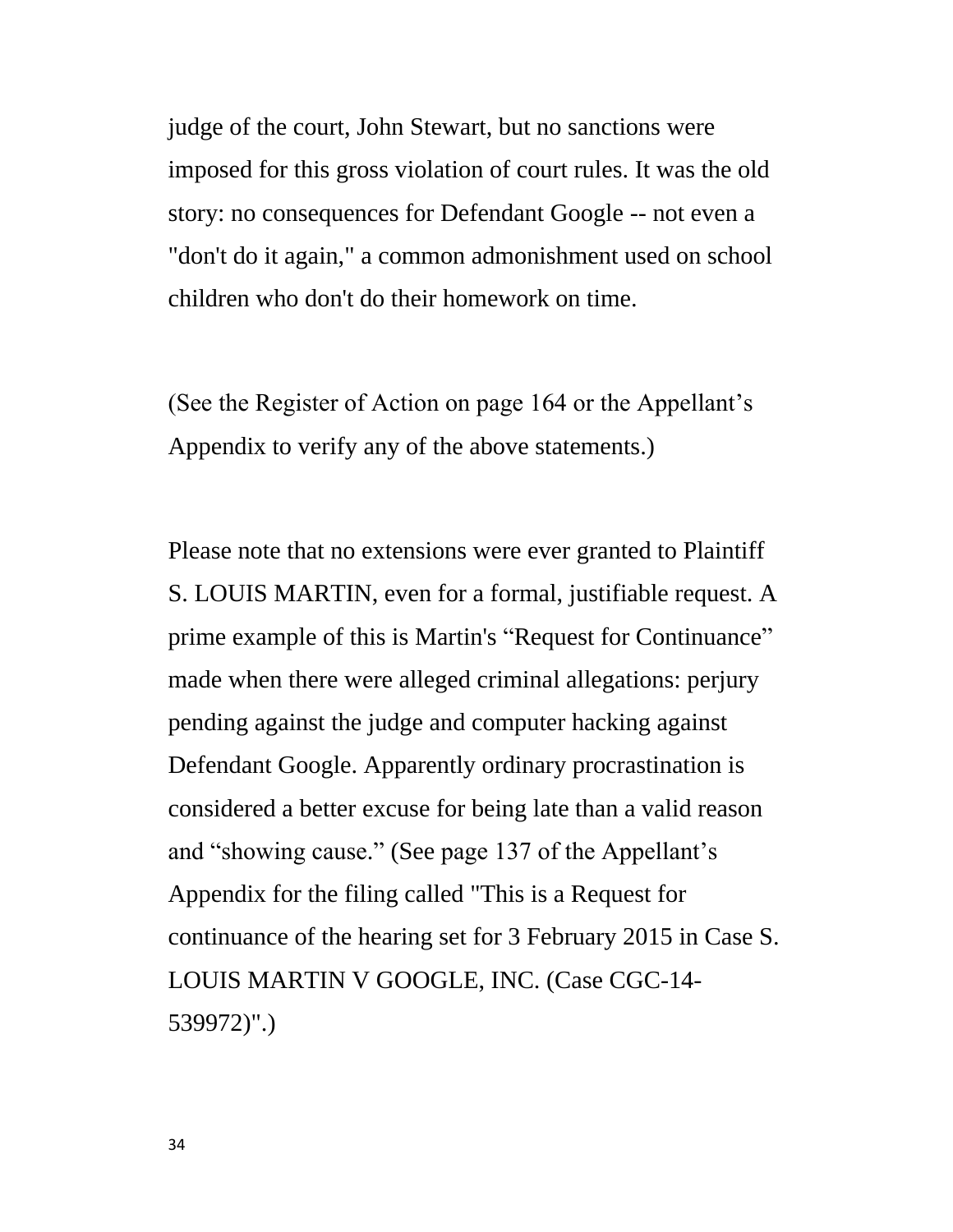judge of the court, John Stewart, but no sanctions were imposed for this gross violation of court rules. It was the old story: no consequences for Defendant Google -- not even a "don't do it again," a common admonishment used on school children who don't do their homework on time.

(See the Register of Action on page 164 or the Appellant's Appendix to verify any of the above statements.)

Please note that no extensions were ever granted to Plaintiff S. LOUIS MARTIN, even for a formal, justifiable request. A prime example of this is Martin's "Request for Continuance" made when there were alleged criminal allegations: perjury pending against the judge and computer hacking against Defendant Google. Apparently ordinary procrastination is considered a better excuse for being late than a valid reason and "showing cause." (See page 137 of the Appellant's Appendix for the filing called "This is a Request for continuance of the hearing set for 3 February 2015 in Case S. LOUIS MARTIN V GOOGLE, INC. (Case CGC-14- 539972)".)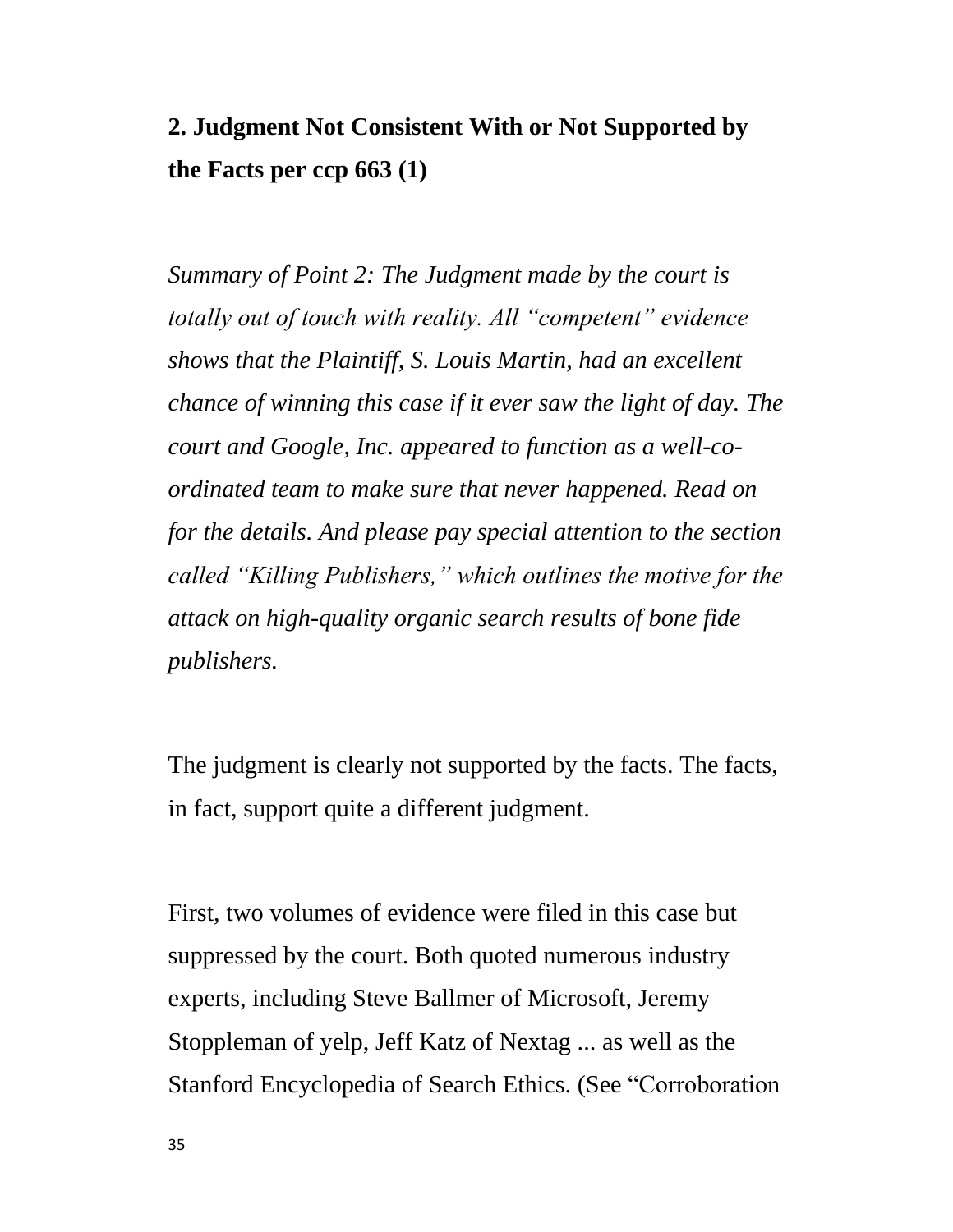# **2. Judgment Not Consistent With or Not Supported by the Facts per ccp 663 (1)**

*Summary of Point 2: The Judgment made by the court is totally out of touch with reality. All "competent" evidence shows that the Plaintiff, S. Louis Martin, had an excellent chance of winning this case if it ever saw the light of day. The court and Google, Inc. appeared to function as a well-coordinated team to make sure that never happened. Read on for the details. And please pay special attention to the section called "Killing Publishers," which outlines the motive for the attack on high-quality organic search results of bone fide publishers.*

The judgment is clearly not supported by the facts. The facts, in fact, support quite a different judgment.

First, two volumes of evidence were filed in this case but suppressed by the court. Both quoted numerous industry experts, including Steve Ballmer of Microsoft, Jeremy Stoppleman of yelp, Jeff Katz of Nextag ... as well as the Stanford Encyclopedia of Search Ethics. (See "Corroboration"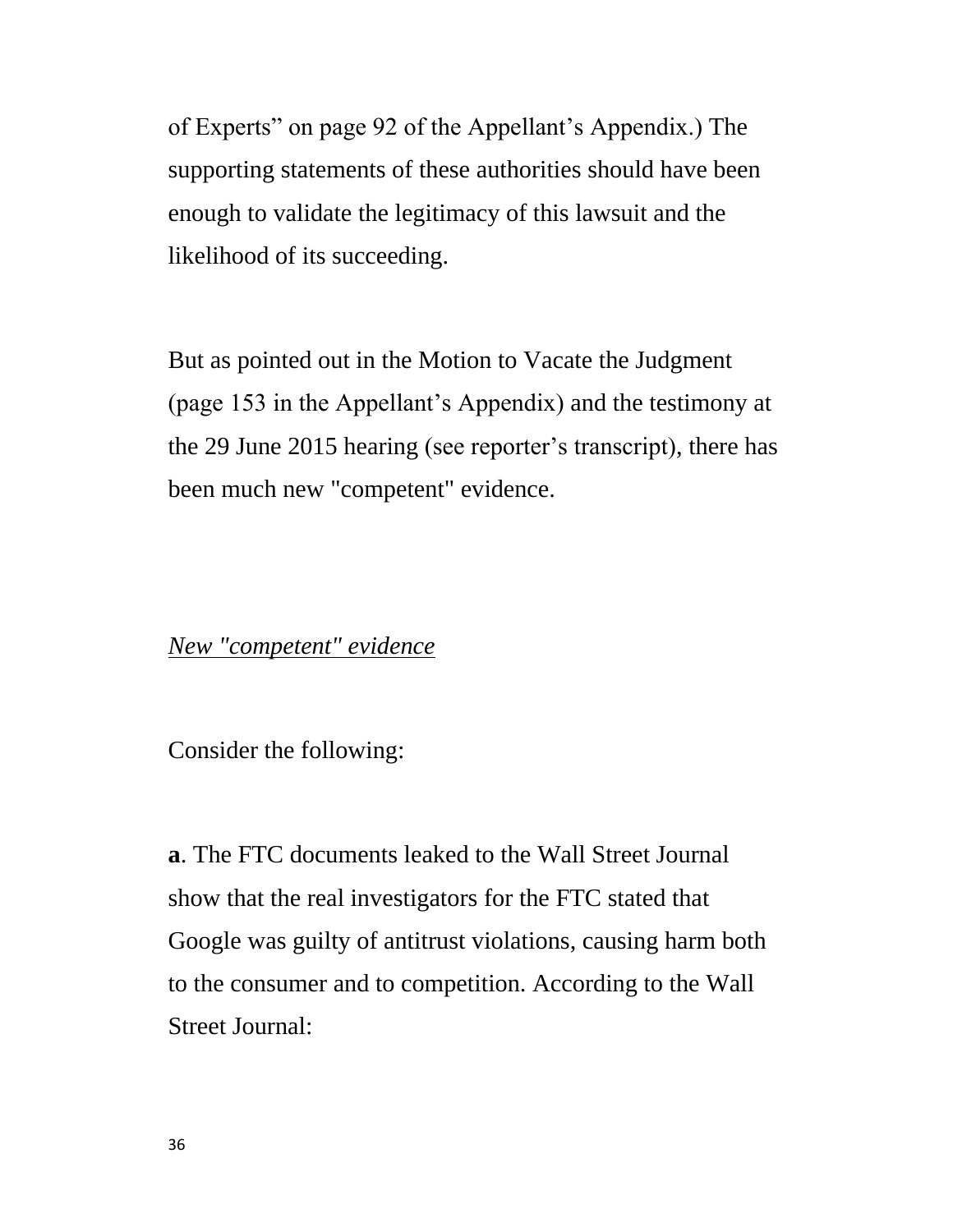of Experts" on page 92 of the Appellant's Appendix.) The supporting statements of these authorities should have been enough to validate the legitimacy of this lawsuit and the likelihood of its succeeding.

But as pointed out in the Motion to Vacate the Judgment (page 153 in the Appellant's Appendix) and the testimony at the 29 June 2015 hearing (see reporter's transcript), there has been much new "competent" evidence.

#### *New "competent" evidence*

Consider the following:

**a**. The FTC documents leaked to the Wall Street Journal show that the real investigators for the FTC stated that Google was guilty of antitrust violations, causing harm both to the consumer and to competition. According to the Wall Street Journal: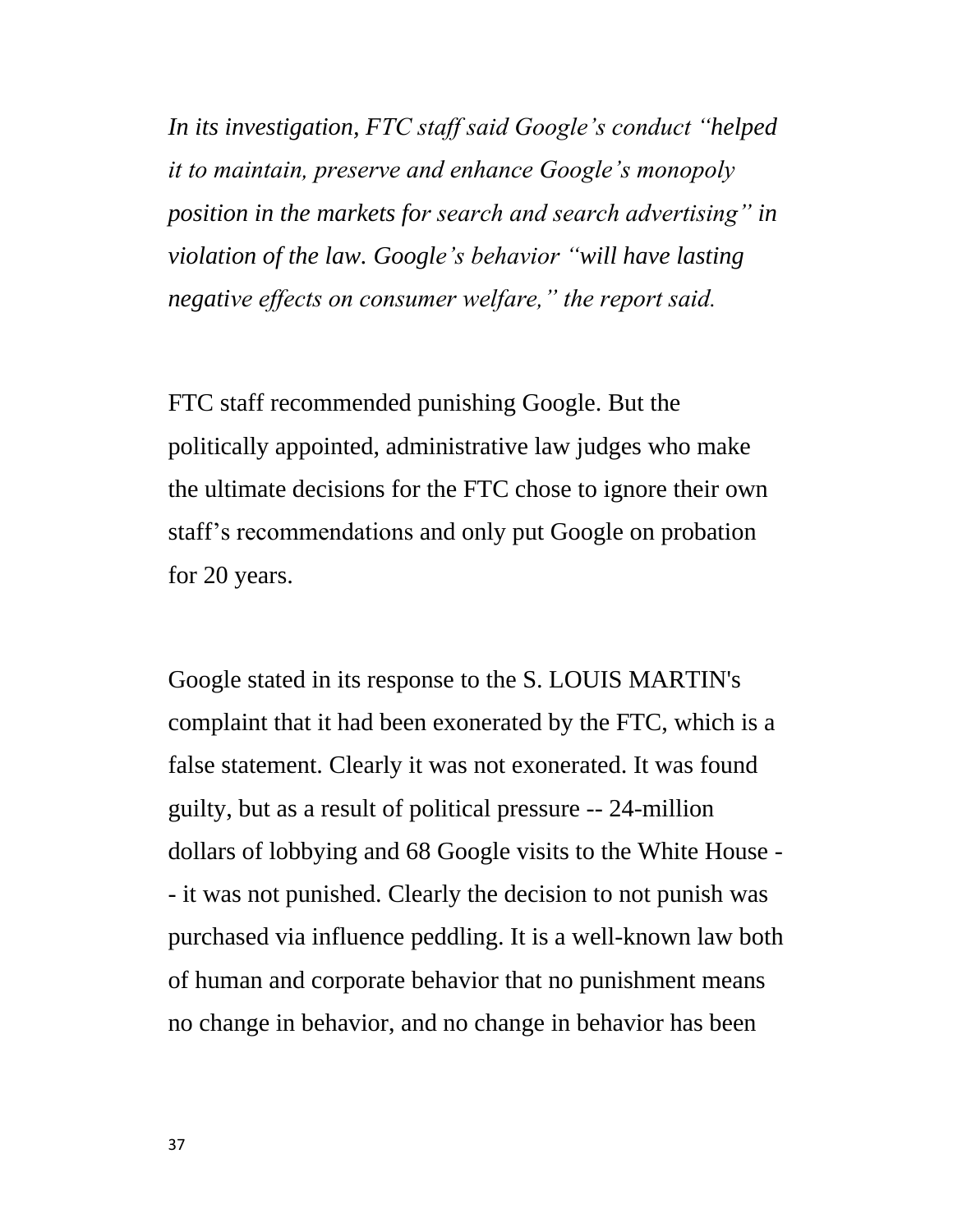*In its investigation, FTC staff said Google's conduct "helped it to maintain, preserve and enhance Google's monopoly position in the markets for search and search advertising" in violation of the law. Google's behavior "will have lasting negative effects on consumer welfare," the report said.*

FTC staff recommended punishing Google. But the politically appointed, administrative law judges who make the ultimate decisions for the FTC chose to ignore their own staff's recommendations and only put Google on probation for 20 years.

Google stated in its response to the S. LOUIS MARTIN's complaint that it had been exonerated by the FTC, which is a false statement. Clearly it was not exonerated. It was found guilty, but as a result of political pressure -- 24-million dollars of lobbying and 68 Google visits to the White House - - it was not punished. Clearly the decision to not punish was purchased via influence peddling. It is a well-known law both of human and corporate behavior that no punishment means no change in behavior, and no change in behavior has been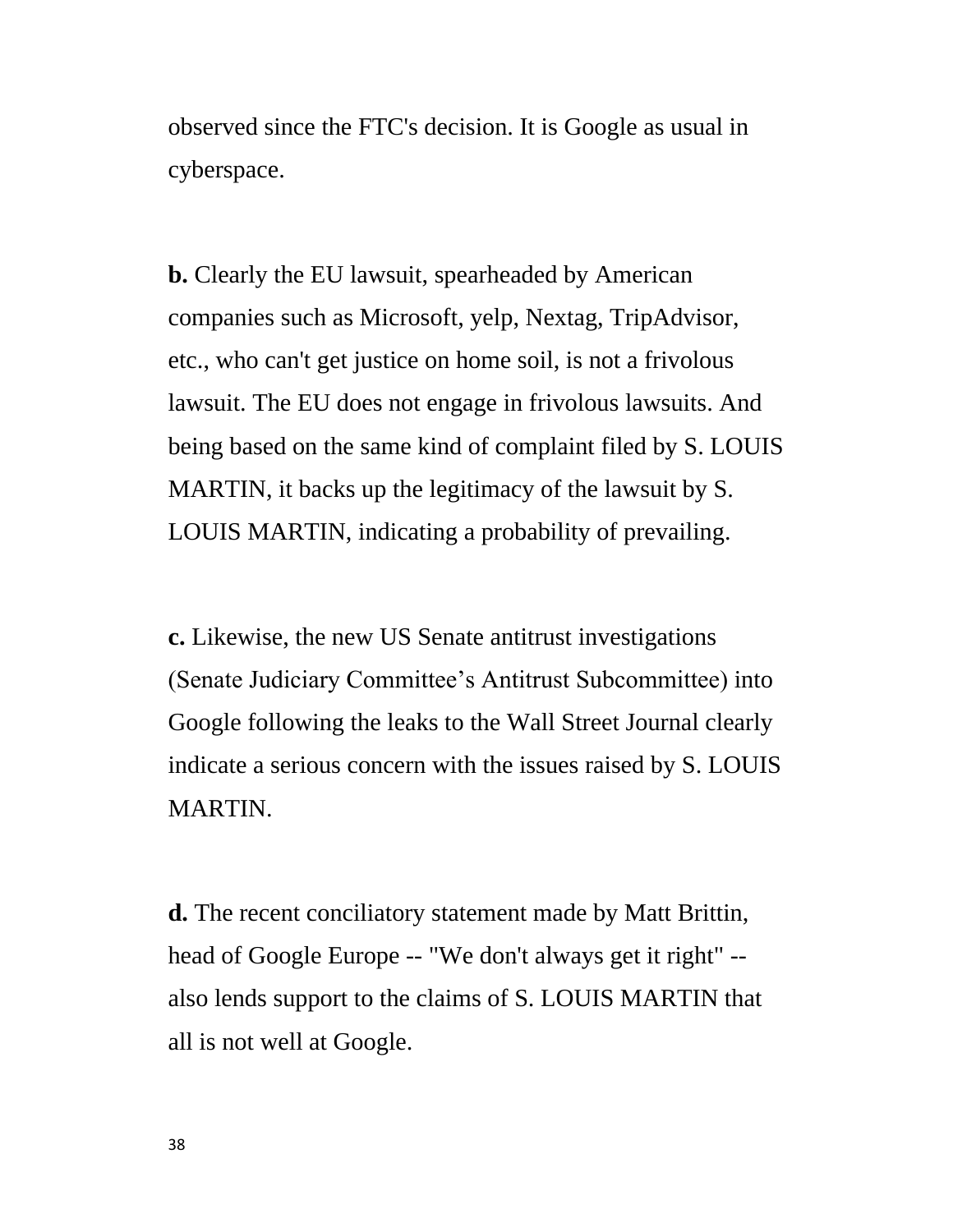observed since the FTC's decision. It is Google as usual in cyberspace.

**b.** Clearly the EU lawsuit, spearheaded by American companies such as Microsoft, yelp, Nextag, TripAdvisor, etc., who can't get justice on home soil, is not a frivolous lawsuit. The EU does not engage in frivolous lawsuits. And being based on the same kind of complaint filed by S. LOUIS MARTIN, it backs up the legitimacy of the lawsuit by S. LOUIS MARTIN, indicating a probability of prevailing.

**c.** Likewise, the new US Senate antitrust investigations (Senate Judiciary Committee's Antitrust Subcommittee) into Google following the leaks to the Wall Street Journal clearly indicate a serious concern with the issues raised by S. LOUIS MARTIN.

**d.** The recent conciliatory statement made by Matt Brittin, head of Google Europe -- "We don't always get it right" - also lends support to the claims of S. LOUIS MARTIN that all is not well at Google.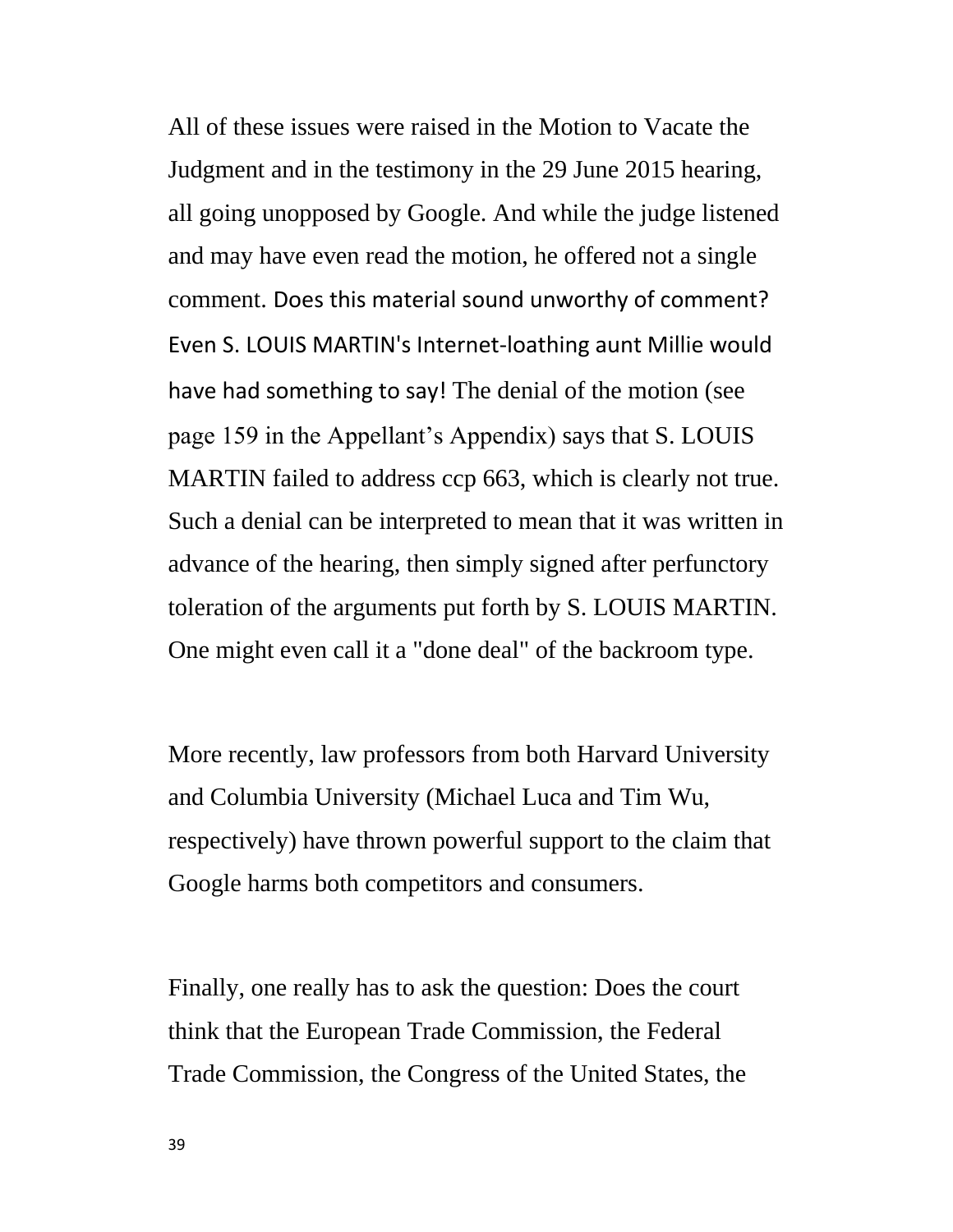All of these issues were raised in the Motion to Vacate the Judgment and in the testimony in the 29 June 2015 hearing, all going unopposed by Google. And while the judge listened and may have even read the motion, he offered not a single comment. Does this material sound unworthy of comment? Even S. LOUIS MARTIN's Internet-loathing aunt Millie would have had something to say! The denial of the motion (see page 159 in the Appellant's Appendix) says that S. LOUIS MARTIN failed to address ccp 663, which is clearly not true. Such a denial can be interpreted to mean that it was written in advance of the hearing, then simply signed after perfunctory toleration of the arguments put forth by S. LOUIS MARTIN. One might even call it a "done deal" of the backroom type.

More recently, law professors from both Harvard University and Columbia University (Michael Luca and Tim Wu, respectively) have thrown powerful support to the claim that Google harms both competitors and consumers.

Finally, one really has to ask the question: Does the court think that the European Trade Commission, the Federal Trade Commission, the Congress of the United States, the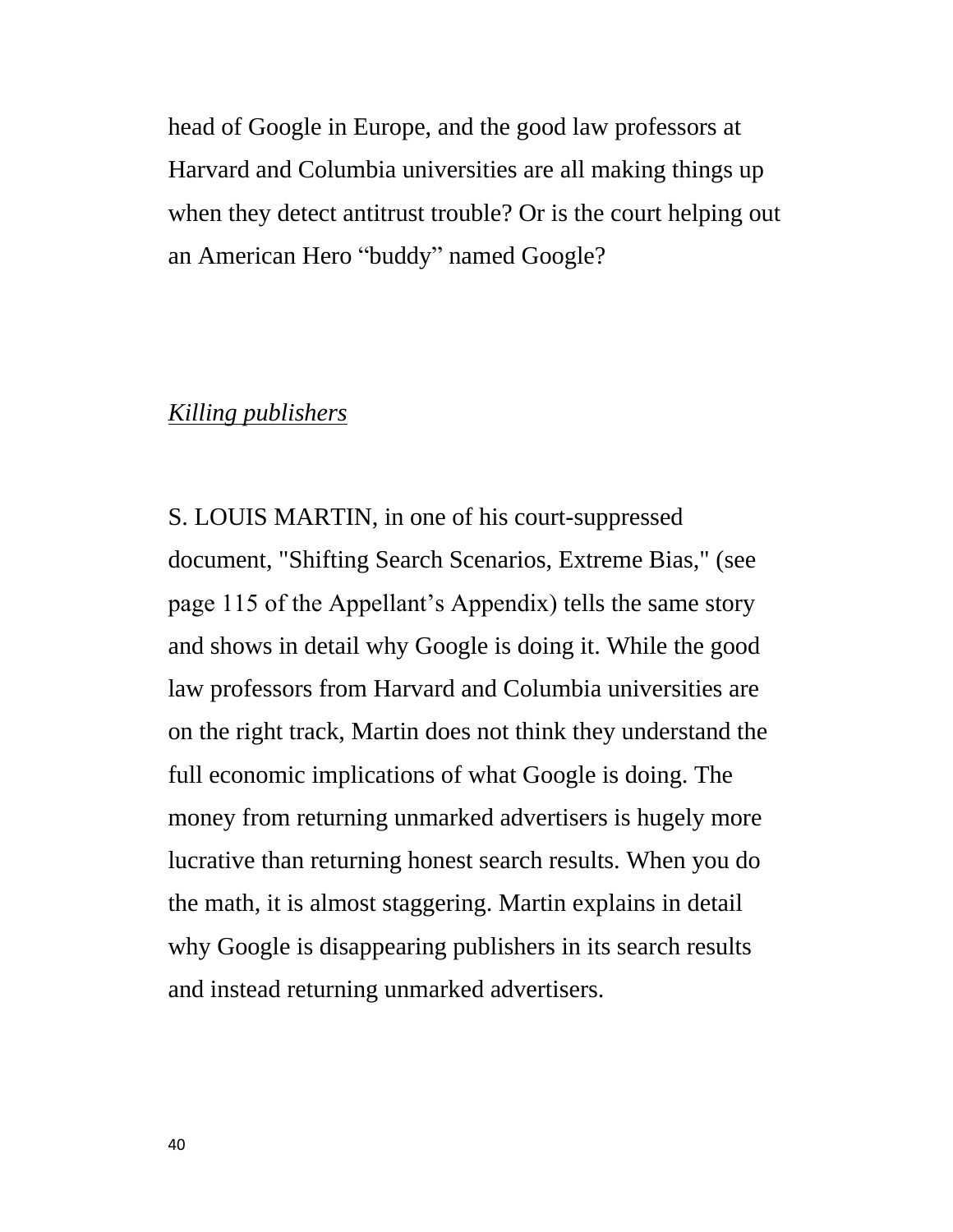head of Google in Europe, and the good law professors at Harvard and Columbia universities are all making things up when they detect antitrust trouble? Or is the court helping out an American Hero "buddy" named Google?

## *Killing publishers*

S. LOUIS MARTIN, in one of his court-suppressed document, "Shifting Search Scenarios, Extreme Bias," (see page 115 of the Appellant's Appendix) tells the same story and shows in detail why Google is doing it. While the good law professors from Harvard and Columbia universities are on the right track, Martin does not think they understand the full economic implications of what Google is doing. The money from returning unmarked advertisers is hugely more lucrative than returning honest search results. When you do the math, it is almost staggering. Martin explains in detail why Google is disappearing publishers in its search results and instead returning unmarked advertisers.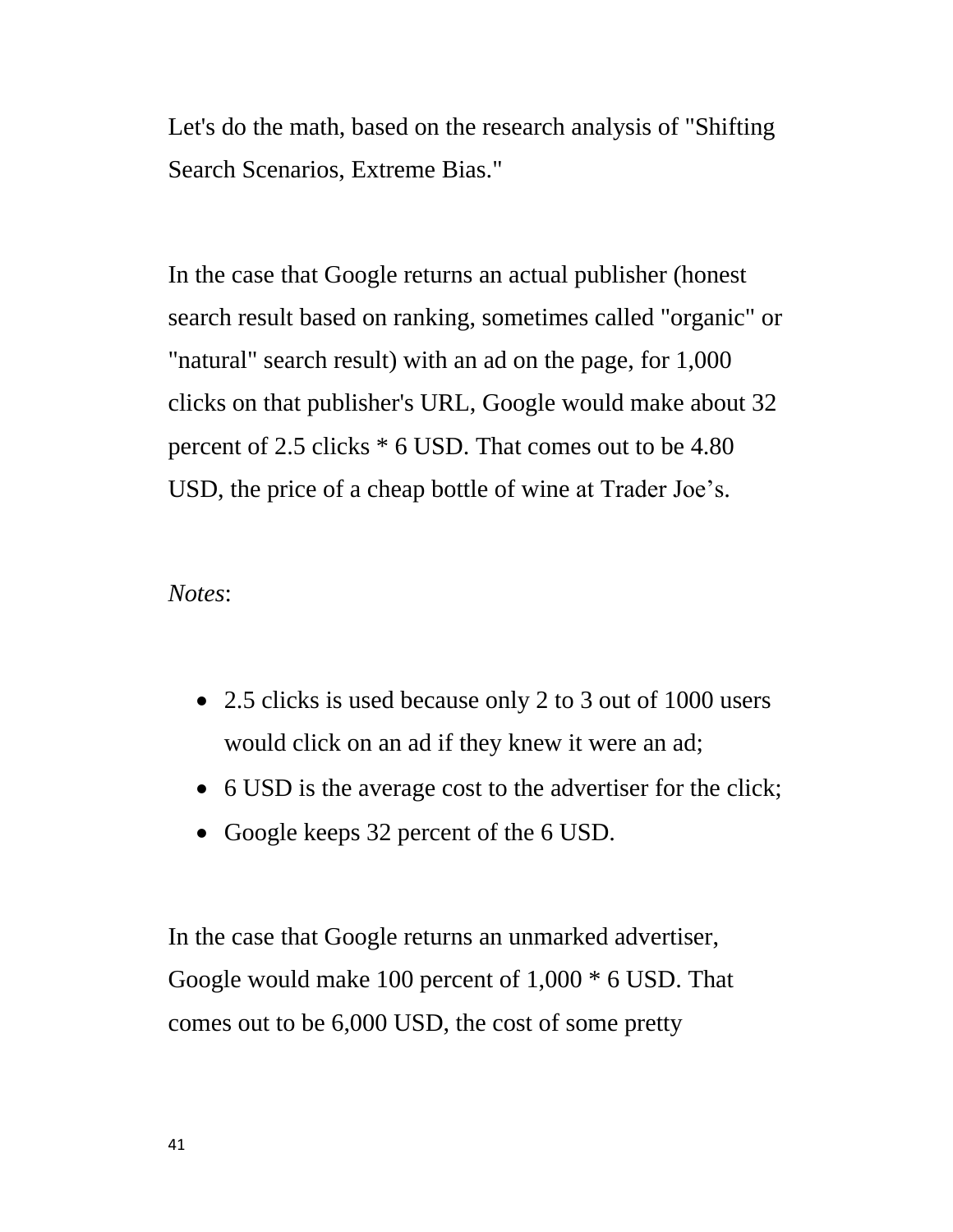Let's do the math, based on the research analysis of "Shifting Search Scenarios, Extreme Bias."

In the case that Google returns an actual publisher (honest search result based on ranking, sometimes called "organic" or "natural" search result) with an ad on the page, for 1,000 clicks on that publisher's URL, Google would make about 32 percent of 2.5 clicks \* 6 USD. That comes out to be 4.80 USD, the price of a cheap bottle of wine at Trader Joe's.

*Notes*:

- 2.5 clicks is used because only 2 to 3 out of 1000 users would click on an ad if they knew it were an ad;
- 6 USD is the average cost to the advertiser for the click;
- Google keeps 32 percent of the 6 USD.

In the case that Google returns an unmarked advertiser, Google would make 100 percent of 1,000 \* 6 USD. That comes out to be 6,000 USD, the cost of some pretty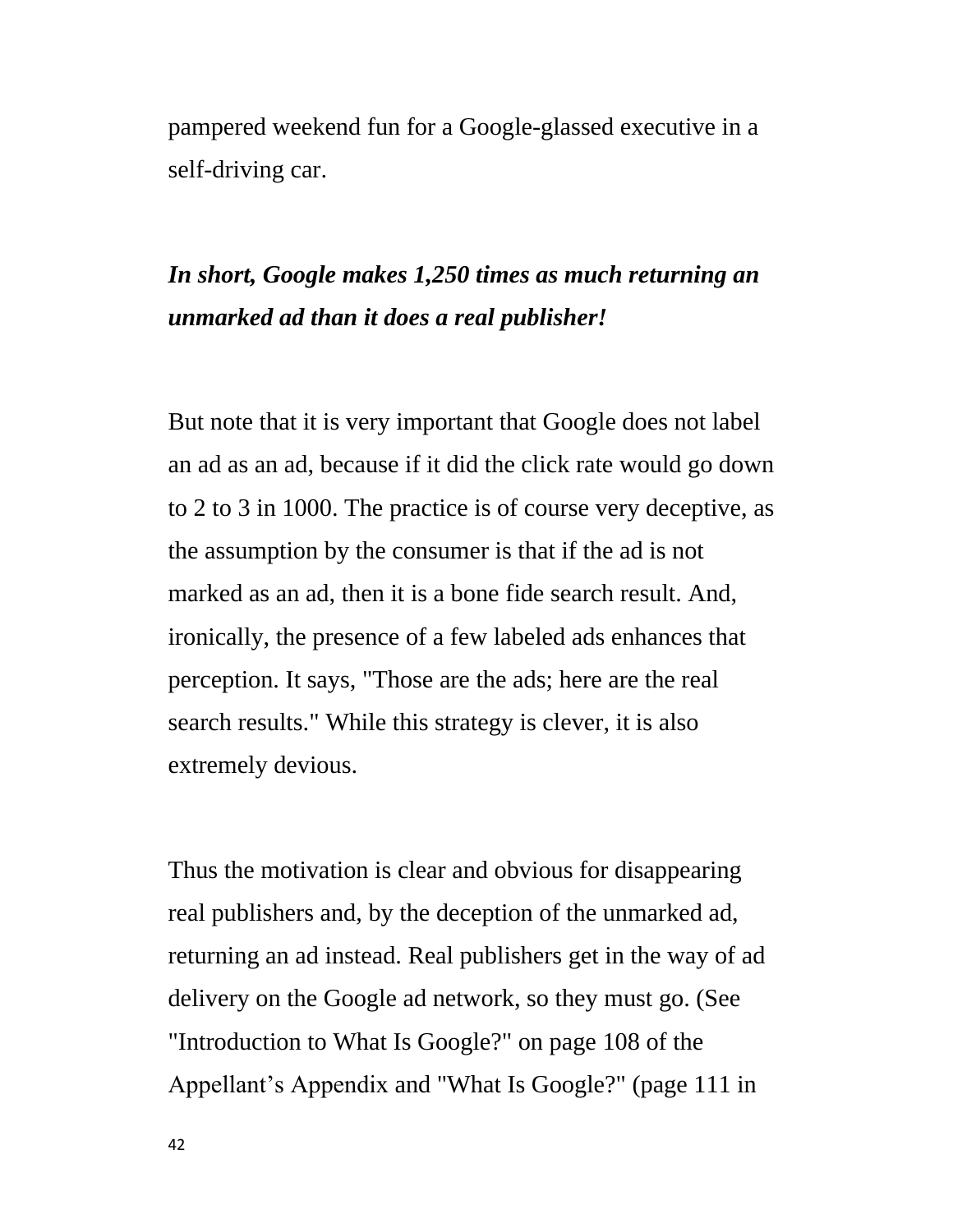pampered weekend fun for a Google-glassed executive in a self-driving car.

# *In short, Google makes 1,250 times as much returning an unmarked ad than it does a real publisher!*

But note that it is very important that Google does not label an ad as an ad, because if it did the click rate would go down to 2 to 3 in 1000. The practice is of course very deceptive, as the assumption by the consumer is that if the ad is not marked as an ad, then it is a bone fide search result. And, ironically, the presence of a few labeled ads enhances that perception. It says, "Those are the ads; here are the real search results." While this strategy is clever, it is also extremely devious.

Thus the motivation is clear and obvious for disappearing real publishers and, by the deception of the unmarked ad, returning an ad instead. Real publishers get in the way of ad delivery on the Google ad network, so they must go. (See "Introduction to What Is Google?" on page 108 of the Appellant's Appendix and "What Is Google?" (page 111 in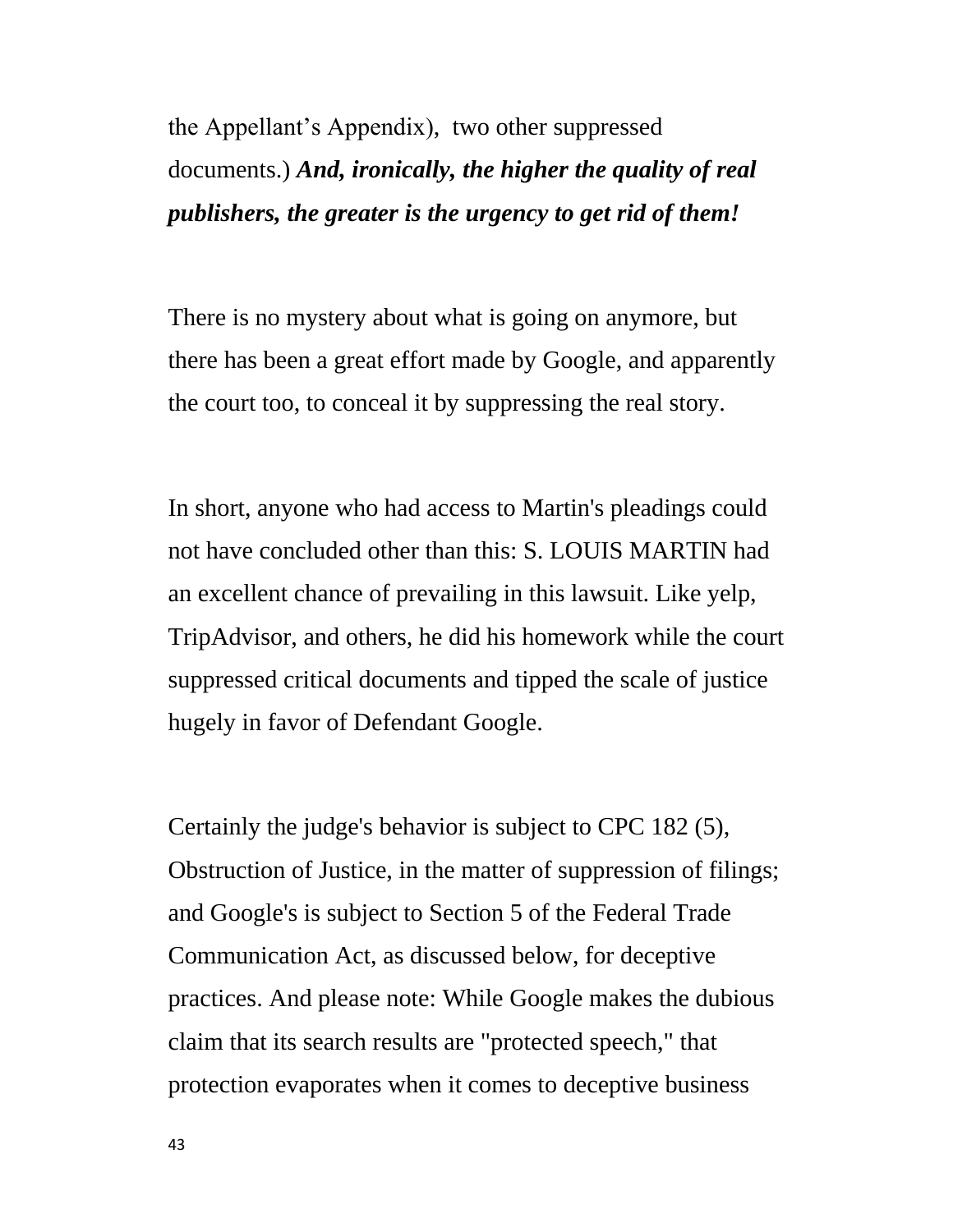the Appellant's Appendix), two other suppressed documents.) *And, ironically, the higher the quality of real publishers, the greater is the urgency to get rid of them!*

There is no mystery about what is going on anymore, but there has been a great effort made by Google, and apparently the court too, to conceal it by suppressing the real story.

In short, anyone who had access to Martin's pleadings could not have concluded other than this: S. LOUIS MARTIN had an excellent chance of prevailing in this lawsuit. Like yelp, TripAdvisor, and others, he did his homework while the court suppressed critical documents and tipped the scale of justice hugely in favor of Defendant Google.

Certainly the judge's behavior is subject to CPC 182 (5), Obstruction of Justice, in the matter of suppression of filings; and Google's is subject to Section 5 of the Federal Trade Communication Act, as discussed below, for deceptive practices. And please note: While Google makes the dubious claim that its search results are "protected speech," that protection evaporates when it comes to deceptive business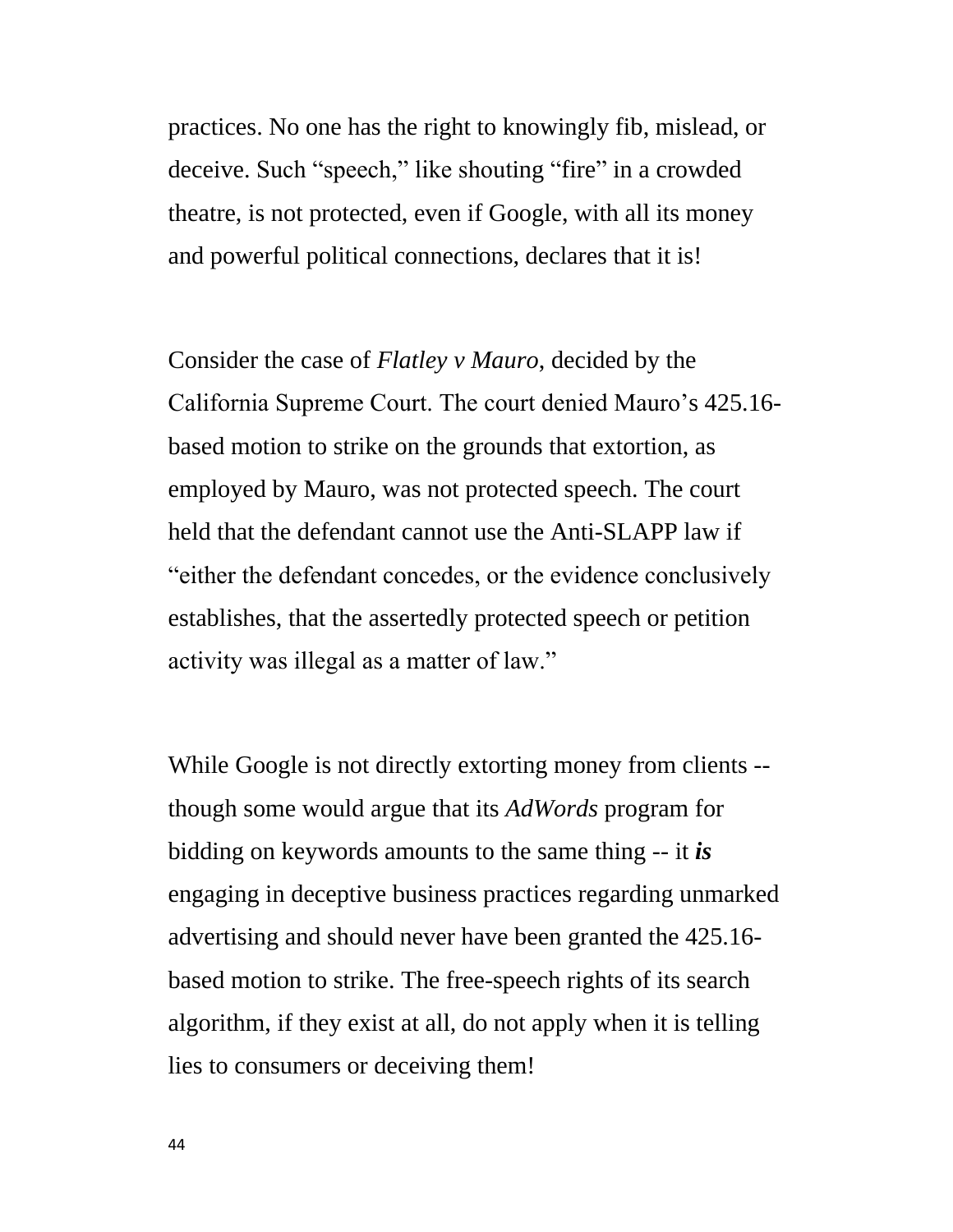practices. No one has the right to knowingly fib, mislead, or deceive. Such "speech," like shouting "fire" in a crowded theatre, is not protected, even if Google, with all its money and powerful political connections, declares that it is!

Consider the case of *Flatley v Mauro*, decided by the California Supreme Court. The court denied Mauro's 425.16 based motion to strike on the grounds that extortion, as employed by Mauro, was not protected speech. The court held that the defendant cannot use the Anti-SLAPP law if "either the defendant concedes, or the evidence conclusively establishes, that the assertedly protected speech or petition activity was illegal as a matter of law."

While Google is not directly extorting money from clients - though some would argue that its *AdWords* program for bidding on keywords amounts to the same thing -- it *is* engaging in deceptive business practices regarding unmarked advertising and should never have been granted the 425.16 based motion to strike. The free-speech rights of its search algorithm, if they exist at all, do not apply when it is telling lies to consumers or deceiving them!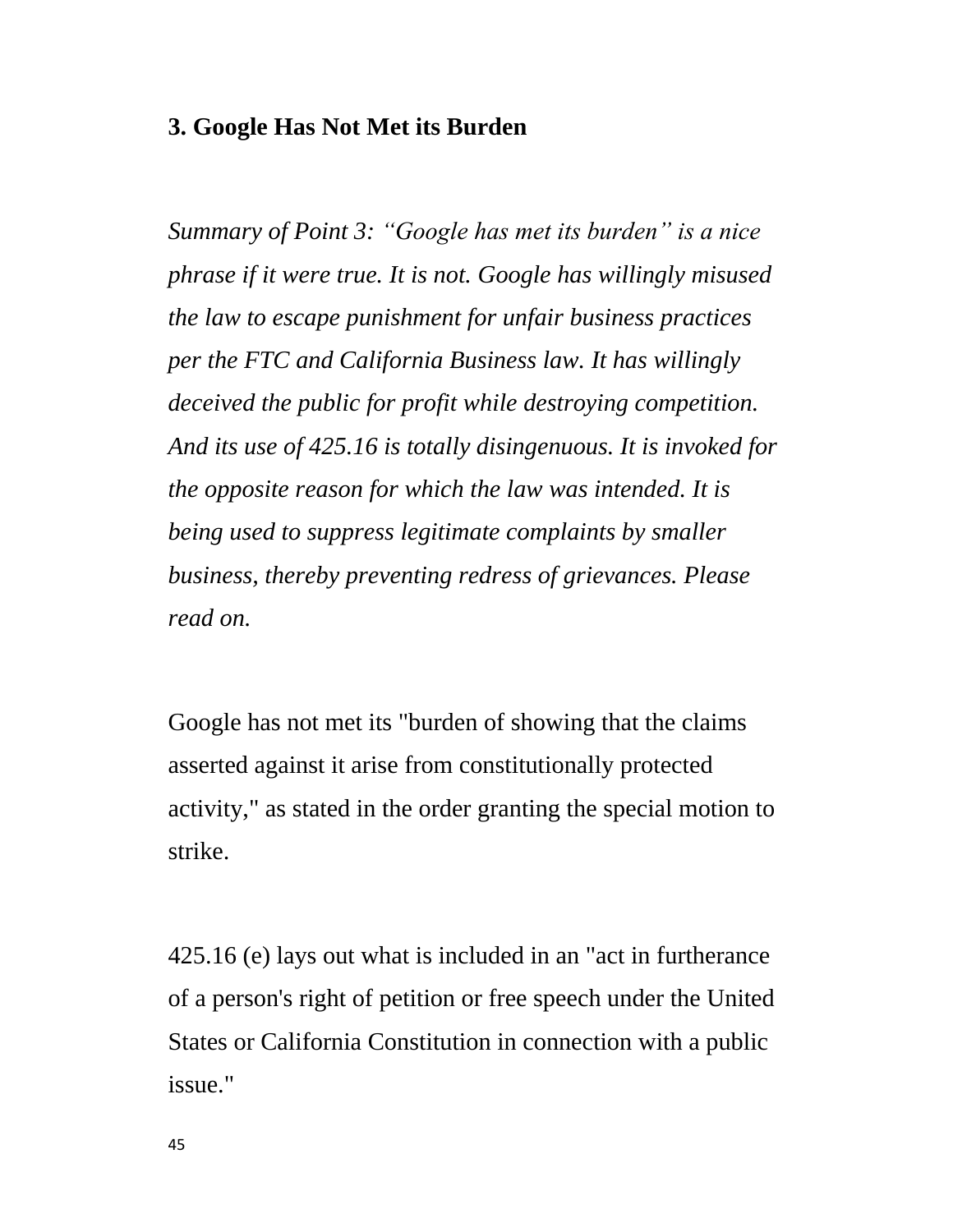## **3. Google Has Not Met its Burden**

*Summary of Point 3: "Google has met its burden" is a nice phrase if it were true. It is not. Google has willingly misused the law to escape punishment for unfair business practices per the FTC and California Business law. It has willingly deceived the public for profit while destroying competition. And its use of 425.16 is totally disingenuous. It is invoked for the opposite reason for which the law was intended. It is being used to suppress legitimate complaints by smaller business, thereby preventing redress of grievances. Please read on.*

Google has not met its "burden of showing that the claims asserted against it arise from constitutionally protected activity," as stated in the order granting the special motion to strike.

425.16 (e) lays out what is included in an "act in furtherance of a person's right of petition or free speech under the United States or California Constitution in connection with a public issue."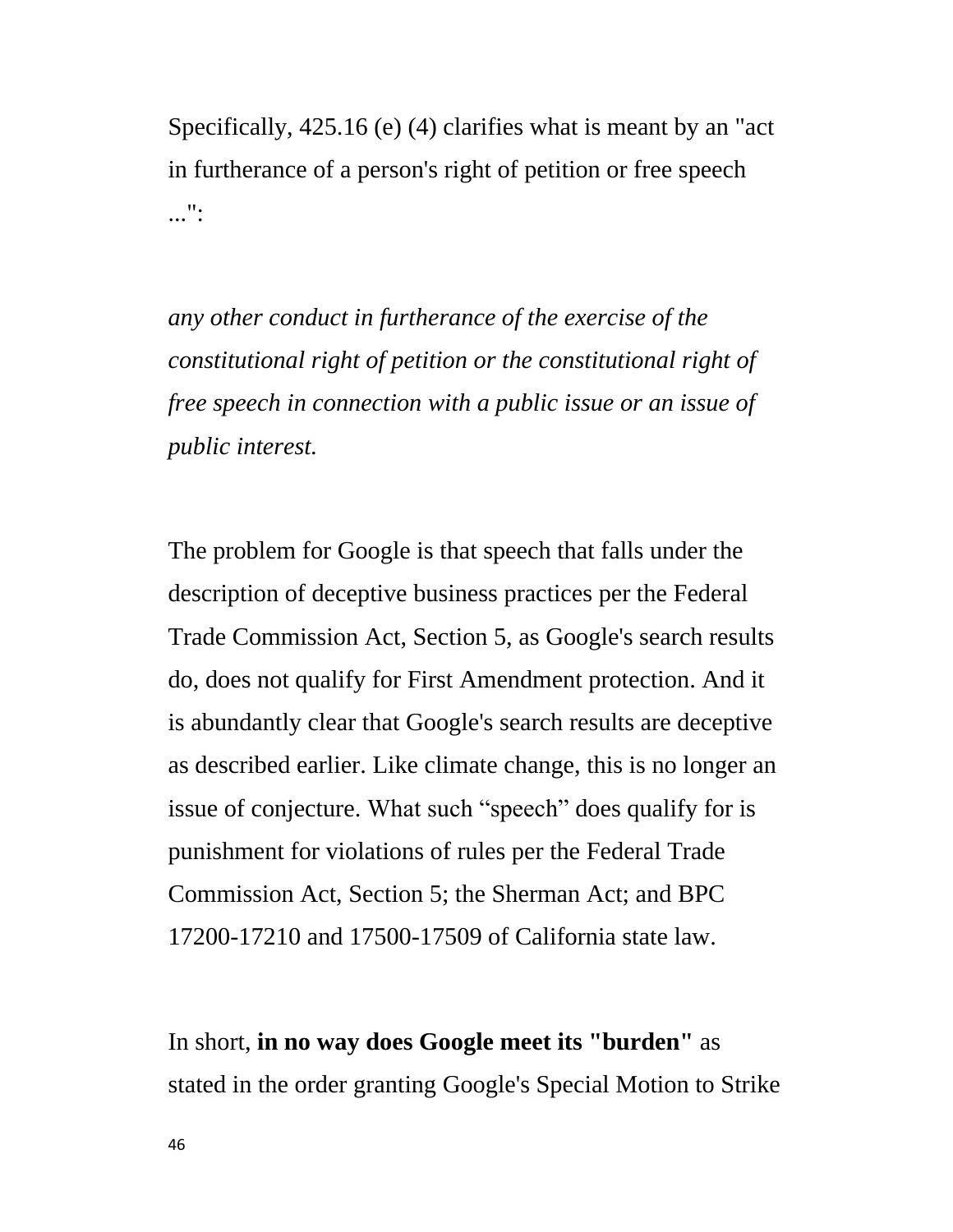Specifically, 425.16 (e) (4) clarifies what is meant by an "act in furtherance of a person's right of petition or free speech ...":

*any other conduct in furtherance of the exercise of the constitutional right of petition or the constitutional right of free speech in connection with a public issue or an issue of public interest.*

The problem for Google is that speech that falls under the description of deceptive business practices per the Federal Trade Commission Act, Section 5, as Google's search results do, does not qualify for First Amendment protection. And it is abundantly clear that Google's search results are deceptive as described earlier. Like climate change, this is no longer an issue of conjecture. What such "speech" does qualify for is punishment for violations of rules per the Federal Trade Commission Act, Section 5; the Sherman Act; and BPC 17200-17210 and 17500-17509 of California state law.

In short, **in no way does Google meet its "burden"** as stated in the order granting Google's Special Motion to Strike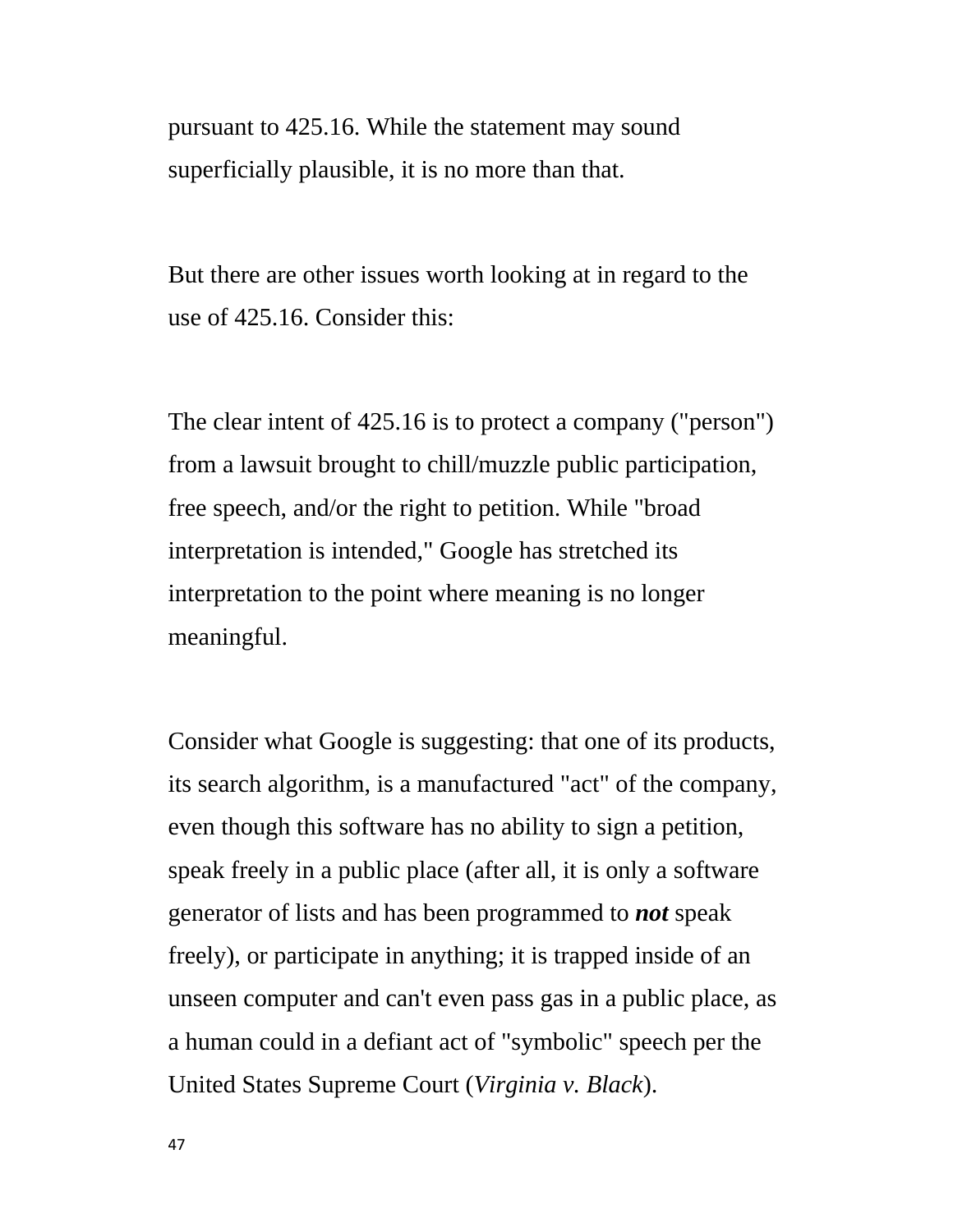pursuant to 425.16. While the statement may sound superficially plausible, it is no more than that.

But there are other issues worth looking at in regard to the use of 425.16. Consider this:

The clear intent of 425.16 is to protect a company ("person") from a lawsuit brought to chill/muzzle public participation, free speech, and/or the right to petition. While "broad interpretation is intended," Google has stretched its interpretation to the point where meaning is no longer meaningful.

Consider what Google is suggesting: that one of its products, its search algorithm, is a manufactured "act" of the company, even though this software has no ability to sign a petition, speak freely in a public place (after all, it is only a software generator of lists and has been programmed to *not* speak freely), or participate in anything; it is trapped inside of an unseen computer and can't even pass gas in a public place, as a human could in a defiant act of "symbolic" speech per the United States Supreme Court (*Virginia v. Black*).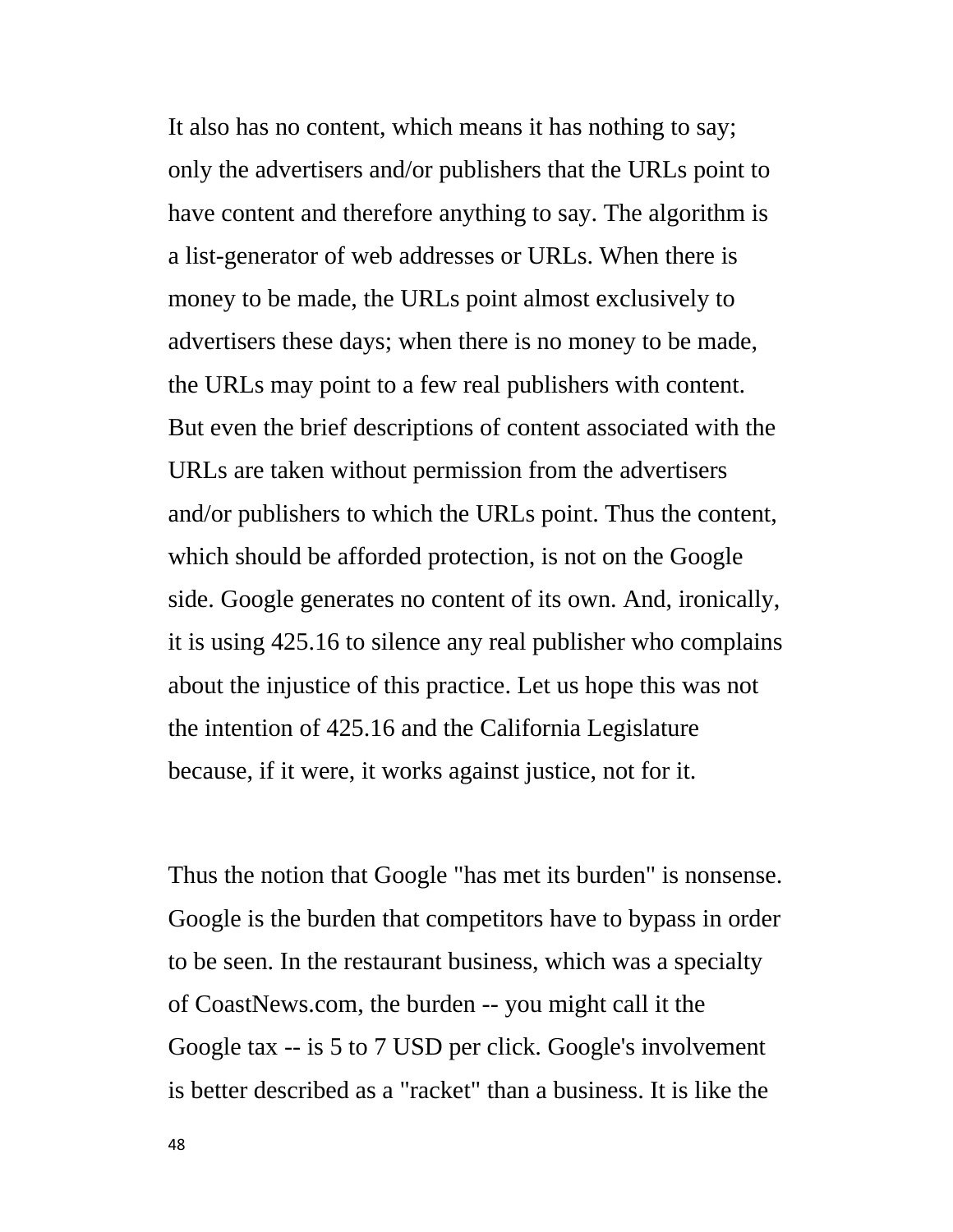It also has no content, which means it has nothing to say; only the advertisers and/or publishers that the URLs point to have content and therefore anything to say. The algorithm is a list-generator of web addresses or URLs. When there is money to be made, the URLs point almost exclusively to advertisers these days; when there is no money to be made, the URLs may point to a few real publishers with content. But even the brief descriptions of content associated with the URLs are taken without permission from the advertisers and/or publishers to which the URLs point. Thus the content, which should be afforded protection, is not on the Google side. Google generates no content of its own. And, ironically, it is using 425.16 to silence any real publisher who complains about the injustice of this practice. Let us hope this was not the intention of 425.16 and the California Legislature because, if it were, it works against justice, not for it.

Thus the notion that Google "has met its burden" is nonsense. Google is the burden that competitors have to bypass in order to be seen. In the restaurant business, which was a specialty of CoastNews.com, the burden -- you might call it the Google tax -- is 5 to 7 USD per click. Google's involvement is better described as a "racket" than a business. It is like the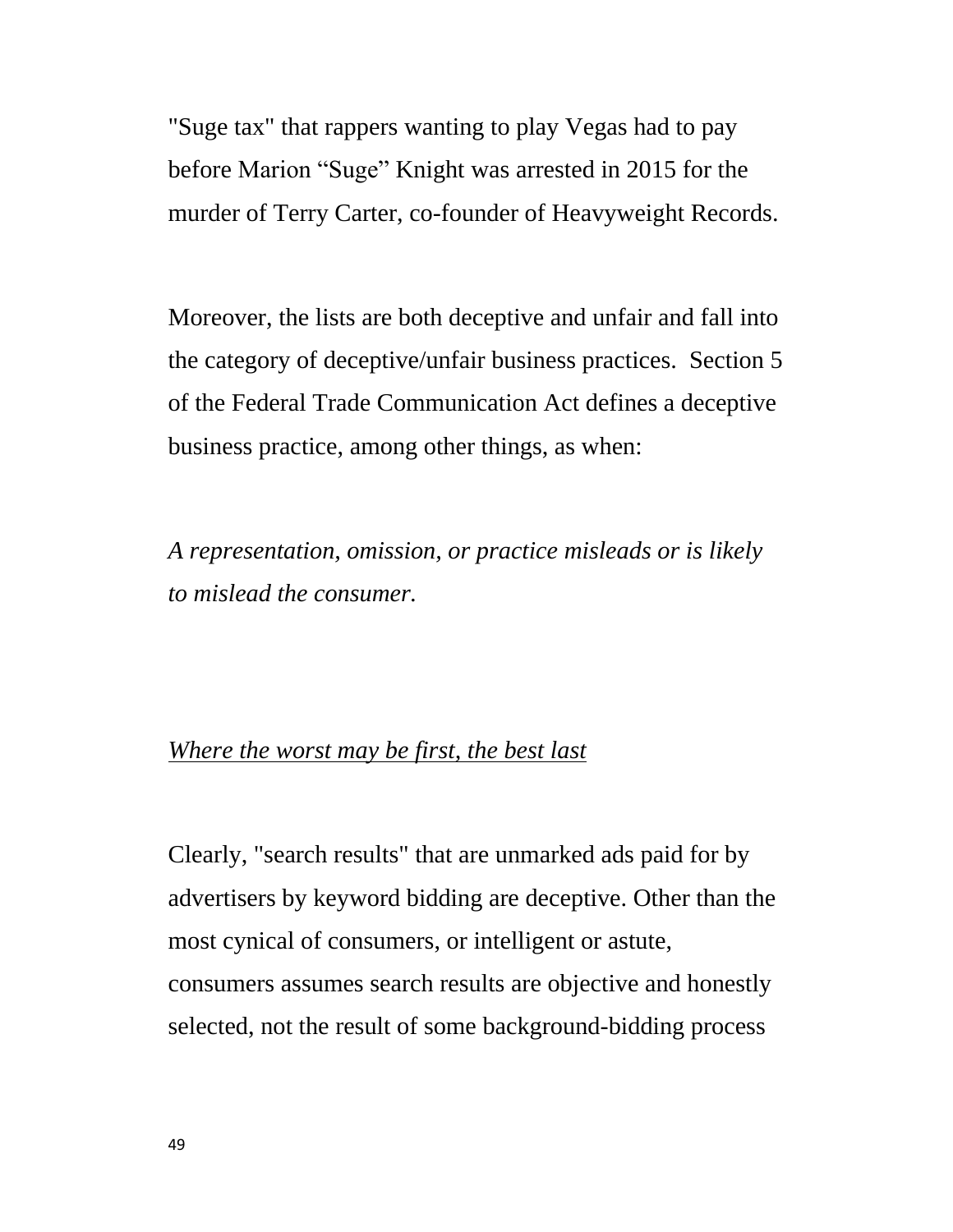"Suge tax" that rappers wanting to play Vegas had to pay before Marion "Suge" Knight was arrested in 2015 for the murder of Terry Carter, co-founder of Heavyweight Records.

Moreover, the lists are both deceptive and unfair and fall into the category of deceptive/unfair business practices. Section 5 of the Federal Trade Communication Act defines a deceptive business practice, among other things, as when:

*A representation, omission, or practice misleads or is likely to mislead the consumer.*

## *Where the worst may be first, the best last*

Clearly, "search results" that are unmarked ads paid for by advertisers by keyword bidding are deceptive. Other than the most cynical of consumers, or intelligent or astute, consumers assumes search results are objective and honestly selected, not the result of some background-bidding process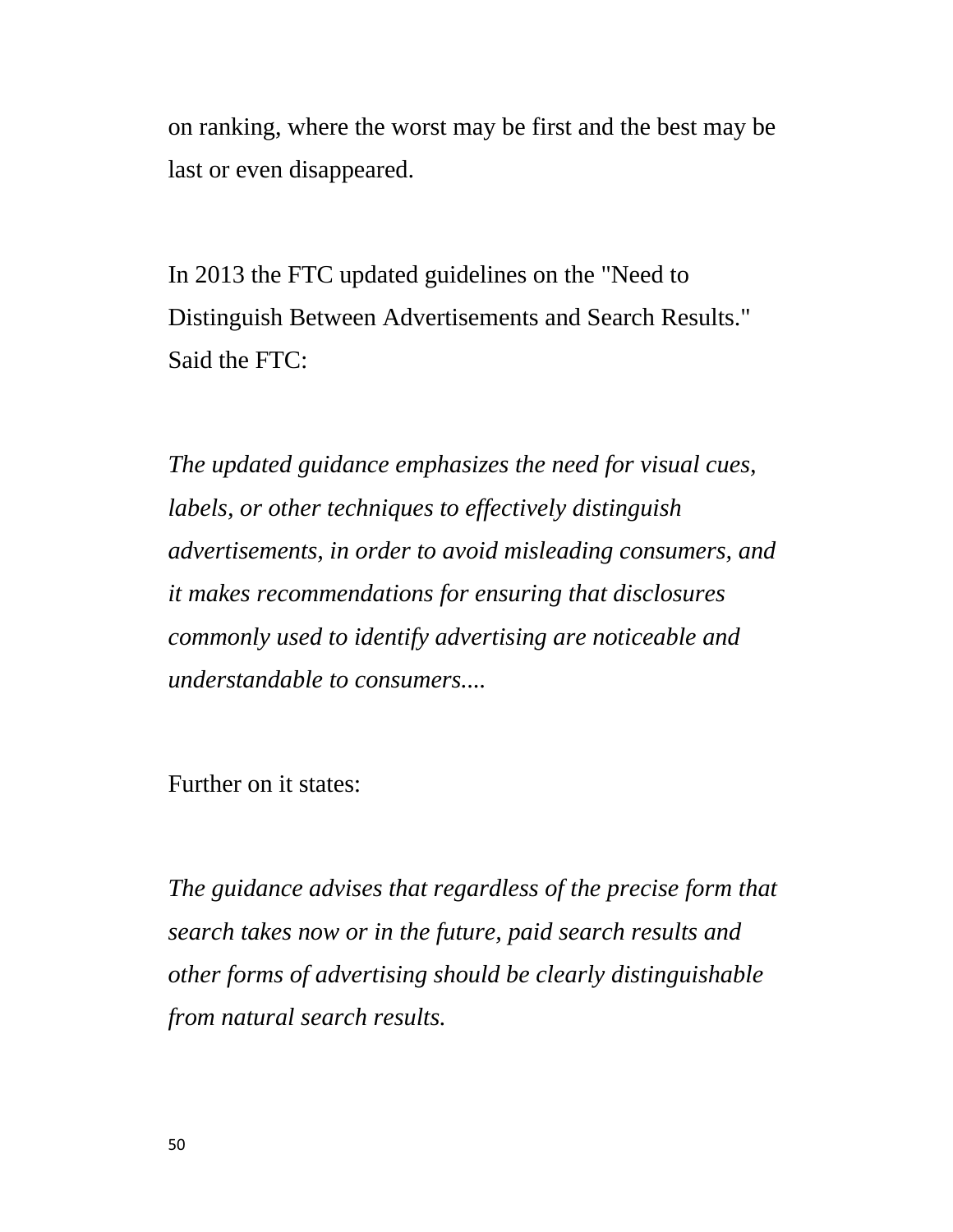on ranking, where the worst may be first and the best may be last or even disappeared.

In 2013 the FTC updated guidelines on the "Need to Distinguish Between Advertisements and Search Results." Said the FTC:

*The updated guidance emphasizes the need for visual cues, labels, or other techniques to effectively distinguish advertisements, in order to avoid misleading consumers, and it makes recommendations for ensuring that disclosures commonly used to identify advertising are noticeable and understandable to consumers....*

Further on it states:

*The guidance advises that regardless of the precise form that search takes now or in the future, paid search results and other forms of advertising should be clearly distinguishable from natural search results.*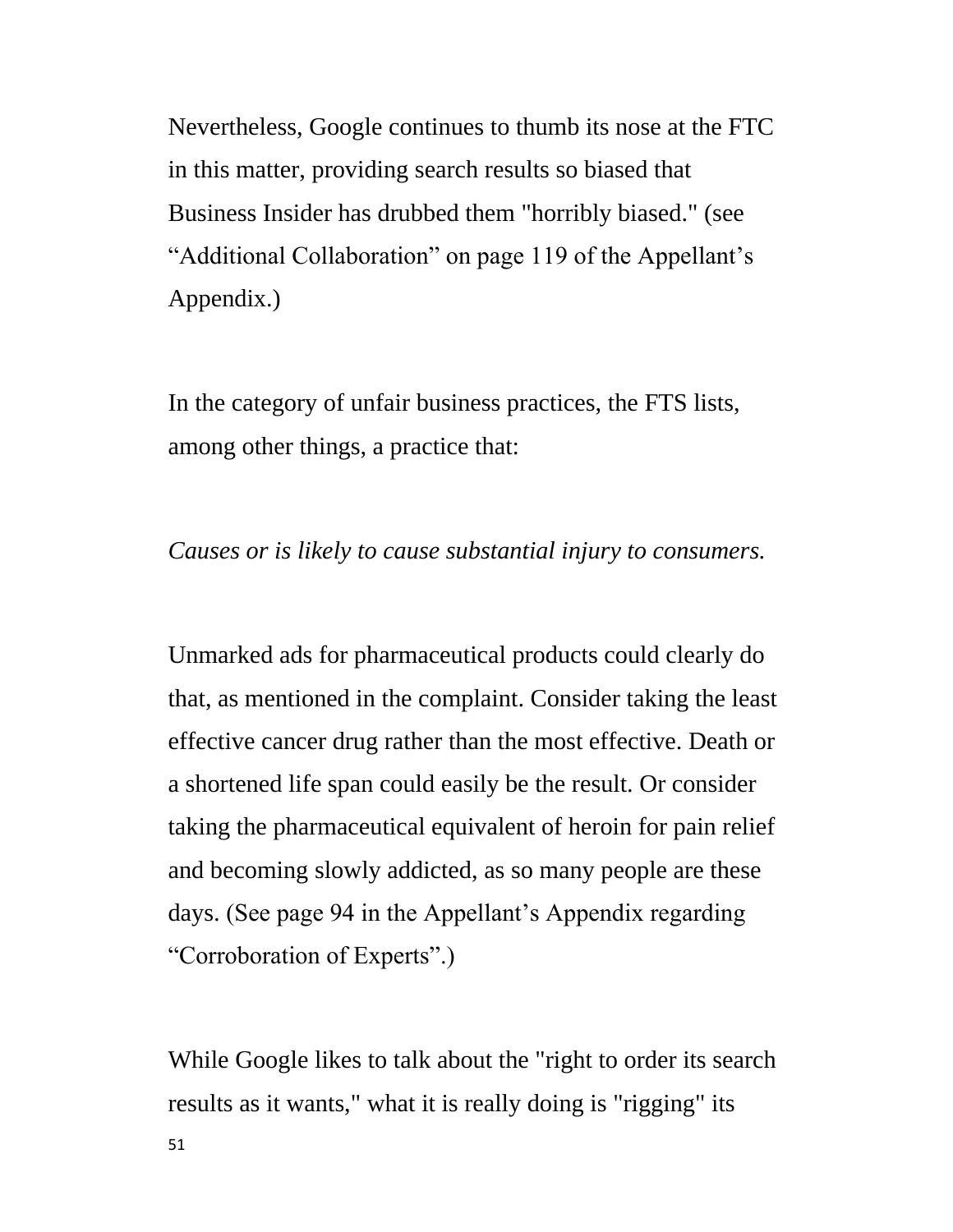Nevertheless, Google continues to thumb its nose at the FTC in this matter, providing search results so biased that Business Insider has drubbed them "horribly biased." (see "Additional Collaboration" on page 119 of the Appellant's Appendix.)

In the category of unfair business practices, the FTS lists, among other things, a practice that:

*Causes or is likely to cause substantial injury to consumers.*

Unmarked ads for pharmaceutical products could clearly do that, as mentioned in the complaint. Consider taking the least effective cancer drug rather than the most effective. Death or a shortened life span could easily be the result. Or consider taking the pharmaceutical equivalent of heroin for pain relief and becoming slowly addicted, as so many people are these days. (See page 94 in the Appellant's Appendix regarding "Corroboration of Experts".)

While Google likes to talk about the "right to order its search results as it wants," what it is really doing is "rigging" its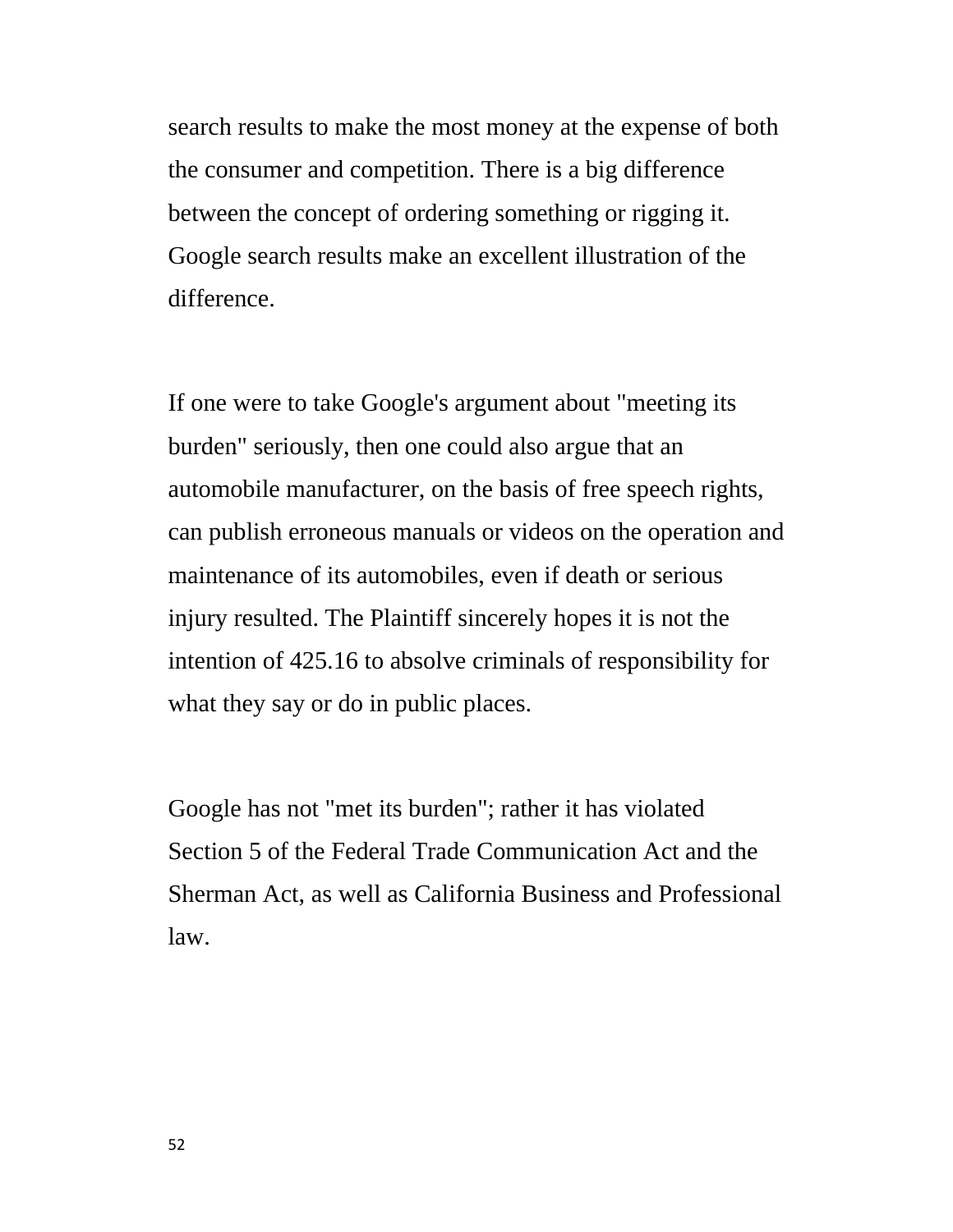search results to make the most money at the expense of both the consumer and competition. There is a big difference between the concept of ordering something or rigging it. Google search results make an excellent illustration of the difference.

If one were to take Google's argument about "meeting its burden" seriously, then one could also argue that an automobile manufacturer, on the basis of free speech rights, can publish erroneous manuals or videos on the operation and maintenance of its automobiles, even if death or serious injury resulted. The Plaintiff sincerely hopes it is not the intention of 425.16 to absolve criminals of responsibility for what they say or do in public places.

Google has not "met its burden"; rather it has violated Section 5 of the Federal Trade Communication Act and the Sherman Act, as well as California Business and Professional law.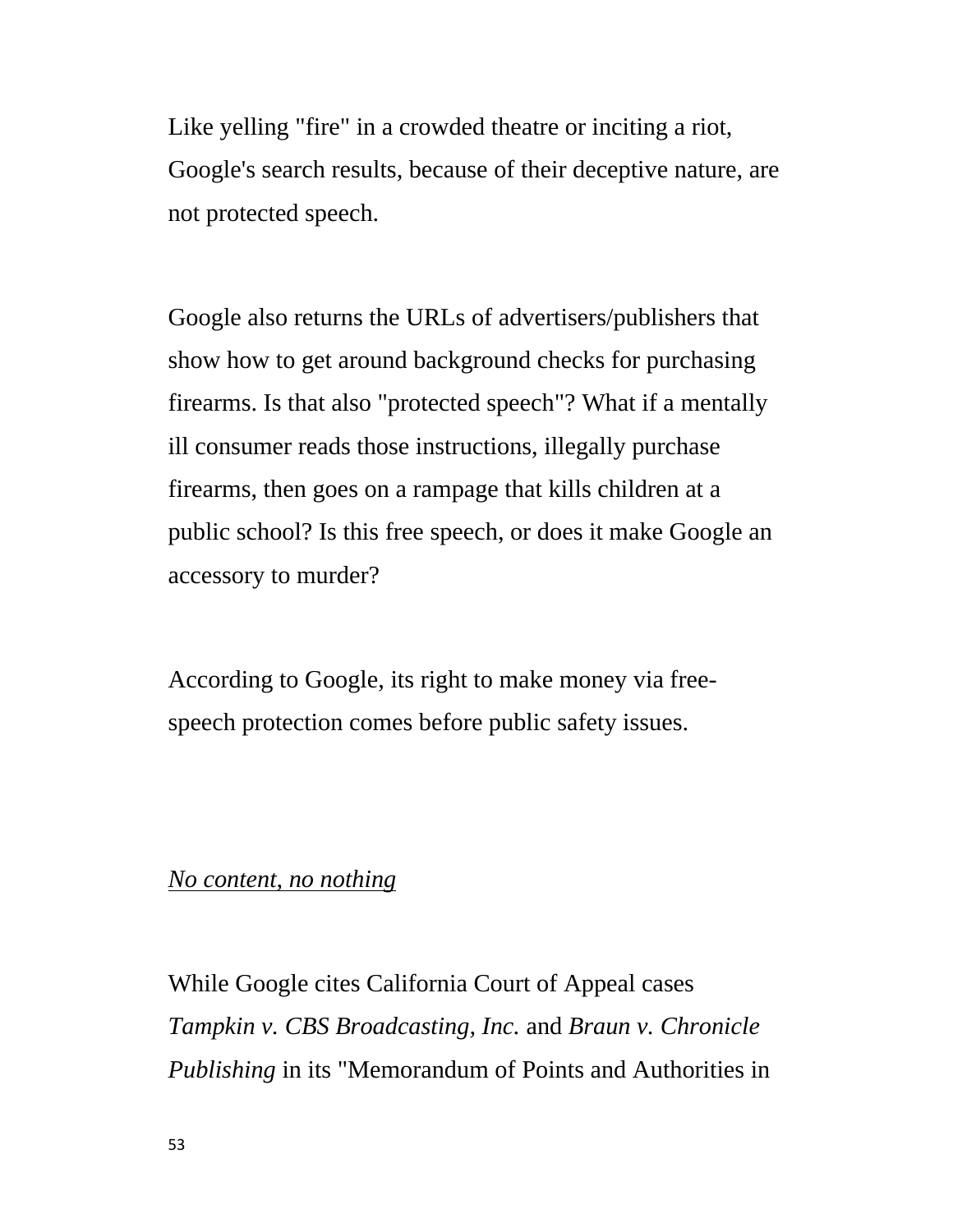Like yelling "fire" in a crowded theatre or inciting a riot, Google's search results, because of their deceptive nature, are not protected speech.

Google also returns the URLs of advertisers/publishers that show how to get around background checks for purchasing firearms. Is that also "protected speech"? What if a mentally ill consumer reads those instructions, illegally purchase firearms, then goes on a rampage that kills children at a public school? Is this free speech, or does it make Google an accessory to murder?

According to Google, its right to make money via freespeech protection comes before public safety issues.

#### *No content, no nothing*

While Google cites California Court of Appeal cases *Tampkin v. CBS Broadcasting, Inc.* and *Braun v. Chronicle Publishing* in its "Memorandum of Points and Authorities in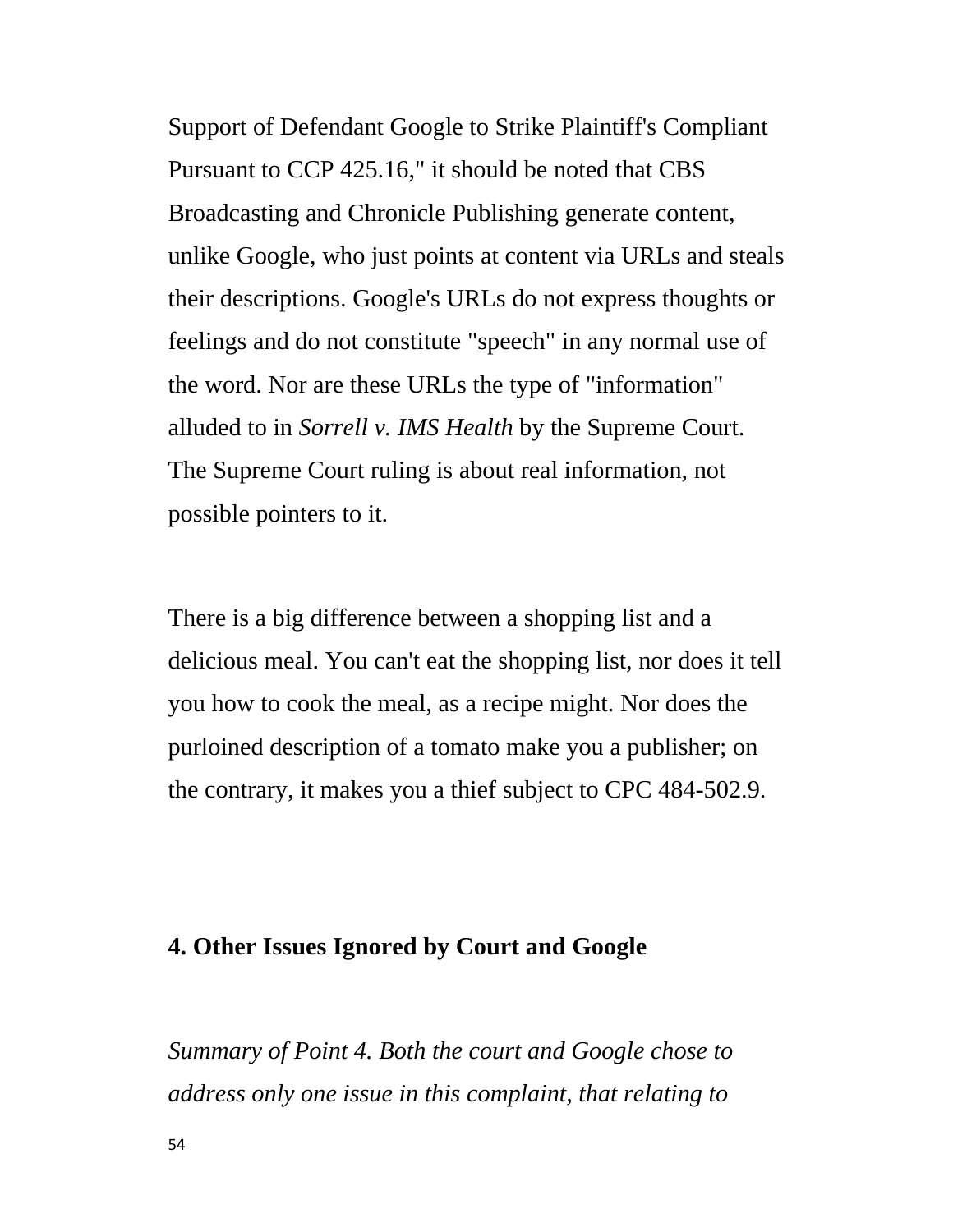Support of Defendant Google to Strike Plaintiff's Compliant Pursuant to CCP 425.16," it should be noted that CBS Broadcasting and Chronicle Publishing generate content, unlike Google, who just points at content via URLs and steals their descriptions. Google's URLs do not express thoughts or feelings and do not constitute "speech" in any normal use of the word. Nor are these URLs the type of "information" alluded to in *Sorrell v. IMS Health* by the Supreme Court. The Supreme Court ruling is about real information, not possible pointers to it.

There is a big difference between a shopping list and a delicious meal. You can't eat the shopping list, nor does it tell you how to cook the meal, as a recipe might. Nor does the purloined description of a tomato make you a publisher; on the contrary, it makes you a thief subject to CPC 484-502.9.

## **4. Other Issues Ignored by Court and Google**

*Summary of Point 4. Both the court and Google chose to address only one issue in this complaint, that relating to*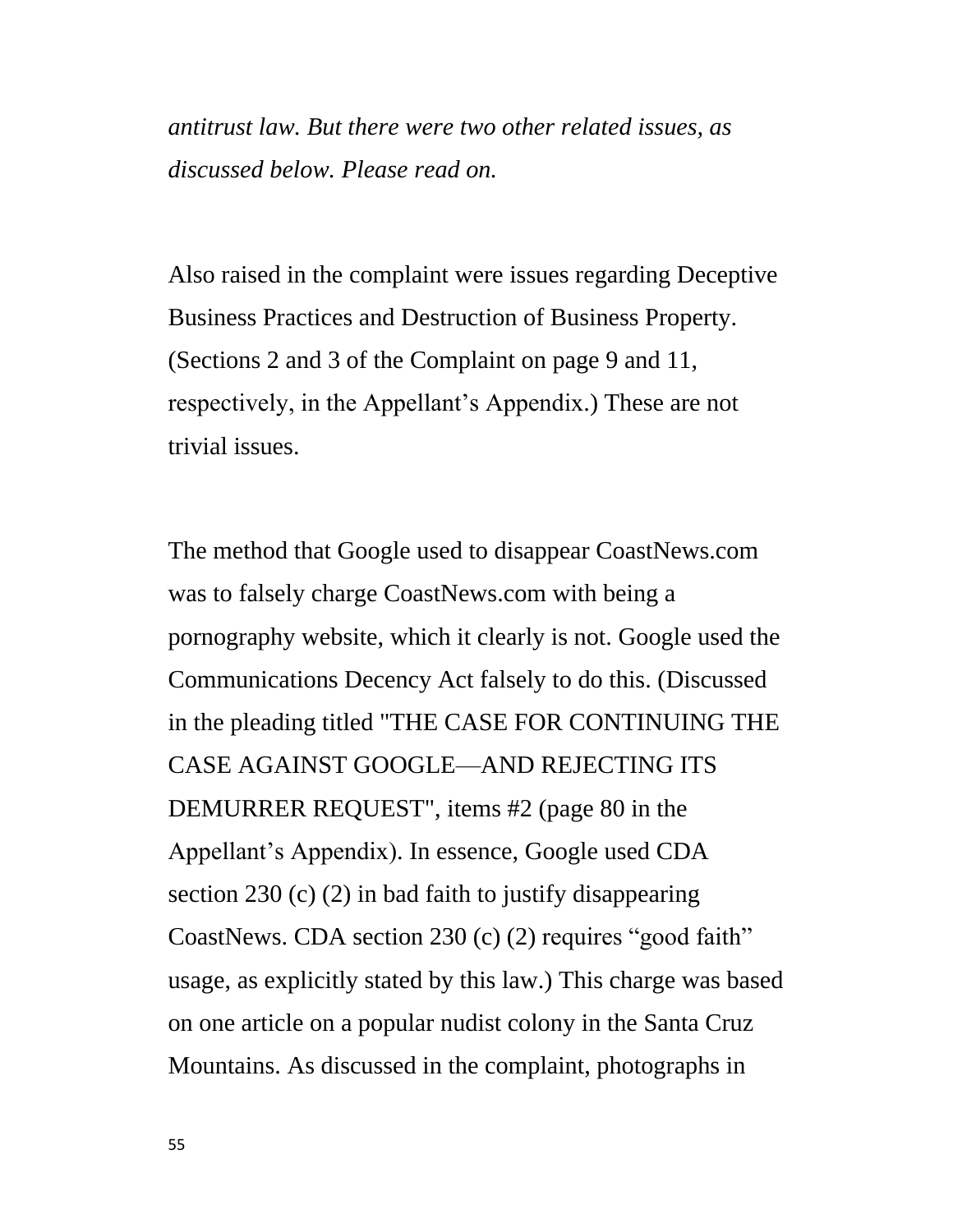*antitrust law. But there were two other related issues, as discussed below. Please read on.*

Also raised in the complaint were issues regarding Deceptive Business Practices and Destruction of Business Property. (Sections 2 and 3 of the Complaint on page 9 and 11, respectively, in the Appellant's Appendix.) These are not trivial issues.

The method that Google used to disappear CoastNews.com was to falsely charge CoastNews.com with being a pornography website, which it clearly is not. Google used the Communications Decency Act falsely to do this. (Discussed in the pleading titled "THE CASE FOR CONTINUING THE CASE AGAINST GOOGLE—AND REJECTING ITS DEMURRER REQUEST", items #2 (page 80 in the Appellant's Appendix). In essence, Google used CDA section 230 (c) (2) in bad faith to justify disappearing CoastNews. CDA section  $230$  (c) (2) requires "good faith" usage, as explicitly stated by this law.) This charge was based on one article on a popular nudist colony in the Santa Cruz Mountains. As discussed in the complaint, photographs in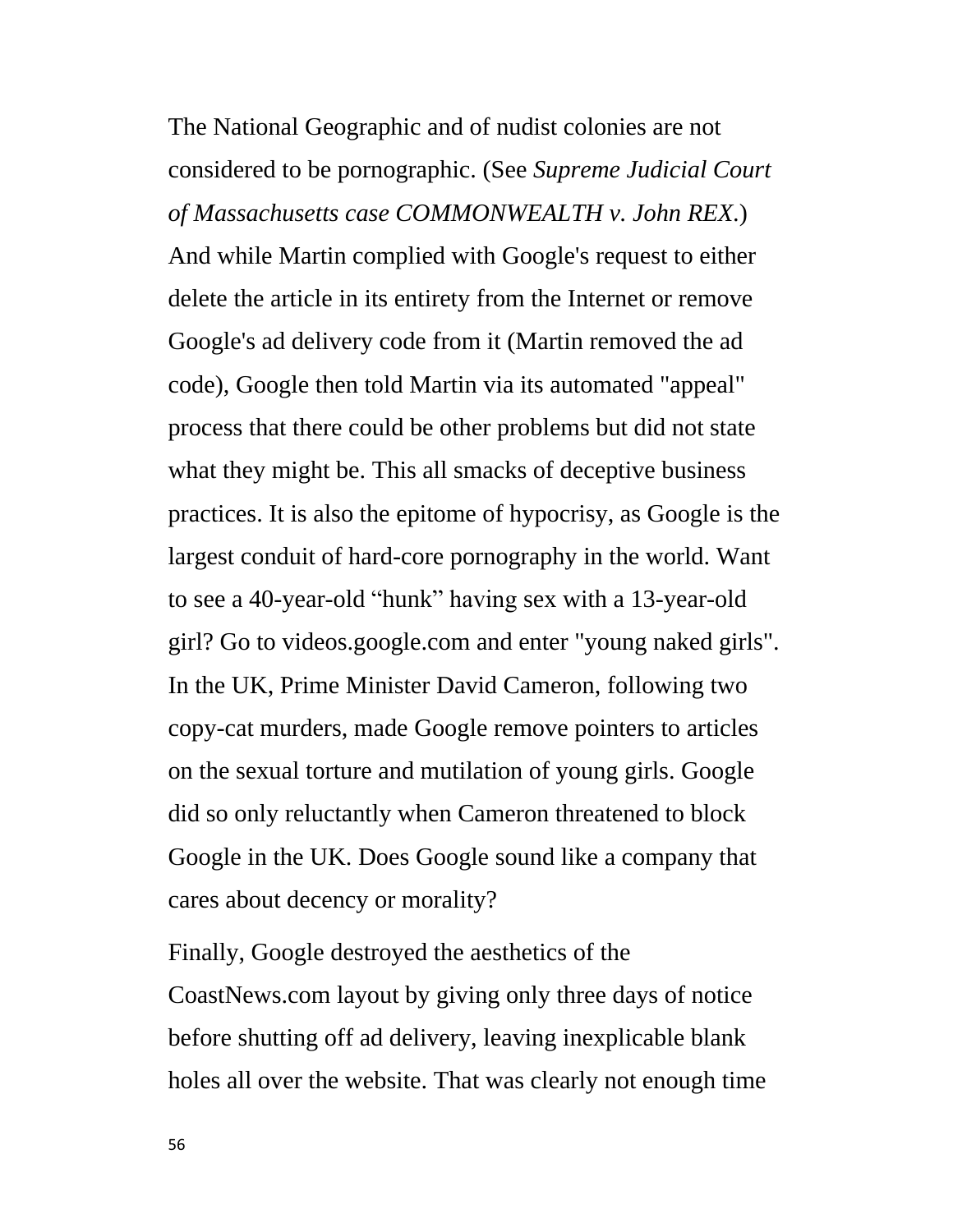The National Geographic and of nudist colonies are not considered to be pornographic. (See *Supreme Judicial Court of Massachusetts case COMMONWEALTH v. John REX*.) And while Martin complied with Google's request to either delete the article in its entirety from the Internet or remove Google's ad delivery code from it (Martin removed the ad code), Google then told Martin via its automated "appeal" process that there could be other problems but did not state what they might be. This all smacks of deceptive business practices. It is also the epitome of hypocrisy, as Google is the largest conduit of hard-core pornography in the world. Want to see a 40-year-old "hunk" having sex with a 13-year-old girl? Go to videos.google.com and enter "young naked girls". In the UK, Prime Minister David Cameron, following two copy-cat murders, made Google remove pointers to articles on the sexual torture and mutilation of young girls. Google did so only reluctantly when Cameron threatened to block Google in the UK. Does Google sound like a company that cares about decency or morality?

Finally, Google destroyed the aesthetics of the CoastNews.com layout by giving only three days of notice before shutting off ad delivery, leaving inexplicable blank holes all over the website. That was clearly not enough time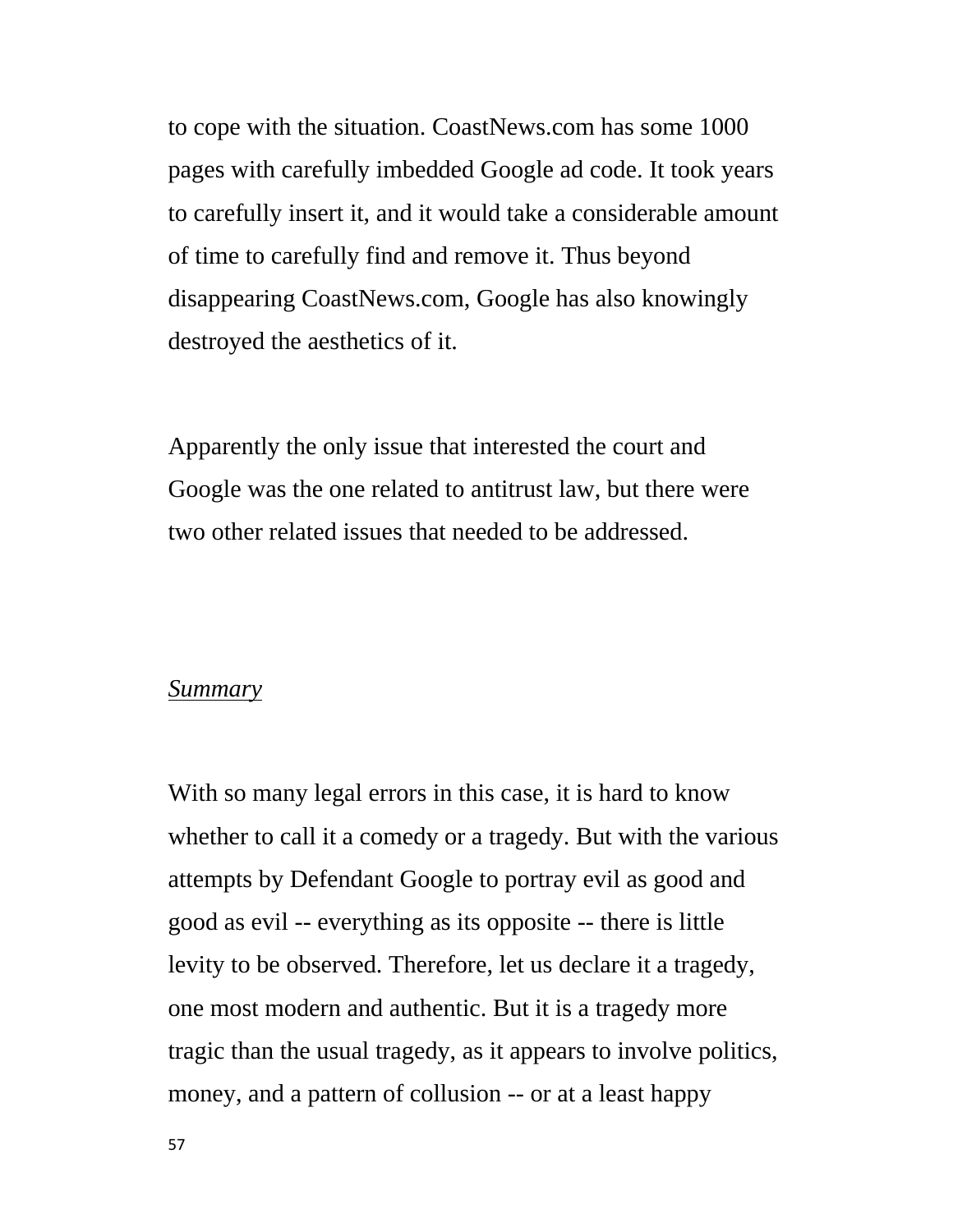to cope with the situation. CoastNews.com has some 1000 pages with carefully imbedded Google ad code. It took years to carefully insert it, and it would take a considerable amount of time to carefully find and remove it. Thus beyond disappearing CoastNews.com, Google has also knowingly destroyed the aesthetics of it.

Apparently the only issue that interested the court and Google was the one related to antitrust law, but there were two other related issues that needed to be addressed.

#### *Summary*

With so many legal errors in this case, it is hard to know whether to call it a comedy or a tragedy. But with the various attempts by Defendant Google to portray evil as good and good as evil -- everything as its opposite -- there is little levity to be observed. Therefore, let us declare it a tragedy, one most modern and authentic. But it is a tragedy more tragic than the usual tragedy, as it appears to involve politics, money, and a pattern of collusion -- or at a least happy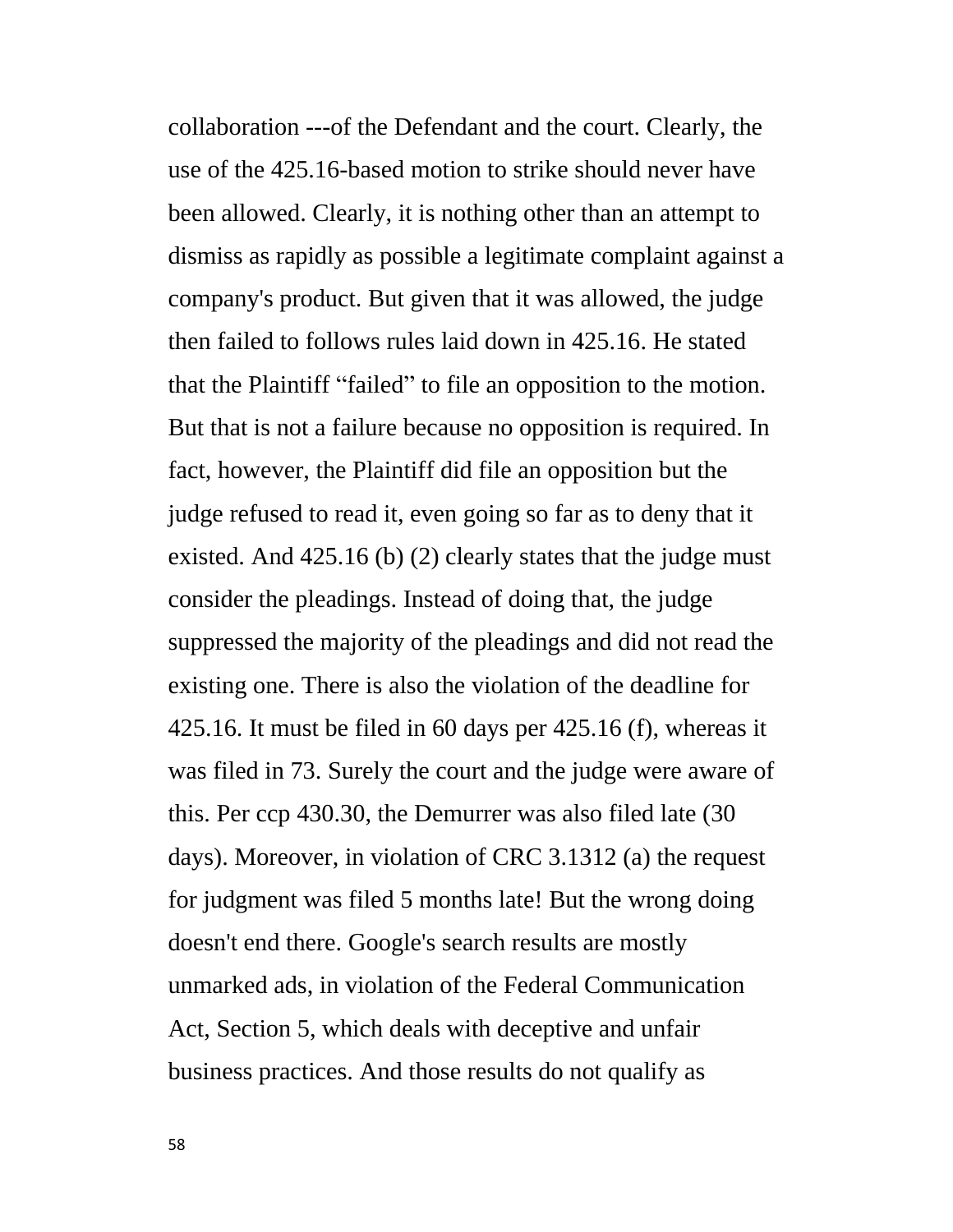collaboration ---of the Defendant and the court. Clearly, the use of the 425.16-based motion to strike should never have been allowed. Clearly, it is nothing other than an attempt to dismiss as rapidly as possible a legitimate complaint against a company's product. But given that it was allowed, the judge then failed to follows rules laid down in 425.16. He stated that the Plaintiff "failed" to file an opposition to the motion. But that is not a failure because no opposition is required. In fact, however, the Plaintiff did file an opposition but the judge refused to read it, even going so far as to deny that it existed. And 425.16 (b) (2) clearly states that the judge must consider the pleadings. Instead of doing that, the judge suppressed the majority of the pleadings and did not read the existing one. There is also the violation of the deadline for 425.16. It must be filed in 60 days per 425.16 (f), whereas it was filed in 73. Surely the court and the judge were aware of this. Per ccp 430.30, the Demurrer was also filed late (30 days). Moreover, in violation of CRC 3.1312 (a) the request for judgment was filed 5 months late! But the wrong doing doesn't end there. Google's search results are mostly unmarked ads, in violation of the Federal Communication Act, Section 5, which deals with deceptive and unfair business practices. And those results do not qualify as